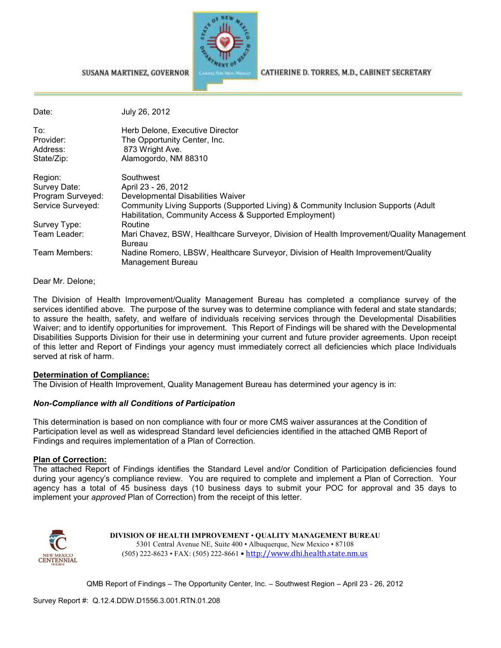

#### SUSANA MARTINEZ, GOVERNOR

CATHERINE D. TORRES, M.D., CABINET SECRETARY

| Date:             | July 26, 2012                                                                                                                                |
|-------------------|----------------------------------------------------------------------------------------------------------------------------------------------|
| To:               | Herb Delone, Executive Director                                                                                                              |
| Provider:         | The Opportunity Center, Inc.                                                                                                                 |
| Address:          | 873 Wright Ave.                                                                                                                              |
| State/Zip:        | Alamogordo, NM 88310                                                                                                                         |
| Region:           | Southwest                                                                                                                                    |
| Survey Date:      | April 23 - 26, 2012                                                                                                                          |
| Program Surveyed: | Developmental Disabilities Waiver                                                                                                            |
| Service Surveyed: | Community Living Supports (Supported Living) & Community Inclusion Supports (Adult<br>Habilitation, Community Access & Supported Employment) |
| Survey Type:      | Routine                                                                                                                                      |
| Team Leader:      | Mari Chavez, BSW, Healthcare Surveyor, Division of Health Improvement/Quality Management<br>Bureau                                           |
| Team Members:     | Nadine Romero, LBSW, Healthcare Surveyor, Division of Health Improvement/Quality<br>Management Bureau                                        |

### Dear Mr. Delone;

The Division of Health Improvement/Quality Management Bureau has completed a compliance survey of the services identified above. The purpose of the survey was to determine compliance with federal and state standards; to assure the health, safety, and welfare of individuals receiving services through the Developmental Disabilities Waiver; and to identify opportunities for improvement. This Report of Findings will be shared with the Developmental Disabilities Supports Division for their use in determining your current and future provider agreements. Upon receipt of this letter and Report of Findings your agency must immediately correct all deficiencies which place Individuals served at risk of harm.

### **Determination of Compliance:**

The Division of Health Improvement, Quality Management Bureau has determined your agency is in:

### *Non-Compliance with all Conditions of Participation*

This determination is based on non compliance with four or more CMS waiver assurances at the Condition of Participation level as well as widespread Standard level deficiencies identified in the attached QMB Report of Findings and requires implementation of a Plan of Correction.

#### **Plan of Correction:**

The attached Report of Findings identifies the Standard Level and/or Condition of Participation deficiencies found during your agency's compliance review. You are required to complete and implement a Plan of Correction. Your agency has a total of 45 business days (10 business days to submit your POC for approval and 35 days to implement your *approved* Plan of Correction) from the receipt of this letter.



**DIVISION OF HEALTH IMPROVEMENT** • **QUALITY MANAGEMENT BUREAU** 5301 Central Avenue NE, Suite 400 • Albuquerque, New Mexico • 87108 (505) 222-8623 • FAX: (505) 222-8661 • http://www.dhi.health.state.nm.us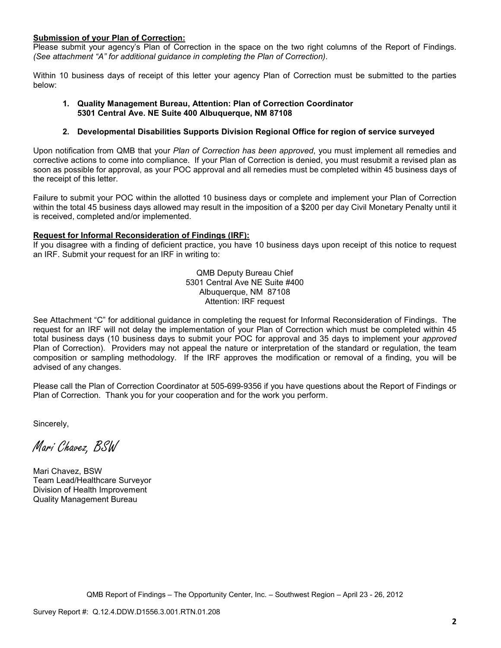### **Submission of your Plan of Correction:**

Please submit your agency's Plan of Correction in the space on the two right columns of the Report of Findings. *(See attachment "A" for additional guidance in completing the Plan of Correction)*.

Within 10 business days of receipt of this letter your agency Plan of Correction must be submitted to the parties below:

### **1. Quality Management Bureau, Attention: Plan of Correction Coordinator 5301 Central Ave. NE Suite 400 Albuquerque, NM 87108**

### **2. Developmental Disabilities Supports Division Regional Office for region of service surveyed**

Upon notification from QMB that your *Plan of Correction has been approved*, you must implement all remedies and corrective actions to come into compliance. If your Plan of Correction is denied, you must resubmit a revised plan as soon as possible for approval, as your POC approval and all remedies must be completed within 45 business days of the receipt of this letter.

Failure to submit your POC within the allotted 10 business days or complete and implement your Plan of Correction within the total 45 business days allowed may result in the imposition of a \$200 per day Civil Monetary Penalty until it is received, completed and/or implemented.

### **Request for Informal Reconsideration of Findings (IRF):**

If you disagree with a finding of deficient practice, you have 10 business days upon receipt of this notice to request an IRF. Submit your request for an IRF in writing to:

> QMB Deputy Bureau Chief 5301 Central Ave NE Suite #400 Albuquerque, NM 87108 Attention: IRF request

See Attachment "C" for additional guidance in completing the request for Informal Reconsideration of Findings. The request for an IRF will not delay the implementation of your Plan of Correction which must be completed within 45 total business days (10 business days to submit your POC for approval and 35 days to implement your *approved* Plan of Correction). Providers may not appeal the nature or interpretation of the standard or regulation, the team composition or sampling methodology. If the IRF approves the modification or removal of a finding, you will be advised of any changes.

Please call the Plan of Correction Coordinator at 505-699-9356 if you have questions about the Report of Findings or Plan of Correction. Thank you for your cooperation and for the work you perform.

Sincerely,

Mari Chavez, BSW

Mari Chavez, BSW Team Lead/Healthcare Surveyor Division of Health Improvement Quality Management Bureau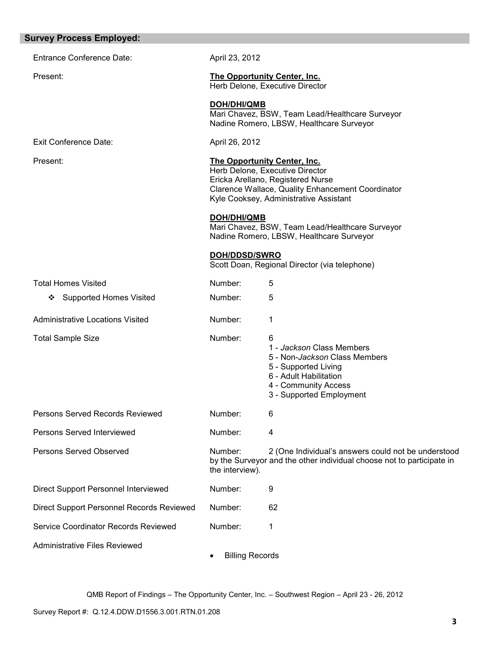| <b>Survey Process Employed:</b>           |                            |                                                                                                                                                                                                            |
|-------------------------------------------|----------------------------|------------------------------------------------------------------------------------------------------------------------------------------------------------------------------------------------------------|
| <b>Entrance Conference Date:</b>          | April 23, 2012             |                                                                                                                                                                                                            |
| Present:                                  |                            | <b>The Opportunity Center, Inc.</b><br>Herb Delone, Executive Director                                                                                                                                     |
|                                           | <b>DOH/DHI/QMB</b>         | Mari Chavez, BSW, Team Lead/Healthcare Surveyor<br>Nadine Romero, LBSW, Healthcare Surveyor                                                                                                                |
| <b>Exit Conference Date:</b>              | April 26, 2012             |                                                                                                                                                                                                            |
| Present:                                  |                            | <b>The Opportunity Center, Inc.</b><br>Herb Delone, Executive Director<br>Ericka Arellano, Registered Nurse<br>Clarence Wallace, Quality Enhancement Coordinator<br>Kyle Cooksey, Administrative Assistant |
|                                           | <b>DOH/DHI/QMB</b>         | Mari Chavez, BSW, Team Lead/Healthcare Surveyor<br>Nadine Romero, LBSW, Healthcare Surveyor                                                                                                                |
|                                           | <b>DOH/DDSD/SWRO</b>       | Scott Doan, Regional Director (via telephone)                                                                                                                                                              |
| <b>Total Homes Visited</b>                | Number:                    | 5                                                                                                                                                                                                          |
| <b>Supported Homes Visited</b><br>❖       | Number:                    | 5                                                                                                                                                                                                          |
| <b>Administrative Locations Visited</b>   | Number:                    | 1                                                                                                                                                                                                          |
| <b>Total Sample Size</b>                  | Number:                    | 6<br>1 - Jackson Class Members<br>5 - Non-Jackson Class Members<br>5 - Supported Living<br>6 - Adult Habilitation<br>4 - Community Access<br>3 - Supported Employment                                      |
| Persons Served Records Reviewed           | Number:                    | 6                                                                                                                                                                                                          |
| Persons Served Interviewed                | Number:                    | 4                                                                                                                                                                                                          |
| <b>Persons Served Observed</b>            | Number:<br>the interview). | 2 (One Individual's answers could not be understood<br>by the Surveyor and the other individual choose not to participate in                                                                               |
| Direct Support Personnel Interviewed      | Number:                    | 9                                                                                                                                                                                                          |
| Direct Support Personnel Records Reviewed | Number:                    | 62                                                                                                                                                                                                         |
| Service Coordinator Records Reviewed      | Number:                    | 1                                                                                                                                                                                                          |
| <b>Administrative Files Reviewed</b>      | <b>Billing Records</b>     |                                                                                                                                                                                                            |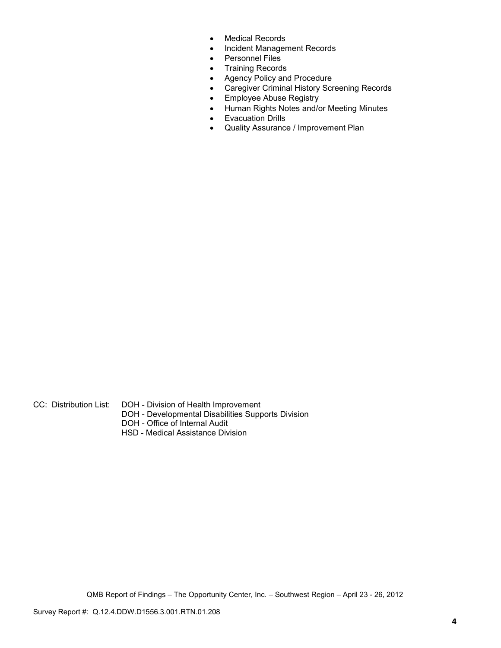- Medical Records
- Incident Management Records
- Personnel Files
- Training Records
- Agency Policy and Procedure
- Caregiver Criminal History Screening Records
- Employee Abuse Registry
- Human Rights Notes and/or Meeting Minutes
- Evacuation Drills
- Quality Assurance / Improvement Plan

- CC: Distribution List: DOH Division of Health Improvement
	- DOH Developmental Disabilities Supports Division
	- DOH Office of Internal Audit
	- HSD Medical Assistance Division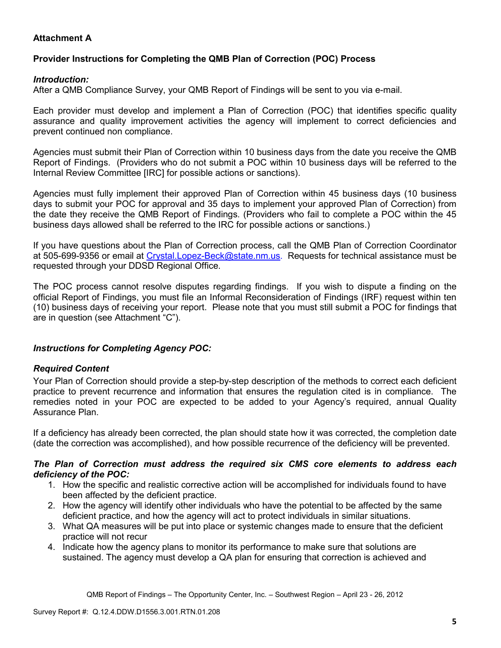# **Attachment A**

## **Provider Instructions for Completing the QMB Plan of Correction (POC) Process**

### *Introduction:*

After a QMB Compliance Survey, your QMB Report of Findings will be sent to you via e-mail.

Each provider must develop and implement a Plan of Correction (POC) that identifies specific quality assurance and quality improvement activities the agency will implement to correct deficiencies and prevent continued non compliance.

Agencies must submit their Plan of Correction within 10 business days from the date you receive the QMB Report of Findings. (Providers who do not submit a POC within 10 business days will be referred to the Internal Review Committee [IRC] for possible actions or sanctions).

Agencies must fully implement their approved Plan of Correction within 45 business days (10 business days to submit your POC for approval and 35 days to implement your approved Plan of Correction) from the date they receive the QMB Report of Findings. (Providers who fail to complete a POC within the 45 business days allowed shall be referred to the IRC for possible actions or sanctions.)

If you have questions about the Plan of Correction process, call the QMB Plan of Correction Coordinator at 505-699-9356 or email at Crystal.Lopez-Beck@state.nm.us. Requests for technical assistance must be requested through your DDSD Regional Office.

The POC process cannot resolve disputes regarding findings. If you wish to dispute a finding on the official Report of Findings, you must file an Informal Reconsideration of Findings (IRF) request within ten (10) business days of receiving your report. Please note that you must still submit a POC for findings that are in question (see Attachment "C").

### *Instructions for Completing Agency POC:*

### *Required Content*

Your Plan of Correction should provide a step-by-step description of the methods to correct each deficient practice to prevent recurrence and information that ensures the regulation cited is in compliance. The remedies noted in your POC are expected to be added to your Agency's required, annual Quality Assurance Plan.

If a deficiency has already been corrected, the plan should state how it was corrected, the completion date (date the correction was accomplished), and how possible recurrence of the deficiency will be prevented.

### *The Plan of Correction must address the required six CMS core elements to address each deficiency of the POC:*

- 1. How the specific and realistic corrective action will be accomplished for individuals found to have been affected by the deficient practice.
- 2. How the agency will identify other individuals who have the potential to be affected by the same deficient practice, and how the agency will act to protect individuals in similar situations.
- 3. What QA measures will be put into place or systemic changes made to ensure that the deficient practice will not recur
- 4. Indicate how the agency plans to monitor its performance to make sure that solutions are sustained. The agency must develop a QA plan for ensuring that correction is achieved and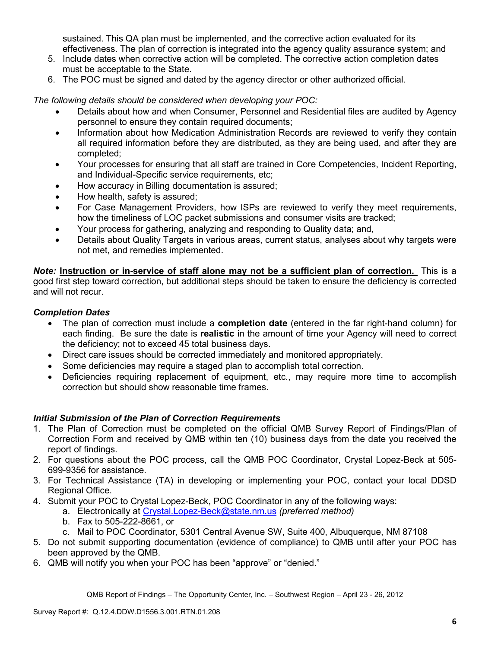sustained. This QA plan must be implemented, and the corrective action evaluated for its effectiveness. The plan of correction is integrated into the agency quality assurance system; and

- 5. Include dates when corrective action will be completed. The corrective action completion dates must be acceptable to the State.
- 6. The POC must be signed and dated by the agency director or other authorized official.

*The following details should be considered when developing your POC:* 

- Details about how and when Consumer, Personnel and Residential files are audited by Agency personnel to ensure they contain required documents;
- Information about how Medication Administration Records are reviewed to verify they contain all required information before they are distributed, as they are being used, and after they are completed;
- Your processes for ensuring that all staff are trained in Core Competencies, Incident Reporting, and Individual-Specific service requirements, etc;
- How accuracy in Billing documentation is assured;
- How health, safety is assured;
- For Case Management Providers, how ISPs are reviewed to verify they meet requirements, how the timeliness of LOC packet submissions and consumer visits are tracked;
- Your process for gathering, analyzing and responding to Quality data; and,
- Details about Quality Targets in various areas, current status, analyses about why targets were not met, and remedies implemented.

*Note:* **Instruction or in-service of staff alone may not be a sufficient plan of correction.** This is a good first step toward correction, but additional steps should be taken to ensure the deficiency is corrected and will not recur.

### *Completion Dates*

- The plan of correction must include a **completion date** (entered in the far right-hand column) for each finding. Be sure the date is **realistic** in the amount of time your Agency will need to correct the deficiency; not to exceed 45 total business days.
- Direct care issues should be corrected immediately and monitored appropriately.
- Some deficiencies may require a staged plan to accomplish total correction.
- Deficiencies requiring replacement of equipment, etc., may require more time to accomplish correction but should show reasonable time frames.

### *Initial Submission of the Plan of Correction Requirements*

- 1. The Plan of Correction must be completed on the official QMB Survey Report of Findings/Plan of Correction Form and received by QMB within ten (10) business days from the date you received the report of findings.
- 2. For questions about the POC process, call the QMB POC Coordinator, Crystal Lopez-Beck at 505- 699-9356 for assistance.
- 3. For Technical Assistance (TA) in developing or implementing your POC, contact your local DDSD Regional Office.
- 4. Submit your POC to Crystal Lopez-Beck, POC Coordinator in any of the following ways:
	- a. Electronically at Crystal.Lopez-Beck@state.nm.us *(preferred method)*
	- b. Fax to 505-222-8661, or
	- c. Mail to POC Coordinator, 5301 Central Avenue SW, Suite 400, Albuquerque, NM 87108
- 5. Do not submit supporting documentation (evidence of compliance) to QMB until after your POC has been approved by the QMB.
- 6. QMB will notify you when your POC has been "approve" or "denied."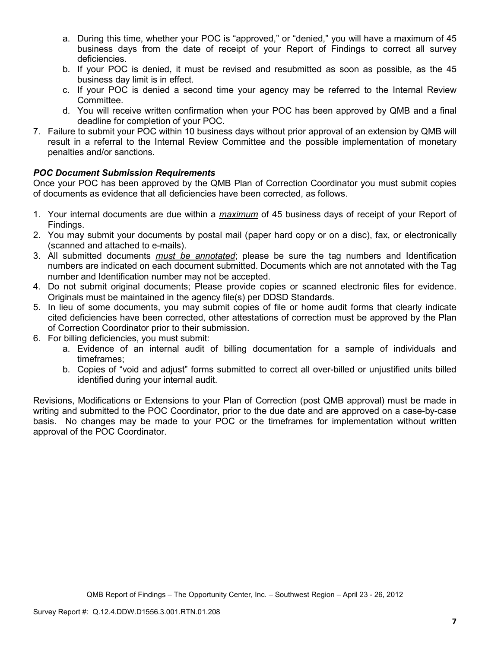- a. During this time, whether your POC is "approved," or "denied," you will have a maximum of 45 business days from the date of receipt of your Report of Findings to correct all survey deficiencies.
- b. If your POC is denied, it must be revised and resubmitted as soon as possible, as the 45 business day limit is in effect.
- c. If your POC is denied a second time your agency may be referred to the Internal Review Committee.
- d. You will receive written confirmation when your POC has been approved by QMB and a final deadline for completion of your POC.
- 7. Failure to submit your POC within 10 business days without prior approval of an extension by QMB will result in a referral to the Internal Review Committee and the possible implementation of monetary penalties and/or sanctions.

## *POC Document Submission Requirements*

Once your POC has been approved by the QMB Plan of Correction Coordinator you must submit copies of documents as evidence that all deficiencies have been corrected, as follows.

- 1. Your internal documents are due within a *maximum* of 45 business days of receipt of your Report of Findings.
- 2. You may submit your documents by postal mail (paper hard copy or on a disc), fax, or electronically (scanned and attached to e-mails).
- 3. All submitted documents *must be annotated*; please be sure the tag numbers and Identification numbers are indicated on each document submitted. Documents which are not annotated with the Tag number and Identification number may not be accepted.
- 4. Do not submit original documents; Please provide copies or scanned electronic files for evidence. Originals must be maintained in the agency file(s) per DDSD Standards.
- 5. In lieu of some documents, you may submit copies of file or home audit forms that clearly indicate cited deficiencies have been corrected, other attestations of correction must be approved by the Plan of Correction Coordinator prior to their submission.
- 6. For billing deficiencies, you must submit:
	- a. Evidence of an internal audit of billing documentation for a sample of individuals and timeframes;
	- b. Copies of "void and adjust" forms submitted to correct all over-billed or unjustified units billed identified during your internal audit.

Revisions, Modifications or Extensions to your Plan of Correction (post QMB approval) must be made in writing and submitted to the POC Coordinator, prior to the due date and are approved on a case-by-case basis. No changes may be made to your POC or the timeframes for implementation without written approval of the POC Coordinator.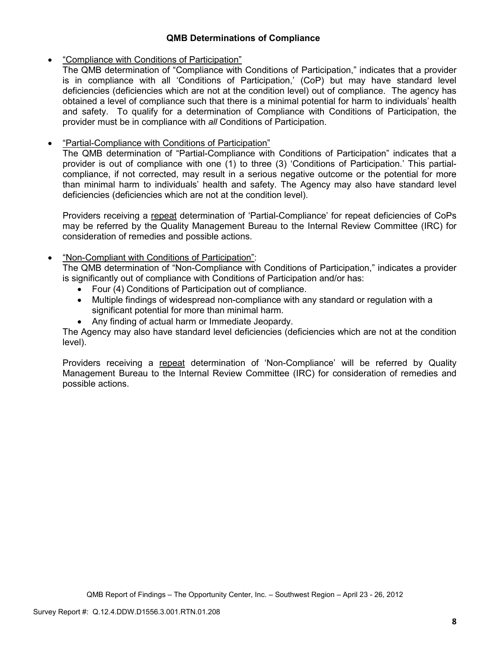## **QMB Determinations of Compliance**

## • "Compliance with Conditions of Participation"

The QMB determination of "Compliance with Conditions of Participation," indicates that a provider is in compliance with all 'Conditions of Participation,' (CoP) but may have standard level deficiencies (deficiencies which are not at the condition level) out of compliance. The agency has obtained a level of compliance such that there is a minimal potential for harm to individuals' health and safety. To qualify for a determination of Compliance with Conditions of Participation, the provider must be in compliance with *all* Conditions of Participation.

# • "Partial-Compliance with Conditions of Participation"

The QMB determination of "Partial-Compliance with Conditions of Participation" indicates that a provider is out of compliance with one (1) to three (3) 'Conditions of Participation.' This partialcompliance, if not corrected, may result in a serious negative outcome or the potential for more than minimal harm to individuals' health and safety. The Agency may also have standard level deficiencies (deficiencies which are not at the condition level).

Providers receiving a repeat determination of 'Partial-Compliance' for repeat deficiencies of CoPs may be referred by the Quality Management Bureau to the Internal Review Committee (IRC) for consideration of remedies and possible actions.

## • "Non-Compliant with Conditions of Participation":

The QMB determination of "Non-Compliance with Conditions of Participation," indicates a provider is significantly out of compliance with Conditions of Participation and/or has:

- Four (4) Conditions of Participation out of compliance.
- Multiple findings of widespread non-compliance with any standard or regulation with a significant potential for more than minimal harm.
- Any finding of actual harm or Immediate Jeopardy.

The Agency may also have standard level deficiencies (deficiencies which are not at the condition level).

Providers receiving a repeat determination of 'Non-Compliance' will be referred by Quality Management Bureau to the Internal Review Committee (IRC) for consideration of remedies and possible actions.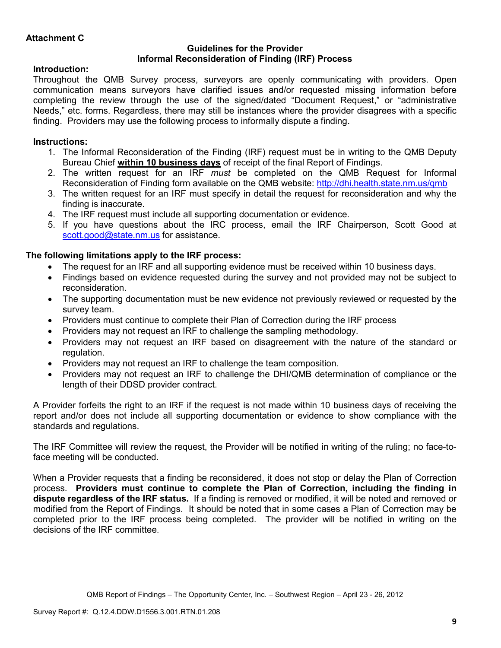### **Guidelines for the Provider Informal Reconsideration of Finding (IRF) Process**

## **Introduction:**

Throughout the QMB Survey process, surveyors are openly communicating with providers. Open communication means surveyors have clarified issues and/or requested missing information before completing the review through the use of the signed/dated "Document Request," or "administrative Needs," etc. forms. Regardless, there may still be instances where the provider disagrees with a specific finding. Providers may use the following process to informally dispute a finding.

# **Instructions:**

- 1. The Informal Reconsideration of the Finding (IRF) request must be in writing to the QMB Deputy Bureau Chief **within 10 business days** of receipt of the final Report of Findings.
- 2. The written request for an IRF *must* be completed on the QMB Request for Informal Reconsideration of Finding form available on the QMB website: http://dhi.health.state.nm.us/qmb
- 3. The written request for an IRF must specify in detail the request for reconsideration and why the finding is inaccurate.
- 4. The IRF request must include all supporting documentation or evidence.
- 5. If you have questions about the IRC process, email the IRF Chairperson, Scott Good at scott.good@state.nm.us for assistance.

## **The following limitations apply to the IRF process:**

- The request for an IRF and all supporting evidence must be received within 10 business days.
- Findings based on evidence requested during the survey and not provided may not be subject to reconsideration.
- The supporting documentation must be new evidence not previously reviewed or requested by the survey team.
- Providers must continue to complete their Plan of Correction during the IRF process
- Providers may not request an IRF to challenge the sampling methodology.
- Providers may not request an IRF based on disagreement with the nature of the standard or regulation.
- Providers may not request an IRF to challenge the team composition.
- Providers may not request an IRF to challenge the DHI/QMB determination of compliance or the length of their DDSD provider contract.

A Provider forfeits the right to an IRF if the request is not made within 10 business days of receiving the report and/or does not include all supporting documentation or evidence to show compliance with the standards and regulations.

The IRF Committee will review the request, the Provider will be notified in writing of the ruling; no face-toface meeting will be conducted.

When a Provider requests that a finding be reconsidered, it does not stop or delay the Plan of Correction process. **Providers must continue to complete the Plan of Correction, including the finding in dispute regardless of the IRF status.** If a finding is removed or modified, it will be noted and removed or modified from the Report of Findings. It should be noted that in some cases a Plan of Correction may be completed prior to the IRF process being completed. The provider will be notified in writing on the decisions of the IRF committee.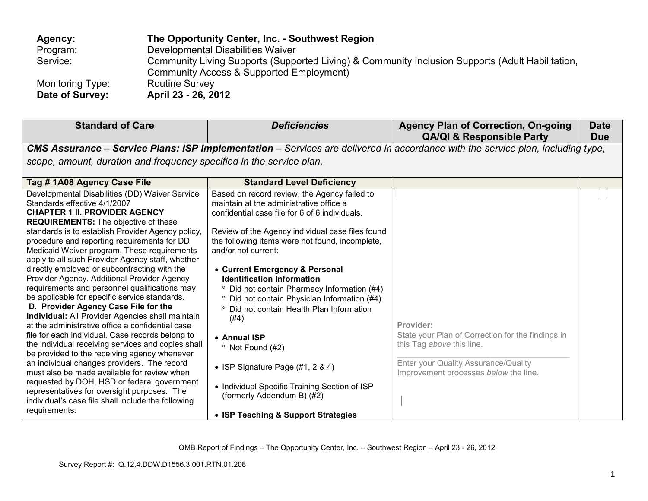| Agency:                             | The Opportunity Center, Inc. - Southwest Region                                                                                              |
|-------------------------------------|----------------------------------------------------------------------------------------------------------------------------------------------|
| Program:                            | Developmental Disabilities Waiver                                                                                                            |
| Service:                            | Community Living Supports (Supported Living) & Community Inclusion Supports (Adult Habilitation,<br>Community Access & Supported Employment) |
| Monitoring Type:<br>Date of Survey: | <b>Routine Survey</b><br>April 23 - 26, 2012                                                                                                 |

| <b>Standard of Care</b>                                                                                                                                                                                                                                                                                                                                                                                                                                                                                                                                                                                                                                                                                                                                                                                                                                                                                                                                                                                                                                                                                                                                    | <b>Deficiencies</b>                                                                                                                                                                                                                                                                                                                                                                                                                                                                                                                                                                                                                                                                         | <b>Agency Plan of Correction, On-going</b><br><b>QA/QI &amp; Responsible Party</b>                                                                                           | <b>Date</b><br><b>Due</b> |
|------------------------------------------------------------------------------------------------------------------------------------------------------------------------------------------------------------------------------------------------------------------------------------------------------------------------------------------------------------------------------------------------------------------------------------------------------------------------------------------------------------------------------------------------------------------------------------------------------------------------------------------------------------------------------------------------------------------------------------------------------------------------------------------------------------------------------------------------------------------------------------------------------------------------------------------------------------------------------------------------------------------------------------------------------------------------------------------------------------------------------------------------------------|---------------------------------------------------------------------------------------------------------------------------------------------------------------------------------------------------------------------------------------------------------------------------------------------------------------------------------------------------------------------------------------------------------------------------------------------------------------------------------------------------------------------------------------------------------------------------------------------------------------------------------------------------------------------------------------------|------------------------------------------------------------------------------------------------------------------------------------------------------------------------------|---------------------------|
|                                                                                                                                                                                                                                                                                                                                                                                                                                                                                                                                                                                                                                                                                                                                                                                                                                                                                                                                                                                                                                                                                                                                                            |                                                                                                                                                                                                                                                                                                                                                                                                                                                                                                                                                                                                                                                                                             | <b>CMS Assurance – Service Plans: ISP Implementation –</b> Services are delivered in accordance with the service plan, including type,                                       |                           |
| scope, amount, duration and frequency specified in the service plan.                                                                                                                                                                                                                                                                                                                                                                                                                                                                                                                                                                                                                                                                                                                                                                                                                                                                                                                                                                                                                                                                                       |                                                                                                                                                                                                                                                                                                                                                                                                                                                                                                                                                                                                                                                                                             |                                                                                                                                                                              |                           |
| Tag #1A08 Agency Case File                                                                                                                                                                                                                                                                                                                                                                                                                                                                                                                                                                                                                                                                                                                                                                                                                                                                                                                                                                                                                                                                                                                                 | <b>Standard Level Deficiency</b>                                                                                                                                                                                                                                                                                                                                                                                                                                                                                                                                                                                                                                                            |                                                                                                                                                                              |                           |
| Developmental Disabilities (DD) Waiver Service<br>Standards effective 4/1/2007<br><b>CHAPTER 1 II. PROVIDER AGENCY</b><br><b>REQUIREMENTS:</b> The objective of these<br>standards is to establish Provider Agency policy,<br>procedure and reporting requirements for DD<br>Medicaid Waiver program. These requirements<br>apply to all such Provider Agency staff, whether<br>directly employed or subcontracting with the<br>Provider Agency. Additional Provider Agency<br>requirements and personnel qualifications may<br>be applicable for specific service standards.<br>D. Provider Agency Case File for the<br>Individual: All Provider Agencies shall maintain<br>at the administrative office a confidential case<br>file for each individual. Case records belong to<br>the individual receiving services and copies shall<br>be provided to the receiving agency whenever<br>an individual changes providers. The record<br>must also be made available for review when<br>requested by DOH, HSD or federal government<br>representatives for oversight purposes. The<br>individual's case file shall include the following<br>requirements: | Based on record review, the Agency failed to<br>maintain at the administrative office a<br>confidential case file for 6 of 6 individuals.<br>Review of the Agency individual case files found<br>the following items were not found, incomplete,<br>and/or not current:<br>• Current Emergency & Personal<br><b>Identification Information</b><br><sup>o</sup> Did not contain Pharmacy Information (#4)<br><sup>o</sup> Did not contain Physician Information (#4)<br>° Did not contain Health Plan Information<br>(#4)<br>• Annual ISP<br>$\degree$ Not Found (#2)<br>• ISP Signature Page $(\#1, 2 \& 4)$<br>• Individual Specific Training Section of ISP<br>(formerly Addendum B) (#2) | Provider:<br>State your Plan of Correction for the findings in<br>this Tag above this line.<br>Enter your Quality Assurance/Quality<br>Improvement processes below the line. |                           |
|                                                                                                                                                                                                                                                                                                                                                                                                                                                                                                                                                                                                                                                                                                                                                                                                                                                                                                                                                                                                                                                                                                                                                            | • ISP Teaching & Support Strategies                                                                                                                                                                                                                                                                                                                                                                                                                                                                                                                                                                                                                                                         |                                                                                                                                                                              |                           |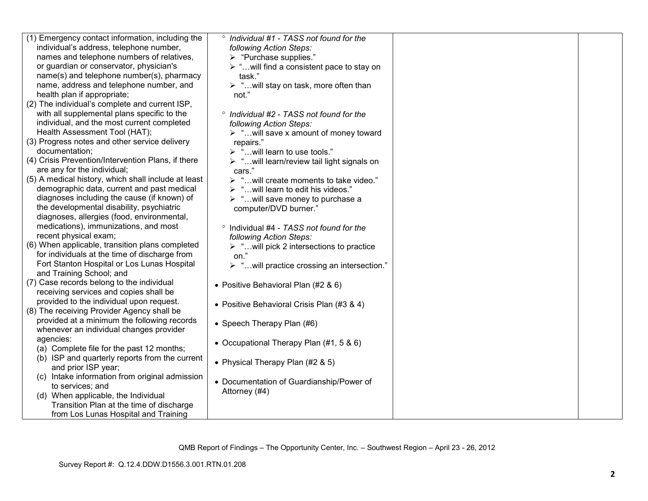| (1) Emergency contact information, including the    | <sup>o</sup> Individual #1 - TASS not found for the         |  |
|-----------------------------------------------------|-------------------------------------------------------------|--|
| individual's address, telephone number,             | following Action Steps:                                     |  |
| names and telephone numbers of relatives,           | > "Purchase supplies."                                      |  |
| or guardian or conservator, physician's             | $\triangleright$ " will find a consistent pace to stay on   |  |
| name(s) and telephone number(s), pharmacy           | task."                                                      |  |
| name, address and telephone number, and             | > " will stay on task, more often than                      |  |
| health plan if appropriate;                         | not."                                                       |  |
| (2) The individual's complete and current ISP,      |                                                             |  |
| with all supplemental plans specific to the         | <sup>o</sup> Individual #2 - TASS not found for the         |  |
| individual, and the most current completed          | following Action Steps:                                     |  |
| Health Assessment Tool (HAT);                       | $\triangleright$ " will save x amount of money toward       |  |
| (3) Progress notes and other service delivery       | repairs."                                                   |  |
| documentation;                                      | $\triangleright$ "will learn to use tools."                 |  |
| (4) Crisis Prevention/Intervention Plans, if there  | > "will learn/review tail light signals on                  |  |
| are any for the individual;                         | cars."                                                      |  |
| (5) A medical history, which shall include at least | > " will create moments to take video."                     |  |
| demographic data, current and past medical          | > "will learn to edit his videos."                          |  |
| diagnoses including the cause (if known) of         | $\triangleright$ " will save money to purchase a            |  |
| the developmental disability, psychiatric           | computer/DVD burner."                                       |  |
| diagnoses, allergies (food, environmental,          |                                                             |  |
| medications), immunizations, and most               | <sup>o</sup> Individual #4 - TASS not found for the         |  |
| recent physical exam;                               | following Action Steps:                                     |  |
| (6) When applicable, transition plans completed     | $\triangleright$ " will pick 2 intersections to practice    |  |
| for individuals at the time of discharge from       | on."                                                        |  |
| Fort Stanton Hospital or Los Lunas Hospital         | $\triangleright$ " will practice crossing an intersection." |  |
| and Training School; and                            |                                                             |  |
| (7) Case records belong to the individual           |                                                             |  |
| receiving services and copies shall be              | • Positive Behavioral Plan (#2 & 6)                         |  |
| provided to the individual upon request.            |                                                             |  |
| (8) The receiving Provider Agency shall be          | • Positive Behavioral Crisis Plan (#3 & 4)                  |  |
| provided at a minimum the following records         |                                                             |  |
| whenever an individual changes provider             | • Speech Therapy Plan (#6)                                  |  |
| agencies:                                           |                                                             |  |
| (a) Complete file for the past 12 months;           | • Occupational Therapy Plan (#1, 5 & 6)                     |  |
|                                                     |                                                             |  |
| (b) ISP and quarterly reports from the current      | • Physical Therapy Plan (#2 & 5)                            |  |
| and prior ISP year;                                 |                                                             |  |
| (c) Intake information from original admission      | • Documentation of Guardianship/Power of                    |  |
| to services; and                                    | Attorney (#4)                                               |  |
| (d) When applicable, the Individual                 |                                                             |  |
| Transition Plan at the time of discharge            |                                                             |  |
| from Los Lunas Hospital and Training                |                                                             |  |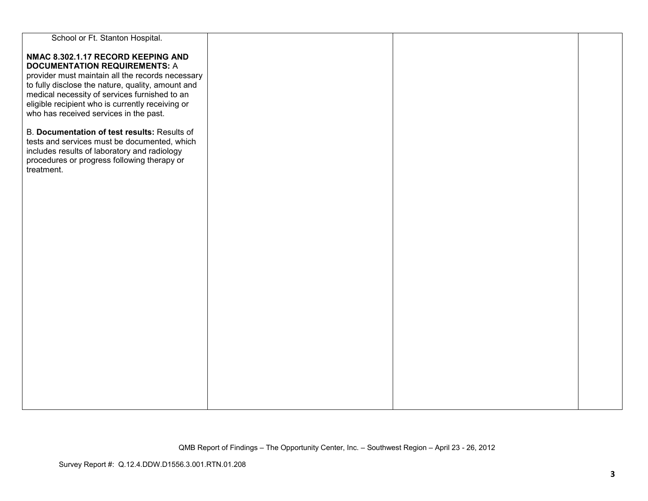| School or Ft. Stanton Hospital.                   |  |  |
|---------------------------------------------------|--|--|
|                                                   |  |  |
| NMAC 8.302.1.17 RECORD KEEPING AND                |  |  |
| <b>DOCUMENTATION REQUIREMENTS: A</b>              |  |  |
| provider must maintain all the records necessary  |  |  |
| to fully disclose the nature, quality, amount and |  |  |
| medical necessity of services furnished to an     |  |  |
| eligible recipient who is currently receiving or  |  |  |
| who has received services in the past.            |  |  |
|                                                   |  |  |
| B. Documentation of test results: Results of      |  |  |
|                                                   |  |  |
| tests and services must be documented, which      |  |  |
| includes results of laboratory and radiology      |  |  |
| procedures or progress following therapy or       |  |  |
| treatment.                                        |  |  |
|                                                   |  |  |
|                                                   |  |  |
|                                                   |  |  |
|                                                   |  |  |
|                                                   |  |  |
|                                                   |  |  |
|                                                   |  |  |
|                                                   |  |  |
|                                                   |  |  |
|                                                   |  |  |
|                                                   |  |  |
|                                                   |  |  |
|                                                   |  |  |
|                                                   |  |  |
|                                                   |  |  |
|                                                   |  |  |
|                                                   |  |  |
|                                                   |  |  |
|                                                   |  |  |
|                                                   |  |  |
|                                                   |  |  |
|                                                   |  |  |
|                                                   |  |  |
|                                                   |  |  |
|                                                   |  |  |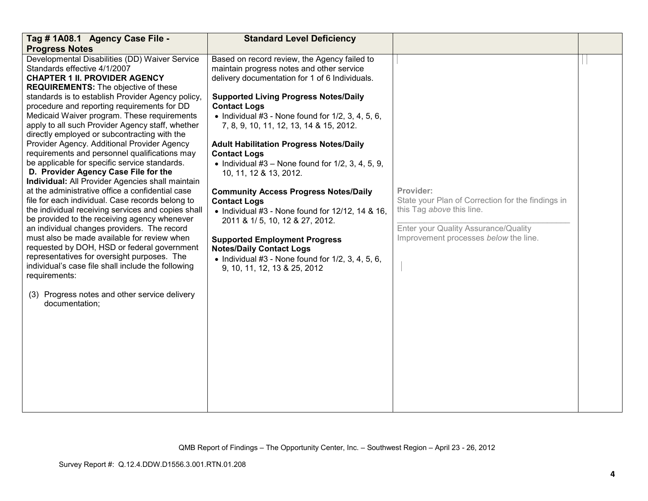| Tag # 1A08.1 Agency Case File -                                                                                                                                                                                                                                                                                                                                                                                                                                                                                                                                                                                                                                                                                                                                                                                                                                                                                                                                                                                                                                                                                                                                                                                               | <b>Standard Level Deficiency</b>                                                                                                                                                                                                                                                                                                                                                                                                                                                                                                                                                                                                                                                                                                                                                                                               |                                                                                                                                                                              |  |
|-------------------------------------------------------------------------------------------------------------------------------------------------------------------------------------------------------------------------------------------------------------------------------------------------------------------------------------------------------------------------------------------------------------------------------------------------------------------------------------------------------------------------------------------------------------------------------------------------------------------------------------------------------------------------------------------------------------------------------------------------------------------------------------------------------------------------------------------------------------------------------------------------------------------------------------------------------------------------------------------------------------------------------------------------------------------------------------------------------------------------------------------------------------------------------------------------------------------------------|--------------------------------------------------------------------------------------------------------------------------------------------------------------------------------------------------------------------------------------------------------------------------------------------------------------------------------------------------------------------------------------------------------------------------------------------------------------------------------------------------------------------------------------------------------------------------------------------------------------------------------------------------------------------------------------------------------------------------------------------------------------------------------------------------------------------------------|------------------------------------------------------------------------------------------------------------------------------------------------------------------------------|--|
| <b>Progress Notes</b>                                                                                                                                                                                                                                                                                                                                                                                                                                                                                                                                                                                                                                                                                                                                                                                                                                                                                                                                                                                                                                                                                                                                                                                                         |                                                                                                                                                                                                                                                                                                                                                                                                                                                                                                                                                                                                                                                                                                                                                                                                                                |                                                                                                                                                                              |  |
| Developmental Disabilities (DD) Waiver Service<br>Standards effective 4/1/2007<br><b>CHAPTER 1 II. PROVIDER AGENCY</b><br><b>REQUIREMENTS:</b> The objective of these<br>standards is to establish Provider Agency policy,<br>procedure and reporting requirements for DD<br>Medicaid Waiver program. These requirements<br>apply to all such Provider Agency staff, whether<br>directly employed or subcontracting with the<br>Provider Agency. Additional Provider Agency<br>requirements and personnel qualifications may<br>be applicable for specific service standards.<br>D. Provider Agency Case File for the<br>Individual: All Provider Agencies shall maintain<br>at the administrative office a confidential case<br>file for each individual. Case records belong to<br>the individual receiving services and copies shall<br>be provided to the receiving agency whenever<br>an individual changes providers. The record<br>must also be made available for review when<br>requested by DOH, HSD or federal government<br>representatives for oversight purposes. The<br>individual's case file shall include the following<br>requirements:<br>(3) Progress notes and other service delivery<br>documentation; | Based on record review, the Agency failed to<br>maintain progress notes and other service<br>delivery documentation for 1 of 6 Individuals.<br><b>Supported Living Progress Notes/Daily</b><br><b>Contact Logs</b><br>• Individual $#3$ - None found for $1/2$ , 3, 4, 5, 6,<br>7, 8, 9, 10, 11, 12, 13, 14 & 15, 2012.<br><b>Adult Habilitation Progress Notes/Daily</b><br><b>Contact Logs</b><br>• Individual $#3$ – None found for $1/2$ , 3, 4, 5, 9,<br>10, 11, 12 & 13, 2012.<br><b>Community Access Progress Notes/Daily</b><br><b>Contact Logs</b><br>$\bullet$ Individual #3 - None found for 12/12, 14 & 16,<br>2011 & 1/5, 10, 12 & 27, 2012.<br><b>Supported Employment Progress</b><br><b>Notes/Daily Contact Logs</b><br>• Individual $#3$ - None found for $1/2$ , 3, 4, 5, 6,<br>9, 10, 11, 12, 13 & 25, 2012 | Provider:<br>State your Plan of Correction for the findings in<br>this Tag above this line.<br>Enter your Quality Assurance/Quality<br>Improvement processes below the line. |  |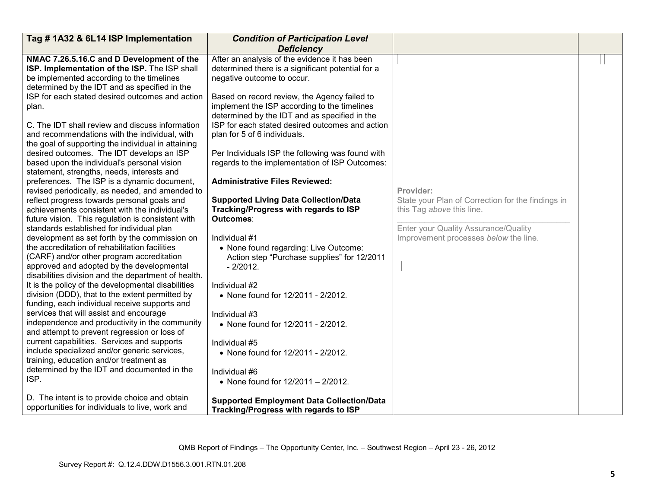| <b>Deficiency</b><br>After an analysis of the evidence it has been<br>NMAC 7.26.5.16.C and D Development of the                                                                                                                                                                                                                                                                                                                                                                                                                                                                                                                                                                                                                                                                                                                                                                                                                                                                                                                                                                                                                                                                                                                                                                                                                                                                                                                                                                                                                                                                                                                                                                                                                                                                                                                                                                                                                                                                                                                                                                                                                                                                                                                                                                                                                                                                                                                                                                                                                                                                                                                                                                                             |                                                                                                                                                                              |  |
|-------------------------------------------------------------------------------------------------------------------------------------------------------------------------------------------------------------------------------------------------------------------------------------------------------------------------------------------------------------------------------------------------------------------------------------------------------------------------------------------------------------------------------------------------------------------------------------------------------------------------------------------------------------------------------------------------------------------------------------------------------------------------------------------------------------------------------------------------------------------------------------------------------------------------------------------------------------------------------------------------------------------------------------------------------------------------------------------------------------------------------------------------------------------------------------------------------------------------------------------------------------------------------------------------------------------------------------------------------------------------------------------------------------------------------------------------------------------------------------------------------------------------------------------------------------------------------------------------------------------------------------------------------------------------------------------------------------------------------------------------------------------------------------------------------------------------------------------------------------------------------------------------------------------------------------------------------------------------------------------------------------------------------------------------------------------------------------------------------------------------------------------------------------------------------------------------------------------------------------------------------------------------------------------------------------------------------------------------------------------------------------------------------------------------------------------------------------------------------------------------------------------------------------------------------------------------------------------------------------------------------------------------------------------------------------------------------------|------------------------------------------------------------------------------------------------------------------------------------------------------------------------------|--|
|                                                                                                                                                                                                                                                                                                                                                                                                                                                                                                                                                                                                                                                                                                                                                                                                                                                                                                                                                                                                                                                                                                                                                                                                                                                                                                                                                                                                                                                                                                                                                                                                                                                                                                                                                                                                                                                                                                                                                                                                                                                                                                                                                                                                                                                                                                                                                                                                                                                                                                                                                                                                                                                                                                             |                                                                                                                                                                              |  |
| ISP. Implementation of the ISP. The ISP shall<br>determined there is a significant potential for a<br>be implemented according to the timelines<br>negative outcome to occur.<br>determined by the IDT and as specified in the<br>ISP for each stated desired outcomes and action<br>Based on record review, the Agency failed to<br>implement the ISP according to the timelines<br>plan.<br>determined by the IDT and as specified in the<br>C. The IDT shall review and discuss information<br>ISP for each stated desired outcomes and action<br>and recommendations with the individual, with<br>plan for 5 of 6 individuals.<br>the goal of supporting the individual in attaining<br>desired outcomes. The IDT develops an ISP<br>Per Individuals ISP the following was found with<br>based upon the individual's personal vision<br>regards to the implementation of ISP Outcomes:<br>statement, strengths, needs, interests and<br>preferences. The ISP is a dynamic document,<br><b>Administrative Files Reviewed:</b><br>revised periodically, as needed, and amended to<br>reflect progress towards personal goals and<br><b>Supported Living Data Collection/Data</b><br>Tracking/Progress with regards to ISP<br>achievements consistent with the individual's<br>future vision. This regulation is consistent with<br>Outcomes:<br>standards established for individual plan<br>development as set forth by the commission on<br>Individual #1<br>the accreditation of rehabilitation facilities<br>• None found regarding: Live Outcome:<br>(CARF) and/or other program accreditation<br>Action step "Purchase supplies" for 12/2011<br>approved and adopted by the developmental<br>$-2/2012.$<br>disabilities division and the department of health.<br>It is the policy of the developmental disabilities<br>Individual #2<br>division (DDD), that to the extent permitted by<br>• None found for 12/2011 - 2/2012.<br>funding, each individual receive supports and<br>services that will assist and encourage<br>Individual #3<br>independence and productivity in the community<br>• None found for 12/2011 - 2/2012.<br>and attempt to prevent regression or loss of<br>current capabilities. Services and supports<br>Individual #5<br>include specialized and/or generic services,<br>• None found for 12/2011 - 2/2012.<br>training, education and/or treatment as<br>determined by the IDT and documented in the<br>Individual #6<br>ISP.<br>• None found for 12/2011 - 2/2012.<br>D. The intent is to provide choice and obtain<br><b>Supported Employment Data Collection/Data</b><br>opportunities for individuals to live, work and<br>Tracking/Progress with regards to ISP | Provider:<br>State your Plan of Correction for the findings in<br>this Tag above this line.<br>Enter your Quality Assurance/Quality<br>Improvement processes below the line. |  |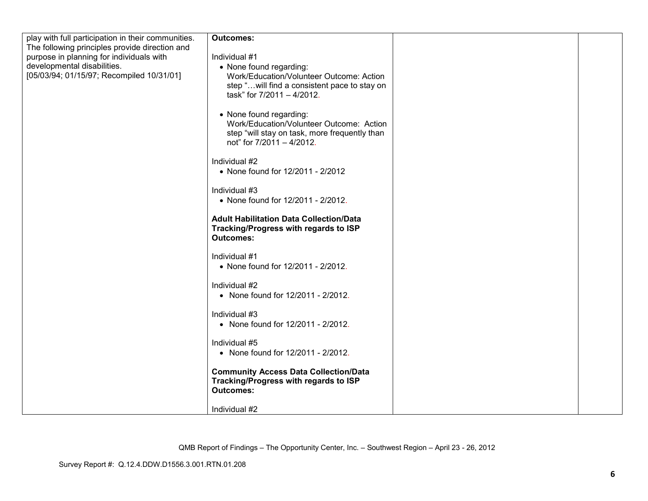| play with full participation in their communities. | <b>Outcomes:</b>                               |  |
|----------------------------------------------------|------------------------------------------------|--|
| The following principles provide direction and     |                                                |  |
| purpose in planning for individuals with           | Individual #1                                  |  |
| developmental disabilities.                        | • None found regarding:                        |  |
| [05/03/94; 01/15/97; Recompiled 10/31/01]          | Work/Education/Volunteer Outcome: Action       |  |
|                                                    | step "will find a consistent pace to stay on   |  |
|                                                    | task" for 7/2011 - 4/2012.                     |  |
|                                                    |                                                |  |
|                                                    | • None found regarding:                        |  |
|                                                    | Work/Education/Volunteer Outcome: Action       |  |
|                                                    | step "will stay on task, more frequently than  |  |
|                                                    | not" for 7/2011 - 4/2012.                      |  |
|                                                    |                                                |  |
|                                                    | Individual #2                                  |  |
|                                                    | • None found for 12/2011 - 2/2012              |  |
|                                                    |                                                |  |
|                                                    | Individual #3                                  |  |
|                                                    | • None found for 12/2011 - 2/2012.             |  |
|                                                    |                                                |  |
|                                                    | <b>Adult Habilitation Data Collection/Data</b> |  |
|                                                    | Tracking/Progress with regards to ISP          |  |
|                                                    | <b>Outcomes:</b>                               |  |
|                                                    | Individual #1                                  |  |
|                                                    | • None found for 12/2011 - 2/2012.             |  |
|                                                    |                                                |  |
|                                                    | Individual #2                                  |  |
|                                                    | • None found for 12/2011 - 2/2012.             |  |
|                                                    |                                                |  |
|                                                    | Individual #3                                  |  |
|                                                    | • None found for 12/2011 - 2/2012.             |  |
|                                                    |                                                |  |
|                                                    | Individual #5                                  |  |
|                                                    | • None found for 12/2011 - 2/2012.             |  |
|                                                    |                                                |  |
|                                                    | <b>Community Access Data Collection/Data</b>   |  |
|                                                    | Tracking/Progress with regards to ISP          |  |
|                                                    | <b>Outcomes:</b>                               |  |
|                                                    |                                                |  |
|                                                    | Individual #2                                  |  |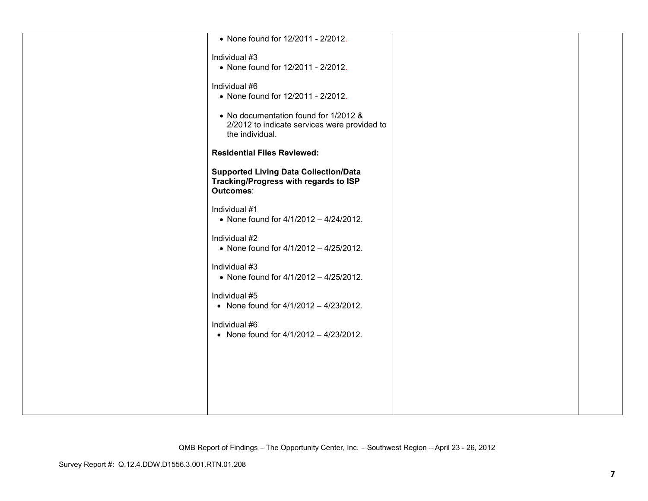| • None found for 12/2011 - 2/2012.                              |  |
|-----------------------------------------------------------------|--|
| Individual #3                                                   |  |
| • None found for 12/2011 - 2/2012.                              |  |
|                                                                 |  |
| Individual #6<br>• None found for 12/2011 - 2/2012.             |  |
|                                                                 |  |
| • No documentation found for 1/2012 &                           |  |
| 2/2012 to indicate services were provided to<br>the individual. |  |
|                                                                 |  |
| <b>Residential Files Reviewed:</b>                              |  |
| <b>Supported Living Data Collection/Data</b>                    |  |
| Tracking/Progress with regards to ISP<br>Outcomes:              |  |
|                                                                 |  |
| Individual #1                                                   |  |
| • None found for $4/1/2012 - 4/24/2012$ .                       |  |
| Individual #2                                                   |  |
| • None found for 4/1/2012 - 4/25/2012.                          |  |
| Individual #3                                                   |  |
| • None found for $4/1/2012 - 4/25/2012$ .                       |  |
| Individual #5                                                   |  |
| • None found for $4/1/2012 - 4/23/2012$ .                       |  |
|                                                                 |  |
| Individual #6<br>• None found for $4/1/2012 - 4/23/2012$ .      |  |
|                                                                 |  |
|                                                                 |  |
|                                                                 |  |
|                                                                 |  |
|                                                                 |  |
|                                                                 |  |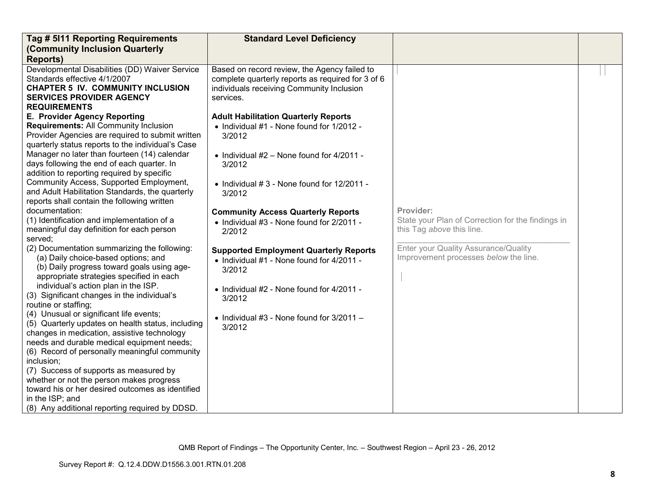| Tag # 5111 Reporting Requirements                                                         | <b>Standard Level Deficiency</b>                   |                                                   |  |
|-------------------------------------------------------------------------------------------|----------------------------------------------------|---------------------------------------------------|--|
| (Community Inclusion Quarterly                                                            |                                                    |                                                   |  |
| <b>Reports)</b>                                                                           |                                                    |                                                   |  |
| Developmental Disabilities (DD) Waiver Service                                            | Based on record review, the Agency failed to       |                                                   |  |
| Standards effective 4/1/2007                                                              | complete quarterly reports as required for 3 of 6  |                                                   |  |
| <b>CHAPTER 5 IV. COMMUNITY INCLUSION</b>                                                  | individuals receiving Community Inclusion          |                                                   |  |
| <b>SERVICES PROVIDER AGENCY</b>                                                           | services.                                          |                                                   |  |
| <b>REQUIREMENTS</b>                                                                       |                                                    |                                                   |  |
| E. Provider Agency Reporting                                                              | <b>Adult Habilitation Quarterly Reports</b>        |                                                   |  |
| <b>Requirements: All Community Inclusion</b>                                              | • Individual #1 - None found for 1/2012 -          |                                                   |  |
| Provider Agencies are required to submit written                                          | 3/2012                                             |                                                   |  |
| quarterly status reports to the individual's Case                                         |                                                    |                                                   |  |
| Manager no later than fourteen (14) calendar                                              | • Individual $#2$ – None found for 4/2011 -        |                                                   |  |
| days following the end of each quarter. In                                                | 3/2012                                             |                                                   |  |
| addition to reporting required by specific                                                |                                                    |                                                   |  |
| Community Access, Supported Employment,                                                   | $\bullet$ Individual #3 - None found for 12/2011 - |                                                   |  |
| and Adult Habilitation Standards, the quarterly                                           | 3/2012                                             |                                                   |  |
| reports shall contain the following written                                               |                                                    |                                                   |  |
| documentation:                                                                            | <b>Community Access Quarterly Reports</b>          | Provider:                                         |  |
| (1) Identification and implementation of a                                                | • Individual #3 - None found for 2/2011 -          | State your Plan of Correction for the findings in |  |
| meaningful day definition for each person                                                 | 2/2012                                             | this Tag above this line.                         |  |
| served;                                                                                   |                                                    |                                                   |  |
| (2) Documentation summarizing the following:                                              | <b>Supported Employment Quarterly Reports</b>      | Enter your Quality Assurance/Quality              |  |
| (a) Daily choice-based options; and                                                       | • Individual #1 - None found for 4/2011 -          | Improvement processes below the line.             |  |
| (b) Daily progress toward goals using age-                                                | 3/2012                                             |                                                   |  |
| appropriate strategies specified in each                                                  |                                                    |                                                   |  |
| individual's action plan in the ISP.                                                      | • Individual #2 - None found for 4/2011 -          |                                                   |  |
| (3) Significant changes in the individual's                                               | 3/2012                                             |                                                   |  |
| routine or staffing;                                                                      |                                                    |                                                   |  |
| (4) Unusual or significant life events;                                                   | $\bullet$ Individual #3 - None found for 3/2011 -  |                                                   |  |
| (5) Quarterly updates on health status, including                                         | 3/2012                                             |                                                   |  |
| changes in medication, assistive technology<br>needs and durable medical equipment needs; |                                                    |                                                   |  |
|                                                                                           |                                                    |                                                   |  |
| (6) Record of personally meaningful community<br>inclusion;                               |                                                    |                                                   |  |
| (7) Success of supports as measured by                                                    |                                                    |                                                   |  |
| whether or not the person makes progress                                                  |                                                    |                                                   |  |
|                                                                                           |                                                    |                                                   |  |
|                                                                                           |                                                    |                                                   |  |
|                                                                                           |                                                    |                                                   |  |
| toward his or her desired outcomes as identified<br>in the ISP; and                       |                                                    |                                                   |  |
| (8) Any additional reporting required by DDSD.                                            |                                                    |                                                   |  |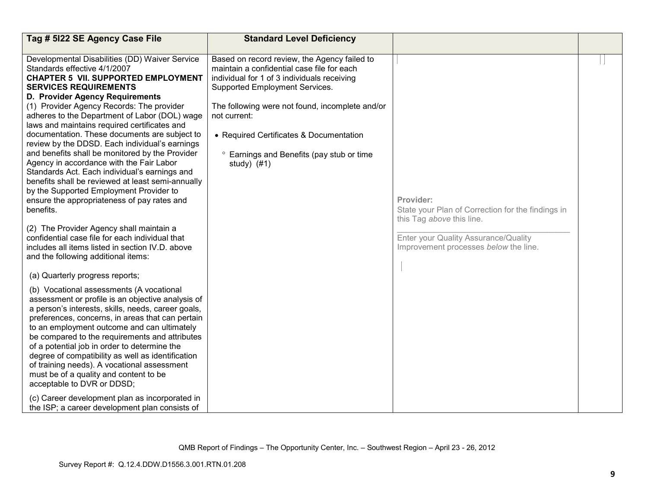| Tag # 5122 SE Agency Case File                                                                                                                                                                                                                                                                                                                                                                                                                                                                                                                                                                                                                                                                                                                               | <b>Standard Level Deficiency</b>                                                                                                                                                                                                                                                                                                                                   |                                                                                                            |  |
|--------------------------------------------------------------------------------------------------------------------------------------------------------------------------------------------------------------------------------------------------------------------------------------------------------------------------------------------------------------------------------------------------------------------------------------------------------------------------------------------------------------------------------------------------------------------------------------------------------------------------------------------------------------------------------------------------------------------------------------------------------------|--------------------------------------------------------------------------------------------------------------------------------------------------------------------------------------------------------------------------------------------------------------------------------------------------------------------------------------------------------------------|------------------------------------------------------------------------------------------------------------|--|
|                                                                                                                                                                                                                                                                                                                                                                                                                                                                                                                                                                                                                                                                                                                                                              |                                                                                                                                                                                                                                                                                                                                                                    |                                                                                                            |  |
| Developmental Disabilities (DD) Waiver Service<br>Standards effective 4/1/2007<br><b>CHAPTER 5 VII. SUPPORTED EMPLOYMENT</b><br><b>SERVICES REQUIREMENTS</b><br>D. Provider Agency Requirements<br>(1) Provider Agency Records: The provider<br>adheres to the Department of Labor (DOL) wage<br>laws and maintains required certificates and<br>documentation. These documents are subject to<br>review by the DDSD. Each individual's earnings<br>and benefits shall be monitored by the Provider<br>Agency in accordance with the Fair Labor<br>Standards Act. Each individual's earnings and<br>benefits shall be reviewed at least semi-annually<br>by the Supported Employment Provider to<br>ensure the appropriateness of pay rates and<br>benefits. | Based on record review, the Agency failed to<br>maintain a confidential case file for each<br>individual for 1 of 3 individuals receiving<br>Supported Employment Services.<br>The following were not found, incomplete and/or<br>not current:<br>• Required Certificates & Documentation<br><sup>o</sup> Earnings and Benefits (pay stub or time<br>study) $(#1)$ | Provider:<br>State your Plan of Correction for the findings in                                             |  |
| (2) The Provider Agency shall maintain a<br>confidential case file for each individual that<br>includes all items listed in section IV.D. above<br>and the following additional items:                                                                                                                                                                                                                                                                                                                                                                                                                                                                                                                                                                       |                                                                                                                                                                                                                                                                                                                                                                    | this Tag above this line.<br>Enter your Quality Assurance/Quality<br>Improvement processes below the line. |  |
| (a) Quarterly progress reports;                                                                                                                                                                                                                                                                                                                                                                                                                                                                                                                                                                                                                                                                                                                              |                                                                                                                                                                                                                                                                                                                                                                    |                                                                                                            |  |
| (b) Vocational assessments (A vocational<br>assessment or profile is an objective analysis of<br>a person's interests, skills, needs, career goals,<br>preferences, concerns, in areas that can pertain<br>to an employment outcome and can ultimately<br>be compared to the requirements and attributes<br>of a potential job in order to determine the<br>degree of compatibility as well as identification<br>of training needs). A vocational assessment<br>must be of a quality and content to be<br>acceptable to DVR or DDSD;                                                                                                                                                                                                                         |                                                                                                                                                                                                                                                                                                                                                                    |                                                                                                            |  |
| (c) Career development plan as incorporated in<br>the ISP; a career development plan consists of                                                                                                                                                                                                                                                                                                                                                                                                                                                                                                                                                                                                                                                             |                                                                                                                                                                                                                                                                                                                                                                    |                                                                                                            |  |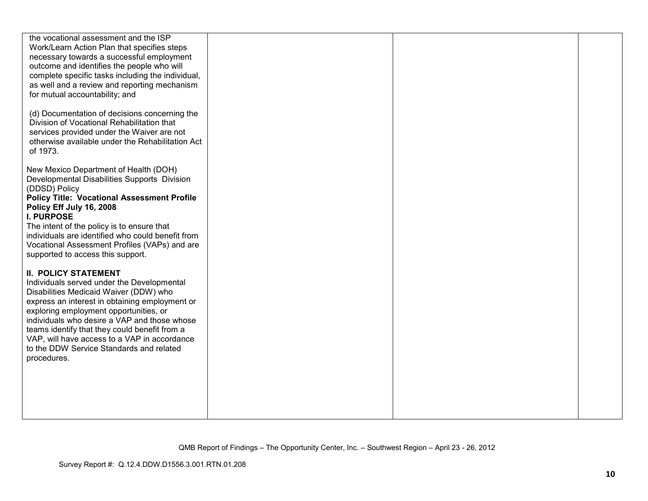| the vocational assessment and the ISP              |  |  |
|----------------------------------------------------|--|--|
| Work/Learn Action Plan that specifies steps        |  |  |
| necessary towards a successful employment          |  |  |
| outcome and identifies the people who will         |  |  |
| complete specific tasks including the individual,  |  |  |
|                                                    |  |  |
| as well and a review and reporting mechanism       |  |  |
| for mutual accountability; and                     |  |  |
|                                                    |  |  |
| (d) Documentation of decisions concerning the      |  |  |
| Division of Vocational Rehabilitation that         |  |  |
| services provided under the Waiver are not         |  |  |
|                                                    |  |  |
| otherwise available under the Rehabilitation Act   |  |  |
| of 1973.                                           |  |  |
|                                                    |  |  |
| New Mexico Department of Health (DOH)              |  |  |
| Developmental Disabilities Supports Division       |  |  |
| (DDSD) Policy                                      |  |  |
| <b>Policy Title: Vocational Assessment Profile</b> |  |  |
| Policy Eff July 16, 2008                           |  |  |
| <b>I. PURPOSE</b>                                  |  |  |
|                                                    |  |  |
| The intent of the policy is to ensure that         |  |  |
| individuals are identified who could benefit from  |  |  |
| Vocational Assessment Profiles (VAPs) and are      |  |  |
| supported to access this support.                  |  |  |
|                                                    |  |  |
| <b>II. POLICY STATEMENT</b>                        |  |  |
| Individuals served under the Developmental         |  |  |
|                                                    |  |  |
| Disabilities Medicaid Waiver (DDW) who             |  |  |
| express an interest in obtaining employment or     |  |  |
| exploring employment opportunities, or             |  |  |
| individuals who desire a VAP and those whose       |  |  |
| teams identify that they could benefit from a      |  |  |
| VAP, will have access to a VAP in accordance       |  |  |
| to the DDW Service Standards and related           |  |  |
| procedures.                                        |  |  |
|                                                    |  |  |
|                                                    |  |  |
|                                                    |  |  |
|                                                    |  |  |
|                                                    |  |  |
|                                                    |  |  |
|                                                    |  |  |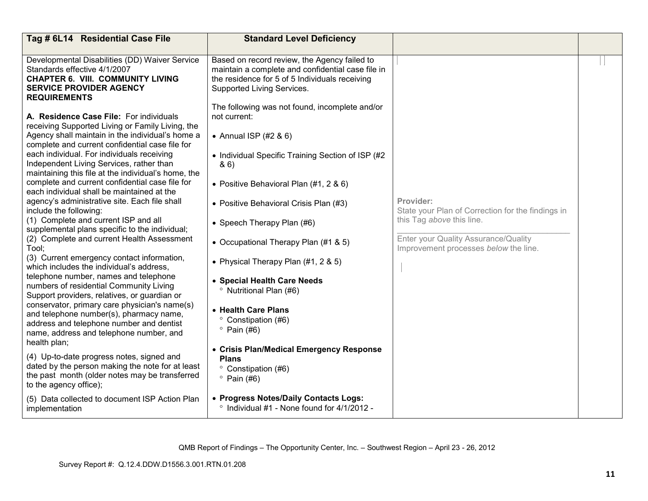| Tag # 6L14 Residential Case File                                                                                                                                                                      | <b>Standard Level Deficiency</b>                                                                                                                                                  |                                                                                |  |
|-------------------------------------------------------------------------------------------------------------------------------------------------------------------------------------------------------|-----------------------------------------------------------------------------------------------------------------------------------------------------------------------------------|--------------------------------------------------------------------------------|--|
| Developmental Disabilities (DD) Waiver Service<br>Standards effective 4/1/2007<br><b>CHAPTER 6. VIII. COMMUNITY LIVING</b><br><b>SERVICE PROVIDER AGENCY</b><br><b>REQUIREMENTS</b>                   | Based on record review, the Agency failed to<br>maintain a complete and confidential case file in<br>the residence for 5 of 5 Individuals receiving<br>Supported Living Services. |                                                                                |  |
| A. Residence Case File: For individuals<br>receiving Supported Living or Family Living, the<br>Agency shall maintain in the individual's home a                                                       | The following was not found, incomplete and/or<br>not current:<br>• Annual ISP $(#2 \& 6)$                                                                                        |                                                                                |  |
| complete and current confidential case file for<br>each individual. For individuals receiving<br>Independent Living Services, rather than                                                             | • Individual Specific Training Section of ISP (#2)<br>8.6                                                                                                                         |                                                                                |  |
| maintaining this file at the individual's home, the<br>complete and current confidential case file for<br>each individual shall be maintained at the<br>agency's administrative site. Each file shall | • Positive Behavioral Plan (#1, 2 & 6)                                                                                                                                            | Provider:                                                                      |  |
| include the following:<br>(1) Complete and current ISP and all<br>supplemental plans specific to the individual;                                                                                      | • Positive Behavioral Crisis Plan (#3)<br>• Speech Therapy Plan (#6)                                                                                                              | State your Plan of Correction for the findings in<br>this Tag above this line. |  |
| (2) Complete and current Health Assessment<br>Tool;<br>(3) Current emergency contact information,                                                                                                     | • Occupational Therapy Plan (#1 & 5)<br>• Physical Therapy Plan $(\#1, 2 \& 5)$                                                                                                   | Enter your Quality Assurance/Quality<br>Improvement processes below the line.  |  |
| which includes the individual's address,<br>telephone number, names and telephone<br>numbers of residential Community Living<br>Support providers, relatives, or guardian or                          | • Special Health Care Needs<br><sup>o</sup> Nutritional Plan (#6)                                                                                                                 |                                                                                |  |
| conservator, primary care physician's name(s)<br>and telephone number(s), pharmacy name,<br>address and telephone number and dentist<br>name, address and telephone number, and                       | • Health Care Plans<br>° Constipation (#6)<br>$^{\circ}$ Pain (#6)                                                                                                                |                                                                                |  |
| health plan;<br>(4) Up-to-date progress notes, signed and<br>dated by the person making the note for at least                                                                                         | • Crisis Plan/Medical Emergency Response<br><b>Plans</b><br>° Constipation (#6)                                                                                                   |                                                                                |  |
| the past month (older notes may be transferred<br>to the agency office);                                                                                                                              | $^{\circ}$ Pain (#6)                                                                                                                                                              |                                                                                |  |
| (5) Data collected to document ISP Action Plan<br>implementation                                                                                                                                      | • Progress Notes/Daily Contacts Logs:<br>$\degree$ Individual #1 - None found for 4/1/2012 -                                                                                      |                                                                                |  |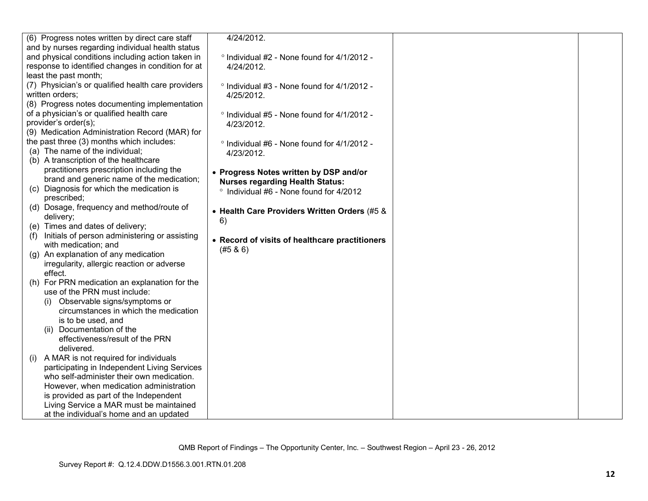| (6) Progress notes written by direct care staff      | 4/24/2012.                                          |  |
|------------------------------------------------------|-----------------------------------------------------|--|
| and by nurses regarding individual health status     |                                                     |  |
| and physical conditions including action taken in    | ° Individual #2 - None found for 4/1/2012 -         |  |
| response to identified changes in condition for at   | 4/24/2012.                                          |  |
| least the past month;                                |                                                     |  |
| (7) Physician's or qualified health care providers   | ° Individual #3 - None found for 4/1/2012 -         |  |
| written orders;                                      | 4/25/2012.                                          |  |
| (8) Progress notes documenting implementation        |                                                     |  |
| of a physician's or qualified health care            | ° Individual #5 - None found for 4/1/2012 -         |  |
| provider's order(s);                                 | 4/23/2012.                                          |  |
| (9) Medication Administration Record (MAR) for       |                                                     |  |
| the past three (3) months which includes:            | $\degree$ Individual #6 - None found for 4/1/2012 - |  |
| (a) The name of the individual;                      | 4/23/2012.                                          |  |
| (b) A transcription of the healthcare                |                                                     |  |
| practitioners prescription including the             | • Progress Notes written by DSP and/or              |  |
| brand and generic name of the medication;            | <b>Nurses regarding Health Status:</b>              |  |
| (c) Diagnosis for which the medication is            | ° Individual #6 - None found for 4/2012             |  |
| prescribed;                                          |                                                     |  |
| (d) Dosage, frequency and method/route of            | • Health Care Providers Written Orders (#5 &        |  |
| delivery;                                            | 6)                                                  |  |
| (e) Times and dates of delivery;                     |                                                     |  |
| Initials of person administering or assisting<br>(1) | • Record of visits of healthcare practitioners      |  |
| with medication; and                                 | (#5 & 6)                                            |  |
| (g) An explanation of any medication                 |                                                     |  |
| irregularity, allergic reaction or adverse           |                                                     |  |
| effect.                                              |                                                     |  |
| (h) For PRN medication an explanation for the        |                                                     |  |
| use of the PRN must include:                         |                                                     |  |
| (i) Observable signs/symptoms or                     |                                                     |  |
| circumstances in which the medication                |                                                     |  |
| is to be used, and                                   |                                                     |  |
| Documentation of the                                 |                                                     |  |
| effectiveness/result of the PRN                      |                                                     |  |
| delivered.                                           |                                                     |  |
| A MAR is not required for individuals<br>(i)         |                                                     |  |
| participating in Independent Living Services         |                                                     |  |
| who self-administer their own medication.            |                                                     |  |
| However, when medication administration              |                                                     |  |
| is provided as part of the Independent               |                                                     |  |
| Living Service a MAR must be maintained              |                                                     |  |
| at the individual's home and an updated              |                                                     |  |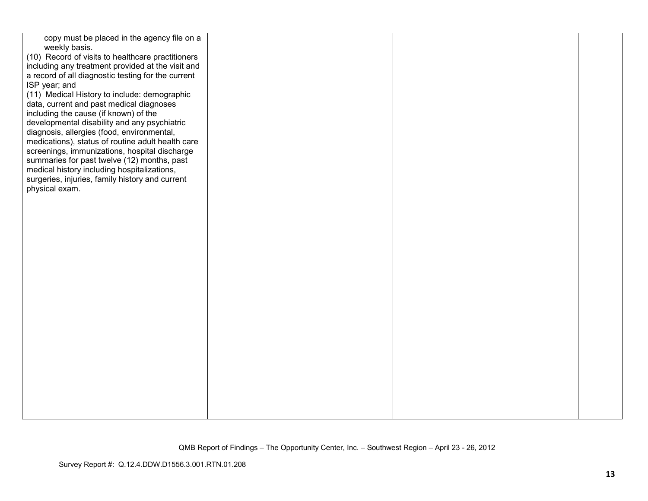| copy must be placed in the agency file on a        |  |  |
|----------------------------------------------------|--|--|
| weekly basis.                                      |  |  |
| (10) Record of visits to healthcare practitioners  |  |  |
| including any treatment provided at the visit and  |  |  |
| a record of all diagnostic testing for the current |  |  |
| ISP year; and                                      |  |  |
| (11) Medical History to include: demographic       |  |  |
| data, current and past medical diagnoses           |  |  |
| including the cause (if known) of the              |  |  |
| developmental disability and any psychiatric       |  |  |
| diagnosis, allergies (food, environmental,         |  |  |
| medications), status of routine adult health care  |  |  |
| screenings, immunizations, hospital discharge      |  |  |
| summaries for past twelve (12) months, past        |  |  |
| medical history including hospitalizations,        |  |  |
| surgeries, injuries, family history and current    |  |  |
| physical exam.                                     |  |  |
|                                                    |  |  |
|                                                    |  |  |
|                                                    |  |  |
|                                                    |  |  |
|                                                    |  |  |
|                                                    |  |  |
|                                                    |  |  |
|                                                    |  |  |
|                                                    |  |  |
|                                                    |  |  |
|                                                    |  |  |
|                                                    |  |  |
|                                                    |  |  |
|                                                    |  |  |
|                                                    |  |  |
|                                                    |  |  |
|                                                    |  |  |
|                                                    |  |  |
|                                                    |  |  |
|                                                    |  |  |
|                                                    |  |  |
|                                                    |  |  |
|                                                    |  |  |
|                                                    |  |  |
|                                                    |  |  |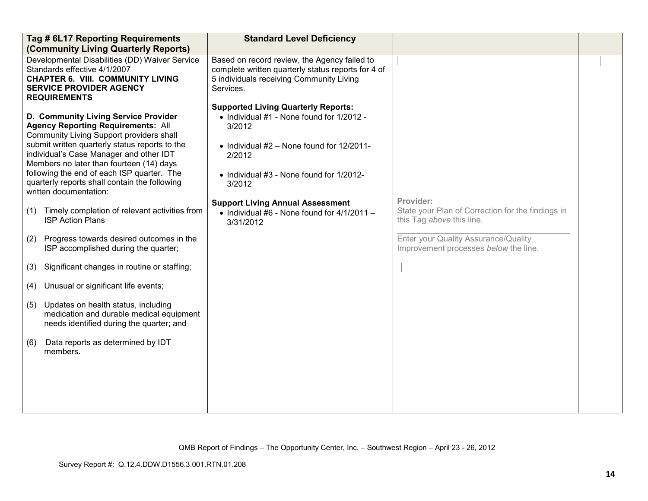| Tag # 6L17 Reporting Requirements<br>(Community Living Quarterly Reports)                                                                                                                                                                                                                                                                                                                                                                                                                                                                                                                                                                                                                                                                                                                                                                                                                              | <b>Standard Level Deficiency</b>                                                                                                                                                                                                                                                                                          |                                                                                                                                                                              |  |
|--------------------------------------------------------------------------------------------------------------------------------------------------------------------------------------------------------------------------------------------------------------------------------------------------------------------------------------------------------------------------------------------------------------------------------------------------------------------------------------------------------------------------------------------------------------------------------------------------------------------------------------------------------------------------------------------------------------------------------------------------------------------------------------------------------------------------------------------------------------------------------------------------------|---------------------------------------------------------------------------------------------------------------------------------------------------------------------------------------------------------------------------------------------------------------------------------------------------------------------------|------------------------------------------------------------------------------------------------------------------------------------------------------------------------------|--|
| Developmental Disabilities (DD) Waiver Service<br>Standards effective 4/1/2007<br><b>CHAPTER 6. VIII. COMMUNITY LIVING</b><br><b>SERVICE PROVIDER AGENCY</b>                                                                                                                                                                                                                                                                                                                                                                                                                                                                                                                                                                                                                                                                                                                                           | Based on record review, the Agency failed to<br>complete written quarterly status reports for 4 of<br>5 individuals receiving Community Living<br>Services.                                                                                                                                                               |                                                                                                                                                                              |  |
| <b>REQUIREMENTS</b><br>D. Community Living Service Provider<br><b>Agency Reporting Requirements: All</b><br>Community Living Support providers shall<br>submit written quarterly status reports to the<br>individual's Case Manager and other IDT<br>Members no later than fourteen (14) days<br>following the end of each ISP quarter. The<br>quarterly reports shall contain the following<br>written documentation:<br>Timely completion of relevant activities from<br>(1)<br><b>ISP Action Plans</b><br>Progress towards desired outcomes in the<br>(2)<br>ISP accomplished during the quarter;<br>Significant changes in routine or staffing;<br>(3)<br>Unusual or significant life events;<br>(4)<br>Updates on health status, including<br>(5)<br>medication and durable medical equipment<br>needs identified during the quarter; and<br>Data reports as determined by IDT<br>(6)<br>members. | <b>Supported Living Quarterly Reports:</b><br>• Individual #1 - None found for 1/2012 -<br>3/2012<br>• Individual $#2$ – None found for 12/2011-<br>2/2012<br>• Individual #3 - None found for 1/2012-<br>3/2012<br><b>Support Living Annual Assessment</b><br>• Individual #6 - None found for $4/1/2011 -$<br>3/31/2012 | Provider:<br>State your Plan of Correction for the findings in<br>this Tag above this line.<br>Enter your Quality Assurance/Quality<br>Improvement processes below the line. |  |
|                                                                                                                                                                                                                                                                                                                                                                                                                                                                                                                                                                                                                                                                                                                                                                                                                                                                                                        |                                                                                                                                                                                                                                                                                                                           |                                                                                                                                                                              |  |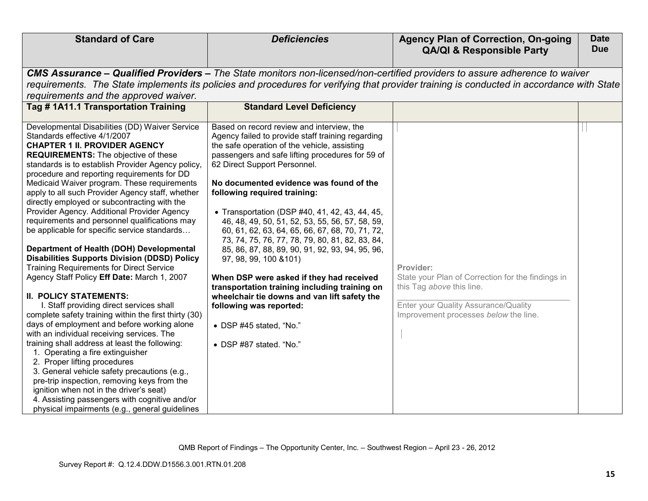| <b>Standard of Care</b>                                                                                                                                                                                                                                                                                                                                                                                                                                                                                                                                                                                                                                                                                                                                                                                                                                                                                                                                                                                                                                                                                                                                                                                                                                                                                                               | <b>Deficiencies</b>                                                                                                                                                                                                                                                                                                                                                                                                                                                                                                                                                                                                                                                                                                                                                                                                                 | <b>Agency Plan of Correction, On-going</b><br><b>QA/QI &amp; Responsible Party</b>                                                                                           | <b>Date</b><br><b>Due</b> |
|---------------------------------------------------------------------------------------------------------------------------------------------------------------------------------------------------------------------------------------------------------------------------------------------------------------------------------------------------------------------------------------------------------------------------------------------------------------------------------------------------------------------------------------------------------------------------------------------------------------------------------------------------------------------------------------------------------------------------------------------------------------------------------------------------------------------------------------------------------------------------------------------------------------------------------------------------------------------------------------------------------------------------------------------------------------------------------------------------------------------------------------------------------------------------------------------------------------------------------------------------------------------------------------------------------------------------------------|-------------------------------------------------------------------------------------------------------------------------------------------------------------------------------------------------------------------------------------------------------------------------------------------------------------------------------------------------------------------------------------------------------------------------------------------------------------------------------------------------------------------------------------------------------------------------------------------------------------------------------------------------------------------------------------------------------------------------------------------------------------------------------------------------------------------------------------|------------------------------------------------------------------------------------------------------------------------------------------------------------------------------|---------------------------|
| requirements and the approved waiver.                                                                                                                                                                                                                                                                                                                                                                                                                                                                                                                                                                                                                                                                                                                                                                                                                                                                                                                                                                                                                                                                                                                                                                                                                                                                                                 | CMS Assurance – Qualified Providers – The State monitors non-licensed/non-certified providers to assure adherence to waiver<br>requirements. The State implements its policies and procedures for verifying that provider training is conducted in accordance with State                                                                                                                                                                                                                                                                                                                                                                                                                                                                                                                                                            |                                                                                                                                                                              |                           |
| Tag #1A11.1 Transportation Training                                                                                                                                                                                                                                                                                                                                                                                                                                                                                                                                                                                                                                                                                                                                                                                                                                                                                                                                                                                                                                                                                                                                                                                                                                                                                                   | <b>Standard Level Deficiency</b>                                                                                                                                                                                                                                                                                                                                                                                                                                                                                                                                                                                                                                                                                                                                                                                                    |                                                                                                                                                                              |                           |
|                                                                                                                                                                                                                                                                                                                                                                                                                                                                                                                                                                                                                                                                                                                                                                                                                                                                                                                                                                                                                                                                                                                                                                                                                                                                                                                                       |                                                                                                                                                                                                                                                                                                                                                                                                                                                                                                                                                                                                                                                                                                                                                                                                                                     |                                                                                                                                                                              |                           |
| Developmental Disabilities (DD) Waiver Service<br>Standards effective 4/1/2007<br><b>CHAPTER 1 II. PROVIDER AGENCY</b><br><b>REQUIREMENTS:</b> The objective of these<br>standards is to establish Provider Agency policy,<br>procedure and reporting requirements for DD<br>Medicaid Waiver program. These requirements<br>apply to all such Provider Agency staff, whether<br>directly employed or subcontracting with the<br>Provider Agency. Additional Provider Agency<br>requirements and personnel qualifications may<br>be applicable for specific service standards<br>Department of Health (DOH) Developmental<br><b>Disabilities Supports Division (DDSD) Policy</b><br><b>Training Requirements for Direct Service</b><br>Agency Staff Policy Eff Date: March 1, 2007<br><b>II. POLICY STATEMENTS:</b><br>I. Staff providing direct services shall<br>complete safety training within the first thirty (30)<br>days of employment and before working alone<br>with an individual receiving services. The<br>training shall address at least the following:<br>1. Operating a fire extinguisher<br>2. Proper lifting procedures<br>3. General vehicle safety precautions (e.g.,<br>pre-trip inspection, removing keys from the<br>ignition when not in the driver's seat)<br>4. Assisting passengers with cognitive and/or | Based on record review and interview, the<br>Agency failed to provide staff training regarding<br>the safe operation of the vehicle, assisting<br>passengers and safe lifting procedures for 59 of<br>62 Direct Support Personnel.<br>No documented evidence was found of the<br>following required training:<br>• Transportation (DSP #40, 41, 42, 43, 44, 45,<br>46, 48, 49, 50, 51, 52, 53, 55, 56, 57, 58, 59,<br>60, 61, 62, 63, 64, 65, 66, 67, 68, 70, 71, 72,<br>73, 74, 75, 76, 77, 78, 79, 80, 81, 82, 83, 84,<br>85, 86, 87, 88, 89, 90, 91, 92, 93, 94, 95, 96,<br>97, 98, 99, 100 & 101)<br>When DSP were asked if they had received<br>transportation training including training on<br>wheelchair tie downs and van lift safety the<br>following was reported:<br>• DSP #45 stated, "No."<br>• DSP #87 stated. "No." | Provider:<br>State your Plan of Correction for the findings in<br>this Tag above this line.<br>Enter your Quality Assurance/Quality<br>Improvement processes below the line. |                           |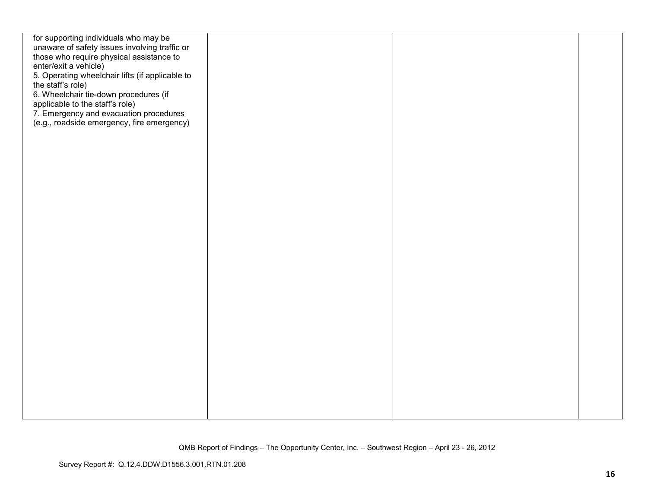| for supporting individuals who may be<br>unaware of safety issues involving traffic or<br>those who require physical assistance to<br>enter/exit a vehicle)<br>5. Operating wheelchair lifts (if applicable to<br>the staff's role) |
|-------------------------------------------------------------------------------------------------------------------------------------------------------------------------------------------------------------------------------------|
|                                                                                                                                                                                                                                     |
|                                                                                                                                                                                                                                     |
|                                                                                                                                                                                                                                     |
|                                                                                                                                                                                                                                     |
|                                                                                                                                                                                                                                     |
|                                                                                                                                                                                                                                     |
| 6. Wheelchair tie-down procedures (if                                                                                                                                                                                               |
| applicable to the staff's role)                                                                                                                                                                                                     |
| 7. Emergency and evacuation procedures<br>(e.g., roadside emergency, fire emergency)                                                                                                                                                |
|                                                                                                                                                                                                                                     |
|                                                                                                                                                                                                                                     |
|                                                                                                                                                                                                                                     |
|                                                                                                                                                                                                                                     |
|                                                                                                                                                                                                                                     |
|                                                                                                                                                                                                                                     |
|                                                                                                                                                                                                                                     |
|                                                                                                                                                                                                                                     |
|                                                                                                                                                                                                                                     |
|                                                                                                                                                                                                                                     |
|                                                                                                                                                                                                                                     |
|                                                                                                                                                                                                                                     |
|                                                                                                                                                                                                                                     |
|                                                                                                                                                                                                                                     |
|                                                                                                                                                                                                                                     |
|                                                                                                                                                                                                                                     |
|                                                                                                                                                                                                                                     |
|                                                                                                                                                                                                                                     |
|                                                                                                                                                                                                                                     |
|                                                                                                                                                                                                                                     |
|                                                                                                                                                                                                                                     |
|                                                                                                                                                                                                                                     |
|                                                                                                                                                                                                                                     |
|                                                                                                                                                                                                                                     |
|                                                                                                                                                                                                                                     |
|                                                                                                                                                                                                                                     |
|                                                                                                                                                                                                                                     |
|                                                                                                                                                                                                                                     |
|                                                                                                                                                                                                                                     |
|                                                                                                                                                                                                                                     |
|                                                                                                                                                                                                                                     |
|                                                                                                                                                                                                                                     |
|                                                                                                                                                                                                                                     |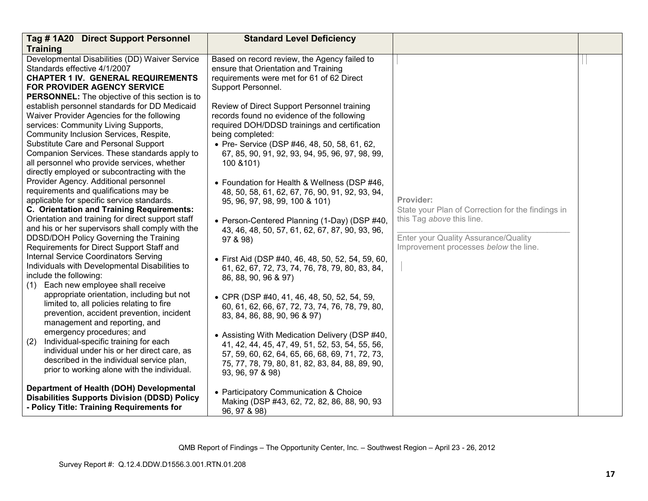| Tag #1A20 Direct Support Personnel                                                          | <b>Standard Level Deficiency</b>                                                                  |                                                   |  |
|---------------------------------------------------------------------------------------------|---------------------------------------------------------------------------------------------------|---------------------------------------------------|--|
| <b>Training</b>                                                                             |                                                                                                   |                                                   |  |
| Developmental Disabilities (DD) Waiver Service                                              | Based on record review, the Agency failed to                                                      |                                                   |  |
| Standards effective 4/1/2007                                                                | ensure that Orientation and Training                                                              |                                                   |  |
| <b>CHAPTER 1 IV. GENERAL REQUIREMENTS</b>                                                   | requirements were met for 61 of 62 Direct                                                         |                                                   |  |
| <b>FOR PROVIDER AGENCY SERVICE</b>                                                          | Support Personnel.                                                                                |                                                   |  |
| <b>PERSONNEL:</b> The objective of this section is to                                       |                                                                                                   |                                                   |  |
| establish personnel standards for DD Medicaid                                               | Review of Direct Support Personnel training                                                       |                                                   |  |
| Waiver Provider Agencies for the following                                                  | records found no evidence of the following                                                        |                                                   |  |
| services: Community Living Supports,                                                        | required DOH/DDSD trainings and certification                                                     |                                                   |  |
| Community Inclusion Services, Respite,                                                      | being completed:                                                                                  |                                                   |  |
| Substitute Care and Personal Support                                                        | • Pre- Service (DSP #46, 48, 50, 58, 61, 62,                                                      |                                                   |  |
| Companion Services. These standards apply to                                                | 67, 85, 90, 91, 92, 93, 94, 95, 96, 97, 98, 99,                                                   |                                                   |  |
| all personnel who provide services, whether<br>directly employed or subcontracting with the | 100 & 101)                                                                                        |                                                   |  |
| Provider Agency. Additional personnel                                                       |                                                                                                   |                                                   |  |
| requirements and qualifications may be                                                      | • Foundation for Health & Wellness (DSP #46,                                                      |                                                   |  |
| applicable for specific service standards.                                                  | 48, 50, 58, 61, 62, 67, 76, 90, 91, 92, 93, 94,                                                   | Provider:                                         |  |
| C. Orientation and Training Requirements:                                                   | 95, 96, 97, 98, 99, 100 & 101)                                                                    | State your Plan of Correction for the findings in |  |
| Orientation and training for direct support staff                                           |                                                                                                   | this Tag above this line.                         |  |
| and his or her supervisors shall comply with the                                            | • Person-Centered Planning (1-Day) (DSP #40,                                                      |                                                   |  |
| DDSD/DOH Policy Governing the Training                                                      | 43, 46, 48, 50, 57, 61, 62, 67, 87, 90, 93, 96,                                                   | Enter your Quality Assurance/Quality              |  |
| Requirements for Direct Support Staff and                                                   | 97 & 98)                                                                                          | Improvement processes below the line.             |  |
| <b>Internal Service Coordinators Serving</b>                                                |                                                                                                   |                                                   |  |
| Individuals with Developmental Disabilities to                                              | • First Aid (DSP #40, 46, 48, 50, 52, 54, 59, 60,                                                 |                                                   |  |
| include the following:                                                                      | 61, 62, 67, 72, 73, 74, 76, 78, 79, 80, 83, 84,                                                   |                                                   |  |
| Each new employee shall receive<br>(1)                                                      | 86, 88, 90, 96 & 97)                                                                              |                                                   |  |
| appropriate orientation, including but not                                                  |                                                                                                   |                                                   |  |
| limited to, all policies relating to fire                                                   | • CPR (DSP #40, 41, 46, 48, 50, 52, 54, 59,                                                       |                                                   |  |
| prevention, accident prevention, incident                                                   | 60, 61, 62, 66, 67, 72, 73, 74, 76, 78, 79, 80,                                                   |                                                   |  |
| management and reporting, and                                                               | 83, 84, 86, 88, 90, 96 & 97)                                                                      |                                                   |  |
| emergency procedures; and                                                                   |                                                                                                   |                                                   |  |
| Individual-specific training for each<br>(2)                                                | • Assisting With Medication Delivery (DSP #40,<br>41, 42, 44, 45, 47, 49, 51, 52, 53, 54, 55, 56, |                                                   |  |
| individual under his or her direct care, as                                                 | 57, 59, 60, 62, 64, 65, 66, 68, 69, 71, 72, 73,                                                   |                                                   |  |
| described in the individual service plan,                                                   | 75, 77, 78, 79, 80, 81, 82, 83, 84, 88, 89, 90,                                                   |                                                   |  |
| prior to working alone with the individual.                                                 | 93, 96, 97 & 98)                                                                                  |                                                   |  |
|                                                                                             |                                                                                                   |                                                   |  |
| Department of Health (DOH) Developmental                                                    | • Participatory Communication & Choice                                                            |                                                   |  |
| <b>Disabilities Supports Division (DDSD) Policy</b>                                         | Making (DSP #43, 62, 72, 82, 86, 88, 90, 93                                                       |                                                   |  |
| - Policy Title: Training Requirements for                                                   | 96, 97 & 98)                                                                                      |                                                   |  |
|                                                                                             |                                                                                                   |                                                   |  |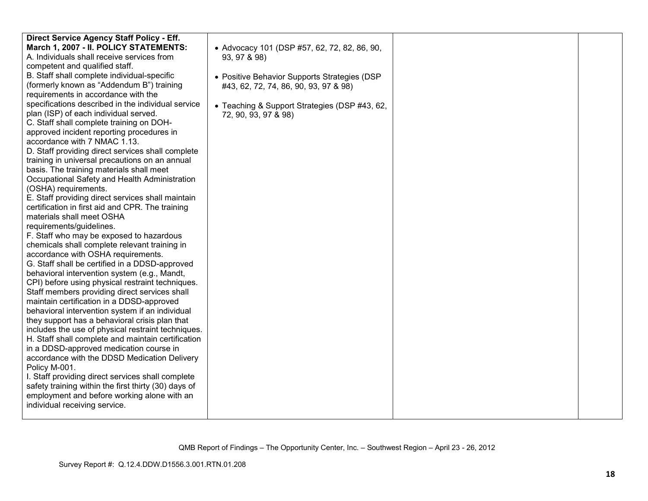| Direct Service Agency Staff Policy - Eff.            |                                               |  |
|------------------------------------------------------|-----------------------------------------------|--|
| March 1, 2007 - II. POLICY STATEMENTS:               | • Advocacy 101 (DSP #57, 62, 72, 82, 86, 90,  |  |
| A. Individuals shall receive services from           | 93, 97 & 98)                                  |  |
| competent and qualified staff.                       |                                               |  |
| B. Staff shall complete individual-specific          | • Positive Behavior Supports Strategies (DSP  |  |
| (formerly known as "Addendum B") training            | #43, 62, 72, 74, 86, 90, 93, 97 & 98)         |  |
| requirements in accordance with the                  |                                               |  |
| specifications described in the individual service   | • Teaching & Support Strategies (DSP #43, 62, |  |
| plan (ISP) of each individual served.                | 72, 90, 93, 97 & 98)                          |  |
| C. Staff shall complete training on DOH-             |                                               |  |
| approved incident reporting procedures in            |                                               |  |
| accordance with 7 NMAC 1.13.                         |                                               |  |
| D. Staff providing direct services shall complete    |                                               |  |
| training in universal precautions on an annual       |                                               |  |
| basis. The training materials shall meet             |                                               |  |
| Occupational Safety and Health Administration        |                                               |  |
| (OSHA) requirements.                                 |                                               |  |
| E. Staff providing direct services shall maintain    |                                               |  |
| certification in first aid and CPR. The training     |                                               |  |
| materials shall meet OSHA                            |                                               |  |
| requirements/guidelines.                             |                                               |  |
| F. Staff who may be exposed to hazardous             |                                               |  |
| chemicals shall complete relevant training in        |                                               |  |
| accordance with OSHA requirements.                   |                                               |  |
| G. Staff shall be certified in a DDSD-approved       |                                               |  |
| behavioral intervention system (e.g., Mandt,         |                                               |  |
| CPI) before using physical restraint techniques.     |                                               |  |
| Staff members providing direct services shall        |                                               |  |
| maintain certification in a DDSD-approved            |                                               |  |
| behavioral intervention system if an individual      |                                               |  |
| they support has a behavioral crisis plan that       |                                               |  |
| includes the use of physical restraint techniques.   |                                               |  |
| H. Staff shall complete and maintain certification   |                                               |  |
| in a DDSD-approved medication course in              |                                               |  |
| accordance with the DDSD Medication Delivery         |                                               |  |
| Policy M-001.                                        |                                               |  |
| I. Staff providing direct services shall complete    |                                               |  |
| safety training within the first thirty (30) days of |                                               |  |
| employment and before working alone with an          |                                               |  |
| individual receiving service.                        |                                               |  |
|                                                      |                                               |  |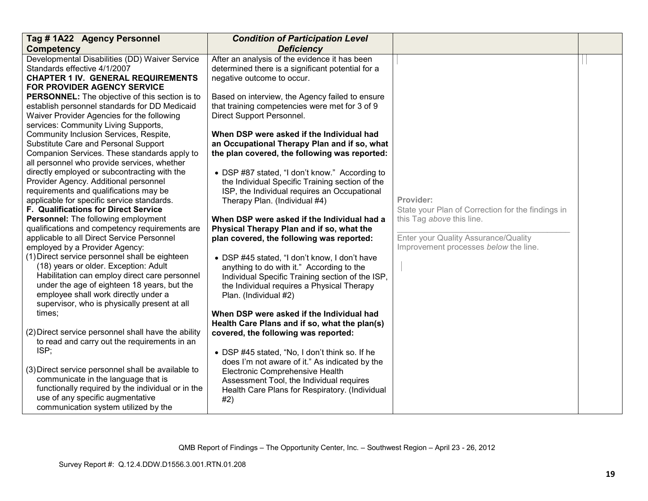| Tag #1A22 Agency Personnel                          | <b>Condition of Participation Level</b>           |                                                   |  |
|-----------------------------------------------------|---------------------------------------------------|---------------------------------------------------|--|
| <b>Competency</b>                                   | <b>Deficiency</b>                                 |                                                   |  |
| Developmental Disabilities (DD) Waiver Service      | After an analysis of the evidence it has been     |                                                   |  |
| Standards effective 4/1/2007                        | determined there is a significant potential for a |                                                   |  |
| <b>CHAPTER 1 IV. GENERAL REQUIREMENTS</b>           | negative outcome to occur.                        |                                                   |  |
| FOR PROVIDER AGENCY SERVICE                         |                                                   |                                                   |  |
| PERSONNEL: The objective of this section is to      | Based on interview, the Agency failed to ensure   |                                                   |  |
| establish personnel standards for DD Medicaid       | that training competencies were met for 3 of 9    |                                                   |  |
| Waiver Provider Agencies for the following          | Direct Support Personnel.                         |                                                   |  |
| services: Community Living Supports,                |                                                   |                                                   |  |
| Community Inclusion Services, Respite,              | When DSP were asked if the Individual had         |                                                   |  |
| Substitute Care and Personal Support                | an Occupational Therapy Plan and if so, what      |                                                   |  |
| Companion Services. These standards apply to        | the plan covered, the following was reported:     |                                                   |  |
| all personnel who provide services, whether         |                                                   |                                                   |  |
| directly employed or subcontracting with the        | • DSP #87 stated, "I don't know." According to    |                                                   |  |
| Provider Agency. Additional personnel               | the Individual Specific Training section of the   |                                                   |  |
| requirements and qualifications may be              | ISP, the Individual requires an Occupational      |                                                   |  |
| applicable for specific service standards.          | Therapy Plan. (Individual #4)                     | Provider:                                         |  |
| F. Qualifications for Direct Service                |                                                   | State your Plan of Correction for the findings in |  |
| Personnel: The following employment                 | When DSP were asked if the Individual had a       | this Tag above this line.                         |  |
| qualifications and competency requirements are      | Physical Therapy Plan and if so, what the         |                                                   |  |
| applicable to all Direct Service Personnel          | plan covered, the following was reported:         | Enter your Quality Assurance/Quality              |  |
| employed by a Provider Agency:                      |                                                   | Improvement processes below the line.             |  |
| (1) Direct service personnel shall be eighteen      | • DSP #45 stated, "I don't know, I don't have     |                                                   |  |
| (18) years or older. Exception: Adult               | anything to do with it." According to the         |                                                   |  |
| Habilitation can employ direct care personnel       | Individual Specific Training section of the ISP,  |                                                   |  |
| under the age of eighteen 18 years, but the         | the Individual requires a Physical Therapy        |                                                   |  |
| employee shall work directly under a                | Plan. (Individual #2)                             |                                                   |  |
| supervisor, who is physically present at all        |                                                   |                                                   |  |
| times;                                              | When DSP were asked if the Individual had         |                                                   |  |
|                                                     | Health Care Plans and if so, what the plan(s)     |                                                   |  |
| (2) Direct service personnel shall have the ability | covered, the following was reported:              |                                                   |  |
| to read and carry out the requirements in an        |                                                   |                                                   |  |
| ISP;                                                | • DSP #45 stated, "No, I don't think so. If he    |                                                   |  |
|                                                     | does I'm not aware of it." As indicated by the    |                                                   |  |
| (3) Direct service personnel shall be available to  | Electronic Comprehensive Health                   |                                                   |  |
| communicate in the language that is                 | Assessment Tool, the Individual requires          |                                                   |  |
| functionally required by the individual or in the   | Health Care Plans for Respiratory. (Individual    |                                                   |  |
| use of any specific augmentative                    | #2)                                               |                                                   |  |
| communication system utilized by the                |                                                   |                                                   |  |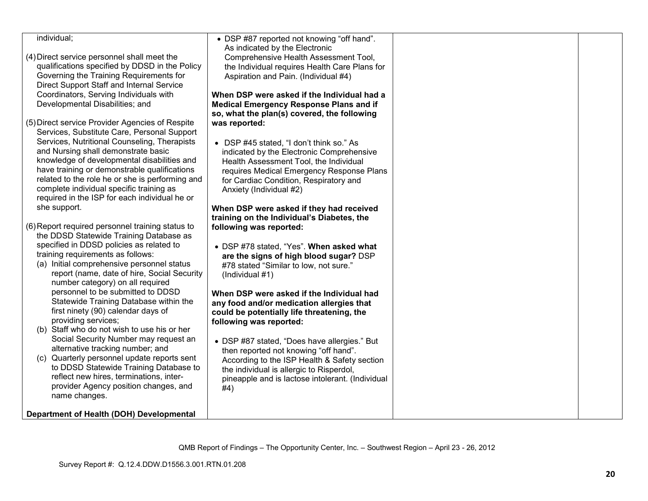| individual;                                      |                                                  |  |
|--------------------------------------------------|--------------------------------------------------|--|
|                                                  | • DSP #87 reported not knowing "off hand".       |  |
|                                                  | As indicated by the Electronic                   |  |
| (4) Direct service personnel shall meet the      | Comprehensive Health Assessment Tool,            |  |
| qualifications specified by DDSD in the Policy   | the Individual requires Health Care Plans for    |  |
| Governing the Training Requirements for          | Aspiration and Pain. (Individual #4)             |  |
| Direct Support Staff and Internal Service        |                                                  |  |
| Coordinators, Serving Individuals with           | When DSP were asked if the Individual had a      |  |
| Developmental Disabilities; and                  | <b>Medical Emergency Response Plans and if</b>   |  |
|                                                  | so, what the plan(s) covered, the following      |  |
| (5) Direct service Provider Agencies of Respite  | was reported:                                    |  |
| Services, Substitute Care, Personal Support      |                                                  |  |
|                                                  |                                                  |  |
| Services, Nutritional Counseling, Therapists     | • DSP #45 stated, "I don't think so." As         |  |
| and Nursing shall demonstrate basic              | indicated by the Electronic Comprehensive        |  |
| knowledge of developmental disabilities and      | Health Assessment Tool, the Individual           |  |
| have training or demonstrable qualifications     | requires Medical Emergency Response Plans        |  |
| related to the role he or she is performing and  | for Cardiac Condition, Respiratory and           |  |
| complete individual specific training as         | Anxiety (Individual #2)                          |  |
| required in the ISP for each individual he or    |                                                  |  |
| she support.                                     | When DSP were asked if they had received         |  |
|                                                  | training on the Individual's Diabetes, the       |  |
| (6) Report required personnel training status to | following was reported:                          |  |
| the DDSD Statewide Training Database as          |                                                  |  |
| specified in DDSD policies as related to         | • DSP #78 stated, "Yes". When asked what         |  |
| training requirements as follows:                |                                                  |  |
| (a) Initial comprehensive personnel status       | are the signs of high blood sugar? DSP           |  |
| report (name, date of hire, Social Security      | #78 stated "Similar to low, not sure."           |  |
|                                                  | (Individual #1)                                  |  |
| number category) on all required                 |                                                  |  |
| personnel to be submitted to DDSD                | When DSP were asked if the Individual had        |  |
| Statewide Training Database within the           | any food and/or medication allergies that        |  |
| first ninety (90) calendar days of               | could be potentially life threatening, the       |  |
| providing services;                              | following was reported:                          |  |
| (b) Staff who do not wish to use his or her      |                                                  |  |
| Social Security Number may request an            | • DSP #87 stated, "Does have allergies." But     |  |
| alternative tracking number; and                 | then reported not knowing "off hand".            |  |
| (c) Quarterly personnel update reports sent      | According to the ISP Health & Safety section     |  |
| to DDSD Statewide Training Database to           | the individual is allergic to Risperdol,         |  |
| reflect new hires, terminations, inter-          | pineapple and is lactose intolerant. (Individual |  |
| provider Agency position changes, and            | #4)                                              |  |
| name changes.                                    |                                                  |  |
|                                                  |                                                  |  |
| Department of Health (DOH) Developmental         |                                                  |  |
|                                                  |                                                  |  |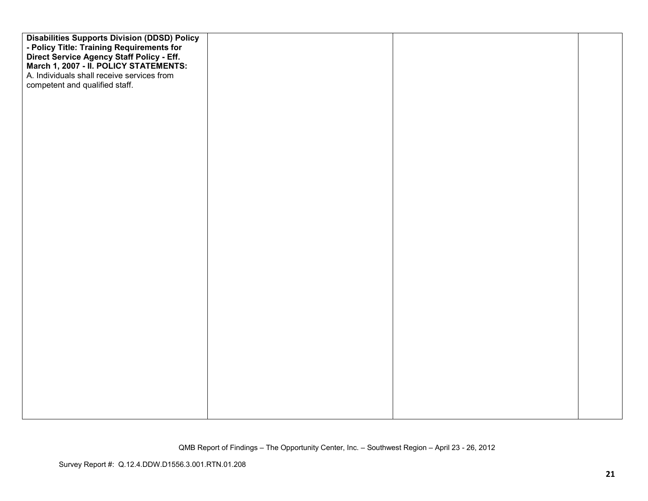| <b>Disabilities Supports Division (DDSD) Policy</b><br>- Policy Title: Training Requirements for<br>Direct Service Agency Staff Policy - Eff.<br>March 1, 2007 - II. POLICY STATEMENTS:<br>A. Individuals shall receive services from<br>competent and qualified staff. |  |  |
|-------------------------------------------------------------------------------------------------------------------------------------------------------------------------------------------------------------------------------------------------------------------------|--|--|
|                                                                                                                                                                                                                                                                         |  |  |
|                                                                                                                                                                                                                                                                         |  |  |
|                                                                                                                                                                                                                                                                         |  |  |
|                                                                                                                                                                                                                                                                         |  |  |
|                                                                                                                                                                                                                                                                         |  |  |
|                                                                                                                                                                                                                                                                         |  |  |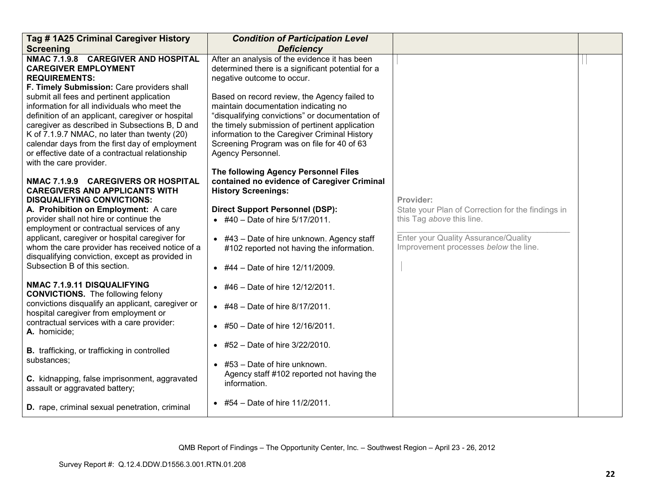| Tag # 1A25 Criminal Caregiver History                                                                                                                                                                                                                                                                                               | <b>Condition of Participation Level</b>                                                                                                                                                                                                                       |                                                                                |  |
|-------------------------------------------------------------------------------------------------------------------------------------------------------------------------------------------------------------------------------------------------------------------------------------------------------------------------------------|---------------------------------------------------------------------------------------------------------------------------------------------------------------------------------------------------------------------------------------------------------------|--------------------------------------------------------------------------------|--|
| <b>Screening</b>                                                                                                                                                                                                                                                                                                                    | <b>Deficiency</b>                                                                                                                                                                                                                                             |                                                                                |  |
| NMAC 7.1.9.8 CAREGIVER AND HOSPITAL<br><b>CAREGIVER EMPLOYMENT</b><br><b>REQUIREMENTS:</b><br>F. Timely Submission: Care providers shall<br>submit all fees and pertinent application                                                                                                                                               | After an analysis of the evidence it has been<br>determined there is a significant potential for a<br>negative outcome to occur.<br>Based on record review, the Agency failed to                                                                              |                                                                                |  |
| information for all individuals who meet the<br>definition of an applicant, caregiver or hospital<br>caregiver as described in Subsections B, D and<br>K of 7.1.9.7 NMAC, no later than twenty (20)<br>calendar days from the first day of employment<br>or effective date of a contractual relationship<br>with the care provider. | maintain documentation indicating no<br>"disqualifying convictions" or documentation of<br>the timely submission of pertinent application<br>information to the Caregiver Criminal History<br>Screening Program was on file for 40 of 63<br>Agency Personnel. |                                                                                |  |
| NMAC 7.1.9.9 CAREGIVERS OR HOSPITAL<br><b>CAREGIVERS AND APPLICANTS WITH</b><br><b>DISQUALIFYING CONVICTIONS:</b>                                                                                                                                                                                                                   | The following Agency Personnel Files<br>contained no evidence of Caregiver Criminal<br><b>History Screenings:</b>                                                                                                                                             | Provider:                                                                      |  |
| A. Prohibition on Employment: A care<br>provider shall not hire or continue the<br>employment or contractual services of any                                                                                                                                                                                                        | <b>Direct Support Personnel (DSP):</b><br>• #40 – Date of hire $5/17/2011$ .                                                                                                                                                                                  | State your Plan of Correction for the findings in<br>this Tag above this line. |  |
| applicant, caregiver or hospital caregiver for<br>whom the care provider has received notice of a<br>disqualifying conviction, except as provided in                                                                                                                                                                                | $\bullet$ #43 - Date of hire unknown. Agency staff<br>#102 reported not having the information.                                                                                                                                                               | Enter your Quality Assurance/Quality<br>Improvement processes below the line.  |  |
| Subsection B of this section.                                                                                                                                                                                                                                                                                                       | • #44 – Date of hire $12/11/2009$ .                                                                                                                                                                                                                           |                                                                                |  |
| NMAC 7.1.9.11 DISQUALIFYING<br><b>CONVICTIONS.</b> The following felony                                                                                                                                                                                                                                                             | $\bullet$ #46 - Date of hire 12/12/2011.                                                                                                                                                                                                                      |                                                                                |  |
| convictions disqualify an applicant, caregiver or<br>hospital caregiver from employment or                                                                                                                                                                                                                                          | $\bullet$ #48 - Date of hire 8/17/2011.                                                                                                                                                                                                                       |                                                                                |  |
| contractual services with a care provider:<br>A. homicide;                                                                                                                                                                                                                                                                          | • #50 - Date of hire 12/16/2011.                                                                                                                                                                                                                              |                                                                                |  |
| <b>B.</b> trafficking, or trafficking in controlled                                                                                                                                                                                                                                                                                 | $\bullet$ #52 - Date of hire 3/22/2010.                                                                                                                                                                                                                       |                                                                                |  |
| substances;<br>C. kidnapping, false imprisonment, aggravated<br>assault or aggravated battery;                                                                                                                                                                                                                                      | $\bullet$ #53 - Date of hire unknown.<br>Agency staff #102 reported not having the<br>information.                                                                                                                                                            |                                                                                |  |
| <b>D.</b> rape, criminal sexual penetration, criminal                                                                                                                                                                                                                                                                               | • #54 – Date of hire $11/2/2011$ .                                                                                                                                                                                                                            |                                                                                |  |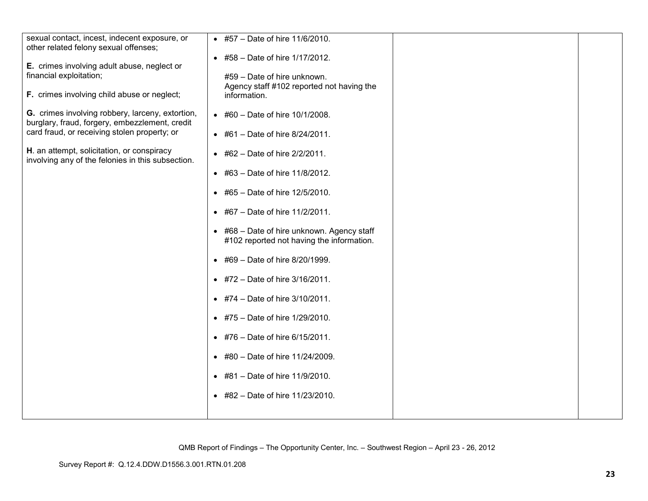| sexual contact, incest, indecent exposure, or<br>other related felony sexual offenses;<br>E. crimes involving adult abuse, neglect or<br>financial exploitation;<br>F. crimes involving child abuse or neglect; | • #57 - Date of hire 11/6/2010.<br>• #58 - Date of hire 1/17/2012.<br>#59 - Date of hire unknown.<br>Agency staff #102 reported not having the<br>information.                                                                                                                                                                                                                                                                                                                                                                                      |  |
|-----------------------------------------------------------------------------------------------------------------------------------------------------------------------------------------------------------------|-----------------------------------------------------------------------------------------------------------------------------------------------------------------------------------------------------------------------------------------------------------------------------------------------------------------------------------------------------------------------------------------------------------------------------------------------------------------------------------------------------------------------------------------------------|--|
| G. crimes involving robbery, larceny, extortion,<br>burglary, fraud, forgery, embezzlement, credit<br>card fraud, or receiving stolen property; or                                                              | • #60 - Date of hire $10/1/2008$ .<br>• #61 – Date of hire $8/24/2011$ .                                                                                                                                                                                                                                                                                                                                                                                                                                                                            |  |
| H. an attempt, solicitation, or conspiracy<br>involving any of the felonies in this subsection.                                                                                                                 | • #62 - Date of hire $2/2/2011$ .<br>• #63 - Date of hire 11/8/2012.<br>• #65 – Date of hire $12/5/2010$ .<br>• #67 – Date of hire $11/2/2011$ .<br>• #68 - Date of hire unknown. Agency staff<br>#102 reported not having the information.<br>• #69 - Date of hire 8/20/1999.<br>• #72 – Date of hire $3/16/2011$ .<br>• #74 – Date of hire $3/10/2011$ .<br>• #75 - Date of hire 1/29/2010.<br>$\bullet$ #76 - Date of hire 6/15/2011.<br>• #80 - Date of hire 11/24/2009.<br>• #81 - Date of hire 11/9/2010.<br>• #82 - Date of hire 11/23/2010. |  |
|                                                                                                                                                                                                                 |                                                                                                                                                                                                                                                                                                                                                                                                                                                                                                                                                     |  |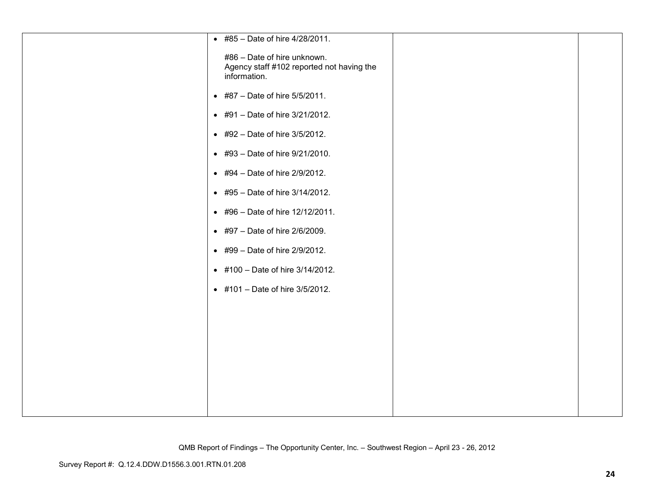| • #85 - Date of hire 4/28/2011.                                                          |  |
|------------------------------------------------------------------------------------------|--|
| #86 - Date of hire unknown.<br>Agency staff #102 reported not having the<br>information. |  |
| • #87 - Date of hire 5/5/2011.                                                           |  |
| • #91 - Date of hire 3/21/2012.                                                          |  |
| • #92 - Date of hire 3/5/2012.                                                           |  |
| • #93 - Date of hire 9/21/2010.                                                          |  |
| • #94 - Date of hire 2/9/2012.                                                           |  |
| • #95 - Date of hire 3/14/2012.                                                          |  |
| • #96 - Date of hire 12/12/2011.                                                         |  |
| • #97 - Date of hire 2/6/2009.                                                           |  |
| $\bullet$ #99 - Date of hire 2/9/2012.                                                   |  |
| • #100 - Date of hire 3/14/2012.                                                         |  |
| • #101 - Date of hire 3/5/2012.                                                          |  |
|                                                                                          |  |
|                                                                                          |  |
|                                                                                          |  |
|                                                                                          |  |
|                                                                                          |  |
|                                                                                          |  |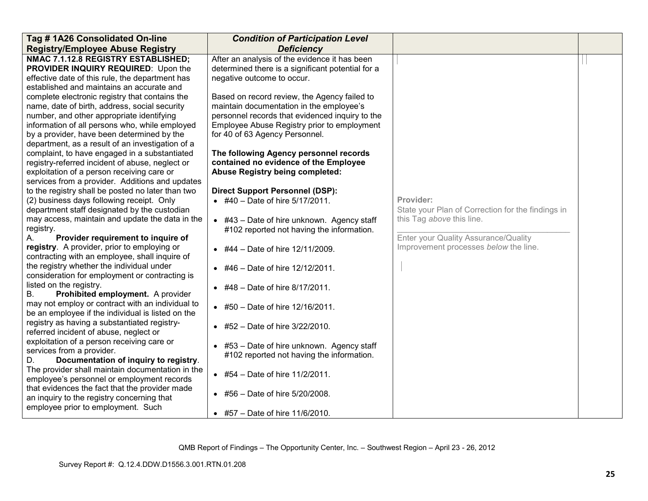| Tag #1A26 Consolidated On-line                                                                                                                                                                                                                                                                   | <b>Condition of Participation Level</b>                                                                                                                                                                                      |                                                                                             |  |
|--------------------------------------------------------------------------------------------------------------------------------------------------------------------------------------------------------------------------------------------------------------------------------------------------|------------------------------------------------------------------------------------------------------------------------------------------------------------------------------------------------------------------------------|---------------------------------------------------------------------------------------------|--|
| <b>Registry/Employee Abuse Registry</b>                                                                                                                                                                                                                                                          | <b>Deficiency</b>                                                                                                                                                                                                            |                                                                                             |  |
| NMAC 7.1.12.8 REGISTRY ESTABLISHED;<br>PROVIDER INQUIRY REQUIRED: Upon the<br>effective date of this rule, the department has<br>established and maintains an accurate and                                                                                                                       | After an analysis of the evidence it has been<br>determined there is a significant potential for a<br>negative outcome to occur.                                                                                             |                                                                                             |  |
| complete electronic registry that contains the<br>name, date of birth, address, social security<br>number, and other appropriate identifying<br>information of all persons who, while employed<br>by a provider, have been determined by the<br>department, as a result of an investigation of a | Based on record review, the Agency failed to<br>maintain documentation in the employee's<br>personnel records that evidenced inquiry to the<br>Employee Abuse Registry prior to employment<br>for 40 of 63 Agency Personnel. |                                                                                             |  |
| complaint, to have engaged in a substantiated<br>registry-referred incident of abuse, neglect or<br>exploitation of a person receiving care or<br>services from a provider. Additions and updates                                                                                                | The following Agency personnel records<br>contained no evidence of the Employee<br><b>Abuse Registry being completed:</b>                                                                                                    |                                                                                             |  |
| to the registry shall be posted no later than two<br>(2) business days following receipt. Only<br>department staff designated by the custodian<br>may access, maintain and update the data in the                                                                                                | <b>Direct Support Personnel (DSP):</b><br>$\bullet$ #40 - Date of hire 5/17/2011.                                                                                                                                            | Provider:<br>State your Plan of Correction for the findings in<br>this Tag above this line. |  |
| registry.<br>Provider requirement to inquire of<br>А.<br>registry. A provider, prior to employing or                                                                                                                                                                                             | $\bullet$ #43 - Date of hire unknown. Agency staff<br>#102 reported not having the information.<br>$\bullet$ #44 - Date of hire 12/11/2009.                                                                                  | Enter your Quality Assurance/Quality<br>Improvement processes below the line.               |  |
| contracting with an employee, shall inquire of<br>the registry whether the individual under<br>consideration for employment or contracting is                                                                                                                                                    | $\bullet$ #46 - Date of hire 12/12/2011.                                                                                                                                                                                     |                                                                                             |  |
| listed on the registry.<br><b>B.</b><br>Prohibited employment. A provider<br>may not employ or contract with an individual to                                                                                                                                                                    | #48 - Date of hire 8/17/2011.<br>• #50 - Date of hire 12/16/2011.                                                                                                                                                            |                                                                                             |  |
| be an employee if the individual is listed on the<br>registry as having a substantiated registry-<br>referred incident of abuse, neglect or                                                                                                                                                      | • #52 - Date of hire $3/22/2010$ .                                                                                                                                                                                           |                                                                                             |  |
| exploitation of a person receiving care or<br>services from a provider.<br>Documentation of inquiry to registry.<br>D.                                                                                                                                                                           | #53 – Date of hire unknown. Agency staff<br>$\bullet$<br>#102 reported not having the information.                                                                                                                           |                                                                                             |  |
| The provider shall maintain documentation in the<br>employee's personnel or employment records<br>that evidences the fact that the provider made                                                                                                                                                 | • #54 - Date of hire $11/2/2011$ .                                                                                                                                                                                           |                                                                                             |  |
| an inquiry to the registry concerning that<br>employee prior to employment. Such                                                                                                                                                                                                                 | #56 - Date of hire 5/20/2008.<br>$\bullet$<br>• #57 – Date of hire $11/6/2010$ .                                                                                                                                             |                                                                                             |  |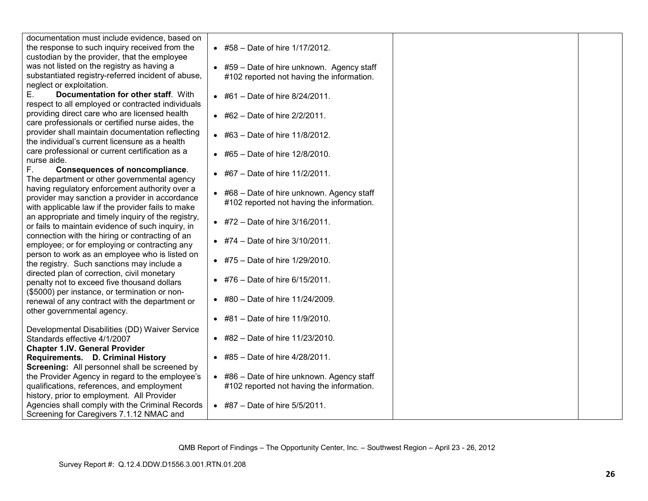| documentation must include evidence, based on      |                                                    |  |
|----------------------------------------------------|----------------------------------------------------|--|
| the response to such inquiry received from the     | • #58 – Date of hire $1/17/2012$ .                 |  |
| custodian by the provider, that the employee       |                                                    |  |
| was not listed on the registry as having a         | $\bullet$ #59 - Date of hire unknown. Agency staff |  |
| substantiated registry-referred incident of abuse, | #102 reported not having the information.          |  |
| neglect or exploitation.                           |                                                    |  |
| Documentation for other staff. With<br>Е.          | • #61 - Date of hire $8/24/2011$ .                 |  |
| respect to all employed or contracted individuals  |                                                    |  |
| providing direct care who are licensed health      | $\bullet$ #62 - Date of hire 2/2/2011.             |  |
| care professionals or certified nurse aides, the   |                                                    |  |
| provider shall maintain documentation reflecting   | • #63 - Date of hire $11/8/2012$ .                 |  |
| the individual's current licensure as a health     |                                                    |  |
| care professional or current certification as a    |                                                    |  |
| nurse aide.                                        | • #65 - Date of hire 12/8/2010.                    |  |
| F.,<br><b>Consequences of noncompliance.</b>       |                                                    |  |
| The department or other governmental agency        | • #67 – Date of hire $11/2/2011$ .                 |  |
| having regulatory enforcement authority over a     |                                                    |  |
| provider may sanction a provider in accordance     | • #68 - Date of hire unknown. Agency staff         |  |
| with applicable law if the provider fails to make  | #102 reported not having the information.          |  |
| an appropriate and timely inquiry of the registry, |                                                    |  |
| or fails to maintain evidence of such inquiry, in  | • #72 – Date of hire $3/16/2011$ .                 |  |
| connection with the hiring or contracting of an    |                                                    |  |
| employee; or for employing or contracting any      | • #74 – Date of hire $3/10/2011$ .                 |  |
| person to work as an employee who is listed on     |                                                    |  |
| the registry. Such sanctions may include a         | • #75 - Date of hire 1/29/2010.                    |  |
| directed plan of correction, civil monetary        |                                                    |  |
| penalty not to exceed five thousand dollars        | • #76 – Date of hire $6/15/2011$ .                 |  |
| (\$5000) per instance, or termination or non-      |                                                    |  |
| renewal of any contract with the department or     | • #80 - Date of hire 11/24/2009.                   |  |
| other governmental agency.                         |                                                    |  |
|                                                    | • #81 - Date of hire 11/9/2010.                    |  |
| Developmental Disabilities (DD) Waiver Service     |                                                    |  |
| Standards effective 4/1/2007                       | • #82 - Date of hire $11/23/2010$ .                |  |
| <b>Chapter 1.IV. General Provider</b>              |                                                    |  |
| Requirements. D. Criminal History                  | $\bullet$ #85 - Date of hire 4/28/2011.            |  |
| Screening: All personnel shall be screened by      |                                                    |  |
| the Provider Agency in regard to the employee's    | • #86 - Date of hire unknown. Agency staff         |  |
| qualifications, references, and employment         | #102 reported not having the information.          |  |
| history, prior to employment. All Provider         |                                                    |  |
| Agencies shall comply with the Criminal Records    | • #87 – Date of hire $5/5/2011$ .                  |  |
| Screening for Caregivers 7.1.12 NMAC and           |                                                    |  |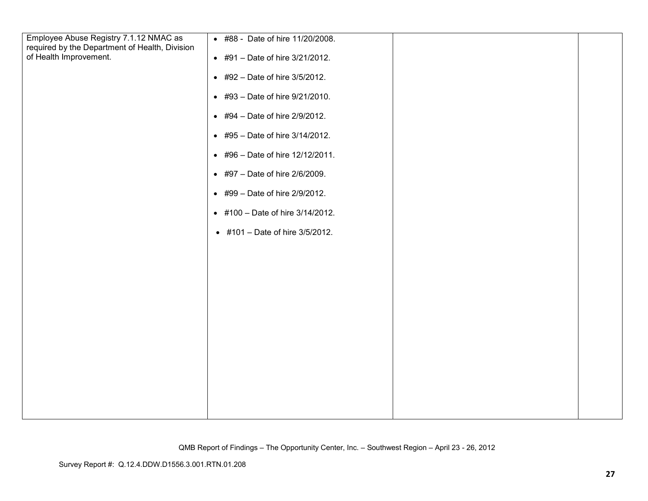| • #88 - Date of hire 11/20/2008.         |  |
|------------------------------------------|--|
| • #91 - Date of hire 3/21/2012.          |  |
| • #92 - Date of hire $3/5/2012$ .        |  |
| $\bullet$ #93 - Date of hire 9/21/2010.  |  |
| • #94 – Date of hire $2/9/2012$ .        |  |
| • #95 - Date of hire 3/14/2012.          |  |
| $\bullet$ #96 - Date of hire 12/12/2011. |  |
| • #97 - Date of hire 2/6/2009.           |  |
| • #99 - Date of hire 2/9/2012.           |  |
| • #100 - Date of hire 3/14/2012.         |  |
| • #101 - Date of hire 3/5/2012.          |  |
|                                          |  |
|                                          |  |
|                                          |  |
|                                          |  |
|                                          |  |
|                                          |  |
|                                          |  |
|                                          |  |
|                                          |  |
|                                          |  |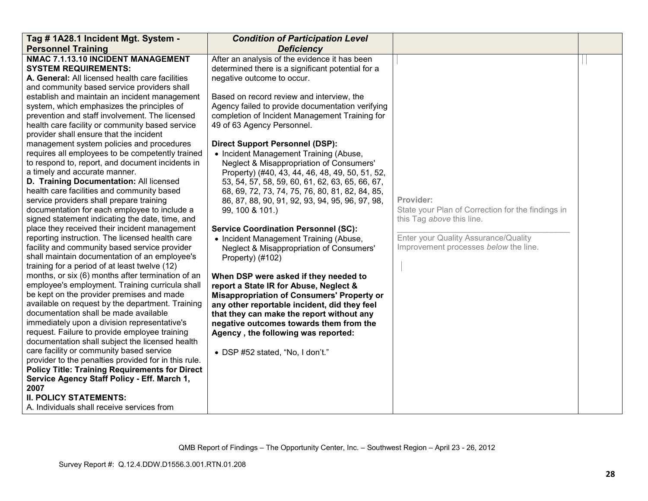| Tag # 1A28.1 Incident Mgt. System -                                                                                                                                                                                                                                                                                                                                                                                                                                                                                                                                                                                                                                                                                                                                                                                                                                                                                                                                                                                                                                                                                                                                                                                                                                                                                                                                                                                                                                                                                                                                                                                                                                                                                                                                | <b>Condition of Participation Level</b>                                                                                                                                                                                                                                                                                                                                                                                                                                                                                                                                                                                                                                                                                                                                                                                                                                                                                                                                                                                                                                                                                                                                                              |                                                                                                                                                                              |  |
|--------------------------------------------------------------------------------------------------------------------------------------------------------------------------------------------------------------------------------------------------------------------------------------------------------------------------------------------------------------------------------------------------------------------------------------------------------------------------------------------------------------------------------------------------------------------------------------------------------------------------------------------------------------------------------------------------------------------------------------------------------------------------------------------------------------------------------------------------------------------------------------------------------------------------------------------------------------------------------------------------------------------------------------------------------------------------------------------------------------------------------------------------------------------------------------------------------------------------------------------------------------------------------------------------------------------------------------------------------------------------------------------------------------------------------------------------------------------------------------------------------------------------------------------------------------------------------------------------------------------------------------------------------------------------------------------------------------------------------------------------------------------|------------------------------------------------------------------------------------------------------------------------------------------------------------------------------------------------------------------------------------------------------------------------------------------------------------------------------------------------------------------------------------------------------------------------------------------------------------------------------------------------------------------------------------------------------------------------------------------------------------------------------------------------------------------------------------------------------------------------------------------------------------------------------------------------------------------------------------------------------------------------------------------------------------------------------------------------------------------------------------------------------------------------------------------------------------------------------------------------------------------------------------------------------------------------------------------------------|------------------------------------------------------------------------------------------------------------------------------------------------------------------------------|--|
| <b>Personnel Training</b>                                                                                                                                                                                                                                                                                                                                                                                                                                                                                                                                                                                                                                                                                                                                                                                                                                                                                                                                                                                                                                                                                                                                                                                                                                                                                                                                                                                                                                                                                                                                                                                                                                                                                                                                          | <b>Deficiency</b>                                                                                                                                                                                                                                                                                                                                                                                                                                                                                                                                                                                                                                                                                                                                                                                                                                                                                                                                                                                                                                                                                                                                                                                    |                                                                                                                                                                              |  |
| NMAC 7.1.13.10 INCIDENT MANAGEMENT<br><b>SYSTEM REQUIREMENTS:</b><br>A. General: All licensed health care facilities<br>and community based service providers shall<br>establish and maintain an incident management<br>system, which emphasizes the principles of<br>prevention and staff involvement. The licensed<br>health care facility or community based service<br>provider shall ensure that the incident<br>management system policies and procedures<br>requires all employees to be competently trained<br>to respond to, report, and document incidents in<br>a timely and accurate manner.<br>D. Training Documentation: All licensed<br>health care facilities and community based<br>service providers shall prepare training<br>documentation for each employee to include a<br>signed statement indicating the date, time, and<br>place they received their incident management<br>reporting instruction. The licensed health care<br>facility and community based service provider<br>shall maintain documentation of an employee's<br>training for a period of at least twelve (12)<br>months, or six (6) months after termination of an<br>employee's employment. Training curricula shall<br>be kept on the provider premises and made<br>available on request by the department. Training<br>documentation shall be made available<br>immediately upon a division representative's<br>request. Failure to provide employee training<br>documentation shall subject the licensed health<br>care facility or community based service<br>provider to the penalties provided for in this rule.<br><b>Policy Title: Training Requirements for Direct</b><br>Service Agency Staff Policy - Eff. March 1,<br>2007<br><b>II. POLICY STATEMENTS:</b> | After an analysis of the evidence it has been<br>determined there is a significant potential for a<br>negative outcome to occur.<br>Based on record review and interview, the<br>Agency failed to provide documentation verifying<br>completion of Incident Management Training for<br>49 of 63 Agency Personnel.<br><b>Direct Support Personnel (DSP):</b><br>• Incident Management Training (Abuse,<br>Neglect & Misappropriation of Consumers'<br>Property) (#40, 43, 44, 46, 48, 49, 50, 51, 52,<br>53, 54, 57, 58, 59, 60, 61, 62, 63, 65, 66, 67,<br>68, 69, 72, 73, 74, 75, 76, 80, 81, 82, 84, 85,<br>86, 87, 88, 90, 91, 92, 93, 94, 95, 96, 97, 98,<br>99, 100 & 101.)<br><b>Service Coordination Personnel (SC):</b><br>• Incident Management Training (Abuse,<br>Neglect & Misappropriation of Consumers'<br>Property) (#102)<br>When DSP were asked if they needed to<br>report a State IR for Abuse, Neglect &<br><b>Misappropriation of Consumers' Property or</b><br>any other reportable incident, did they feel<br>that they can make the report without any<br>negative outcomes towards them from the<br>Agency, the following was reported:<br>• DSP #52 stated, "No, I don't." | Provider:<br>State your Plan of Correction for the findings in<br>this Tag above this line.<br>Enter your Quality Assurance/Quality<br>Improvement processes below the line. |  |
|                                                                                                                                                                                                                                                                                                                                                                                                                                                                                                                                                                                                                                                                                                                                                                                                                                                                                                                                                                                                                                                                                                                                                                                                                                                                                                                                                                                                                                                                                                                                                                                                                                                                                                                                                                    |                                                                                                                                                                                                                                                                                                                                                                                                                                                                                                                                                                                                                                                                                                                                                                                                                                                                                                                                                                                                                                                                                                                                                                                                      |                                                                                                                                                                              |  |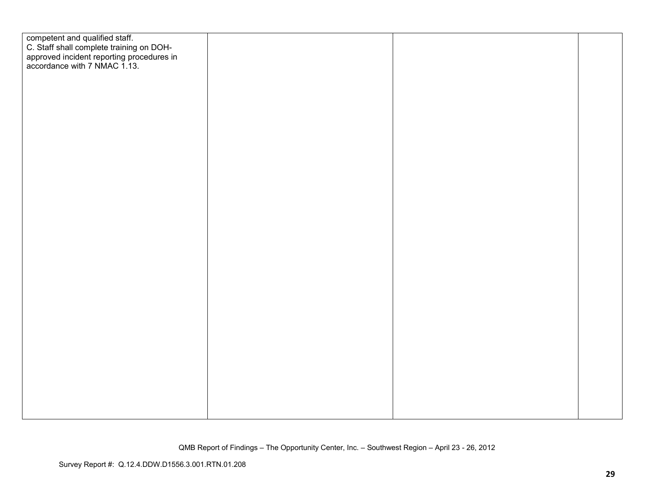| competent and qualified staff.<br>C. Staff shall complete training on DOH-<br>approved incident reporting procedures in<br>accordance with 7 NMAC 1.13. |  |  |
|---------------------------------------------------------------------------------------------------------------------------------------------------------|--|--|
|                                                                                                                                                         |  |  |
|                                                                                                                                                         |  |  |
|                                                                                                                                                         |  |  |
|                                                                                                                                                         |  |  |
|                                                                                                                                                         |  |  |
|                                                                                                                                                         |  |  |
|                                                                                                                                                         |  |  |
|                                                                                                                                                         |  |  |
|                                                                                                                                                         |  |  |
|                                                                                                                                                         |  |  |
|                                                                                                                                                         |  |  |
|                                                                                                                                                         |  |  |
|                                                                                                                                                         |  |  |
|                                                                                                                                                         |  |  |
|                                                                                                                                                         |  |  |
|                                                                                                                                                         |  |  |
|                                                                                                                                                         |  |  |
|                                                                                                                                                         |  |  |
|                                                                                                                                                         |  |  |
|                                                                                                                                                         |  |  |
|                                                                                                                                                         |  |  |
|                                                                                                                                                         |  |  |
|                                                                                                                                                         |  |  |
|                                                                                                                                                         |  |  |
|                                                                                                                                                         |  |  |
|                                                                                                                                                         |  |  |
|                                                                                                                                                         |  |  |
|                                                                                                                                                         |  |  |
|                                                                                                                                                         |  |  |
|                                                                                                                                                         |  |  |
|                                                                                                                                                         |  |  |
|                                                                                                                                                         |  |  |
|                                                                                                                                                         |  |  |
|                                                                                                                                                         |  |  |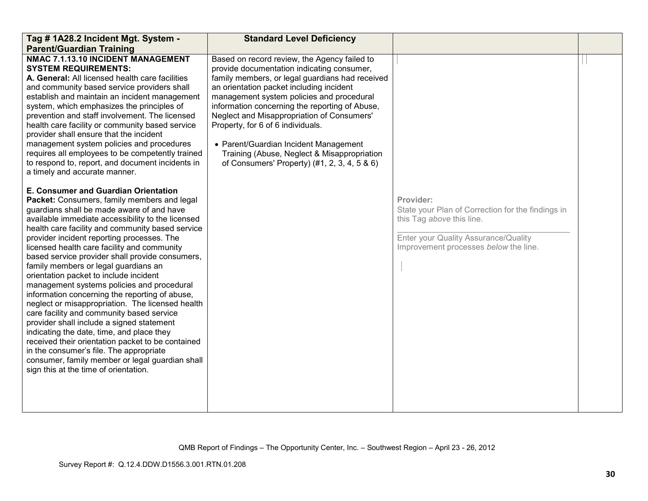| Tag # 1A28.2 Incident Mgt. System -<br><b>Parent/Guardian Training</b>                                                                                                                                                                                                                                                                                                                                                                                                                                                                                                                                                                                                                                                                                                                                                                                                                                                                                             | <b>Standard Level Deficiency</b>                                                                                                                                                                                                                                                                                                                                                                                                                                                                                    |                                                                                                                                                                              |  |
|--------------------------------------------------------------------------------------------------------------------------------------------------------------------------------------------------------------------------------------------------------------------------------------------------------------------------------------------------------------------------------------------------------------------------------------------------------------------------------------------------------------------------------------------------------------------------------------------------------------------------------------------------------------------------------------------------------------------------------------------------------------------------------------------------------------------------------------------------------------------------------------------------------------------------------------------------------------------|---------------------------------------------------------------------------------------------------------------------------------------------------------------------------------------------------------------------------------------------------------------------------------------------------------------------------------------------------------------------------------------------------------------------------------------------------------------------------------------------------------------------|------------------------------------------------------------------------------------------------------------------------------------------------------------------------------|--|
| NMAC 7.1.13.10 INCIDENT MANAGEMENT<br><b>SYSTEM REQUIREMENTS:</b><br>A. General: All licensed health care facilities<br>and community based service providers shall<br>establish and maintain an incident management<br>system, which emphasizes the principles of<br>prevention and staff involvement. The licensed<br>health care facility or community based service<br>provider shall ensure that the incident<br>management system policies and procedures<br>requires all employees to be competently trained<br>to respond to, report, and document incidents in<br>a timely and accurate manner.                                                                                                                                                                                                                                                                                                                                                           | Based on record review, the Agency failed to<br>provide documentation indicating consumer,<br>family members, or legal guardians had received<br>an orientation packet including incident<br>management system policies and procedural<br>information concerning the reporting of Abuse,<br>Neglect and Misappropriation of Consumers'<br>Property, for 6 of 6 individuals.<br>• Parent/Guardian Incident Management<br>Training (Abuse, Neglect & Misappropriation<br>of Consumers' Property) (#1, 2, 3, 4, 5 & 6) |                                                                                                                                                                              |  |
| E. Consumer and Guardian Orientation<br>Packet: Consumers, family members and legal<br>guardians shall be made aware of and have<br>available immediate accessibility to the licensed<br>health care facility and community based service<br>provider incident reporting processes. The<br>licensed health care facility and community<br>based service provider shall provide consumers,<br>family members or legal guardians an<br>orientation packet to include incident<br>management systems policies and procedural<br>information concerning the reporting of abuse,<br>neglect or misappropriation. The licensed health<br>care facility and community based service<br>provider shall include a signed statement<br>indicating the date, time, and place they<br>received their orientation packet to be contained<br>in the consumer's file. The appropriate<br>consumer, family member or legal guardian shall<br>sign this at the time of orientation. |                                                                                                                                                                                                                                                                                                                                                                                                                                                                                                                     | Provider:<br>State your Plan of Correction for the findings in<br>this Tag above this line.<br>Enter your Quality Assurance/Quality<br>Improvement processes below the line. |  |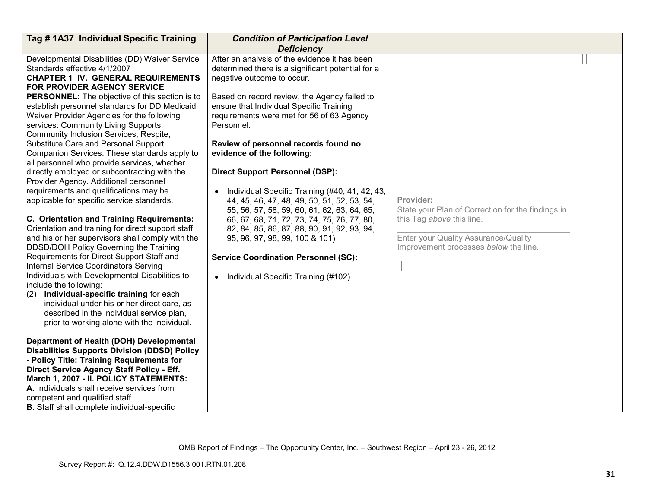| Tag #1A37 Individual Specific Training                                                                                                                                                                                                                                                                                                                                                                                                                                                                                                                                                                                                                                                                                                                                                                                                                                                                                                                                                                                                                                                                                                                                                                                                                                                           | <b>Condition of Participation Level</b>                                                                                                                                                                                                                                                                                                                                                                                                                                                                                                                                                                                                                                                                                                                                                                 |                                                                                                                                                                              |  |
|--------------------------------------------------------------------------------------------------------------------------------------------------------------------------------------------------------------------------------------------------------------------------------------------------------------------------------------------------------------------------------------------------------------------------------------------------------------------------------------------------------------------------------------------------------------------------------------------------------------------------------------------------------------------------------------------------------------------------------------------------------------------------------------------------------------------------------------------------------------------------------------------------------------------------------------------------------------------------------------------------------------------------------------------------------------------------------------------------------------------------------------------------------------------------------------------------------------------------------------------------------------------------------------------------|---------------------------------------------------------------------------------------------------------------------------------------------------------------------------------------------------------------------------------------------------------------------------------------------------------------------------------------------------------------------------------------------------------------------------------------------------------------------------------------------------------------------------------------------------------------------------------------------------------------------------------------------------------------------------------------------------------------------------------------------------------------------------------------------------------|------------------------------------------------------------------------------------------------------------------------------------------------------------------------------|--|
|                                                                                                                                                                                                                                                                                                                                                                                                                                                                                                                                                                                                                                                                                                                                                                                                                                                                                                                                                                                                                                                                                                                                                                                                                                                                                                  | <b>Deficiency</b>                                                                                                                                                                                                                                                                                                                                                                                                                                                                                                                                                                                                                                                                                                                                                                                       |                                                                                                                                                                              |  |
| Developmental Disabilities (DD) Waiver Service<br>Standards effective 4/1/2007<br><b>CHAPTER 1 IV. GENERAL REQUIREMENTS</b><br>FOR PROVIDER AGENCY SERVICE<br><b>PERSONNEL:</b> The objective of this section is to<br>establish personnel standards for DD Medicaid<br>Waiver Provider Agencies for the following<br>services: Community Living Supports,<br>Community Inclusion Services, Respite,<br>Substitute Care and Personal Support<br>Companion Services. These standards apply to<br>all personnel who provide services, whether<br>directly employed or subcontracting with the<br>Provider Agency. Additional personnel<br>requirements and qualifications may be<br>applicable for specific service standards.<br>C. Orientation and Training Requirements:<br>Orientation and training for direct support staff<br>and his or her supervisors shall comply with the<br>DDSD/DOH Policy Governing the Training<br>Requirements for Direct Support Staff and<br><b>Internal Service Coordinators Serving</b><br>Individuals with Developmental Disabilities to<br>include the following:<br>Individual-specific training for each<br>(2)<br>individual under his or her direct care, as<br>described in the individual service plan,<br>prior to working alone with the individual. | After an analysis of the evidence it has been<br>determined there is a significant potential for a<br>negative outcome to occur.<br>Based on record review, the Agency failed to<br>ensure that Individual Specific Training<br>requirements were met for 56 of 63 Agency<br>Personnel.<br>Review of personnel records found no<br>evidence of the following:<br><b>Direct Support Personnel (DSP):</b><br>Individual Specific Training (#40, 41, 42, 43,<br>$\bullet$<br>44, 45, 46, 47, 48, 49, 50, 51, 52, 53, 54,<br>55, 56, 57, 58, 59, 60, 61, 62, 63, 64, 65,<br>66, 67, 68, 71, 72, 73, 74, 75, 76, 77, 80,<br>82, 84, 85, 86, 87, 88, 90, 91, 92, 93, 94,<br>95, 96, 97, 98, 99, 100 & 101)<br><b>Service Coordination Personnel (SC):</b><br>Individual Specific Training (#102)<br>$\bullet$ | Provider:<br>State your Plan of Correction for the findings in<br>this Tag above this line.<br>Enter your Quality Assurance/Quality<br>Improvement processes below the line. |  |
| Department of Health (DOH) Developmental<br><b>Disabilities Supports Division (DDSD) Policy</b><br>- Policy Title: Training Requirements for<br>Direct Service Agency Staff Policy - Eff.<br>March 1, 2007 - II. POLICY STATEMENTS:<br>A. Individuals shall receive services from<br>competent and qualified staff.<br><b>B.</b> Staff shall complete individual-specific                                                                                                                                                                                                                                                                                                                                                                                                                                                                                                                                                                                                                                                                                                                                                                                                                                                                                                                        |                                                                                                                                                                                                                                                                                                                                                                                                                                                                                                                                                                                                                                                                                                                                                                                                         |                                                                                                                                                                              |  |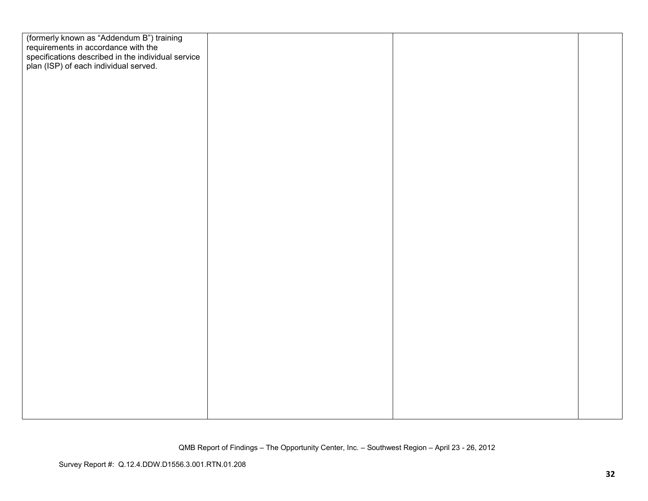| (formerly known as "Addendum B") training          |  |  |
|----------------------------------------------------|--|--|
| requirements in accordance with the                |  |  |
| specifications described in the individual service |  |  |
| plan (ISP) of each individual served.              |  |  |
|                                                    |  |  |
|                                                    |  |  |
|                                                    |  |  |
|                                                    |  |  |
|                                                    |  |  |
|                                                    |  |  |
|                                                    |  |  |
|                                                    |  |  |
|                                                    |  |  |
|                                                    |  |  |
|                                                    |  |  |
|                                                    |  |  |
|                                                    |  |  |
|                                                    |  |  |
|                                                    |  |  |
|                                                    |  |  |
|                                                    |  |  |
|                                                    |  |  |
|                                                    |  |  |
|                                                    |  |  |
|                                                    |  |  |
|                                                    |  |  |
|                                                    |  |  |
|                                                    |  |  |
|                                                    |  |  |
|                                                    |  |  |
|                                                    |  |  |
|                                                    |  |  |
|                                                    |  |  |
|                                                    |  |  |
|                                                    |  |  |
|                                                    |  |  |
|                                                    |  |  |
|                                                    |  |  |
|                                                    |  |  |
|                                                    |  |  |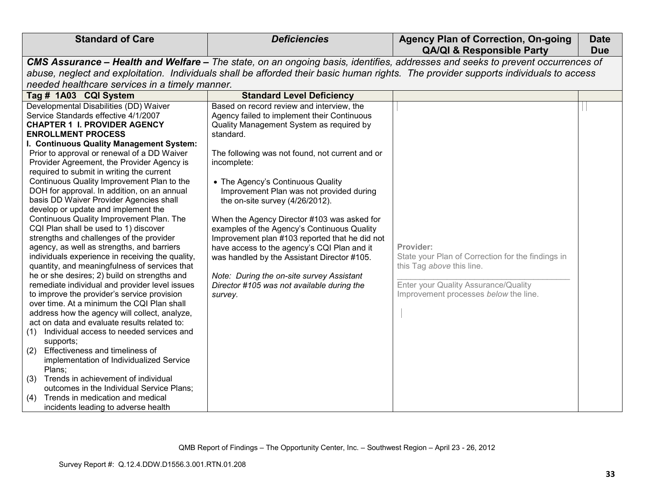| <b>Standard of Care</b>                                                                   | <b>Deficiencies</b>                                                                                                                  | <b>Agency Plan of Correction, On-going</b><br><b>QA/QI &amp; Responsible Party</b> | <b>Date</b><br><b>Due</b> |
|-------------------------------------------------------------------------------------------|--------------------------------------------------------------------------------------------------------------------------------------|------------------------------------------------------------------------------------|---------------------------|
|                                                                                           |                                                                                                                                      |                                                                                    |                           |
|                                                                                           | CMS Assurance - Health and Welfare - The state, on an ongoing basis, identifies, addresses and seeks to prevent occurrences of       |                                                                                    |                           |
|                                                                                           | abuse, neglect and exploitation. Individuals shall be afforded their basic human rights. The provider supports individuals to access |                                                                                    |                           |
| needed healthcare services in a timely manner.                                            |                                                                                                                                      |                                                                                    |                           |
| Tag # 1A03 CQI System                                                                     | <b>Standard Level Deficiency</b>                                                                                                     |                                                                                    |                           |
| Developmental Disabilities (DD) Waiver<br>Service Standards effective 4/1/2007            | Based on record review and interview, the<br>Agency failed to implement their Continuous                                             |                                                                                    |                           |
| <b>CHAPTER 1 I. PROVIDER AGENCY</b>                                                       | Quality Management System as required by                                                                                             |                                                                                    |                           |
| <b>ENROLLMENT PROCESS</b>                                                                 | standard.                                                                                                                            |                                                                                    |                           |
| I. Continuous Quality Management System:                                                  |                                                                                                                                      |                                                                                    |                           |
| Prior to approval or renewal of a DD Waiver                                               | The following was not found, not current and or                                                                                      |                                                                                    |                           |
| Provider Agreement, the Provider Agency is                                                | incomplete:                                                                                                                          |                                                                                    |                           |
| required to submit in writing the current                                                 |                                                                                                                                      |                                                                                    |                           |
| Continuous Quality Improvement Plan to the                                                | • The Agency's Continuous Quality                                                                                                    |                                                                                    |                           |
| DOH for approval. In addition, on an annual                                               | Improvement Plan was not provided during                                                                                             |                                                                                    |                           |
| basis DD Waiver Provider Agencies shall                                                   | the on-site survey (4/26/2012).                                                                                                      |                                                                                    |                           |
| develop or update and implement the                                                       |                                                                                                                                      |                                                                                    |                           |
| Continuous Quality Improvement Plan. The                                                  | When the Agency Director #103 was asked for                                                                                          |                                                                                    |                           |
| CQI Plan shall be used to 1) discover                                                     | examples of the Agency's Continuous Quality                                                                                          |                                                                                    |                           |
| strengths and challenges of the provider                                                  | Improvement plan #103 reported that he did not                                                                                       |                                                                                    |                           |
| agency, as well as strengths, and barriers                                                | have access to the agency's CQI Plan and it                                                                                          | Provider:                                                                          |                           |
| individuals experience in receiving the quality,                                          | was handled by the Assistant Director #105.                                                                                          | State your Plan of Correction for the findings in                                  |                           |
| quantity, and meaningfulness of services that                                             |                                                                                                                                      | this Tag above this line.                                                          |                           |
| he or she desires; 2) build on strengths and                                              | Note: During the on-site survey Assistant                                                                                            |                                                                                    |                           |
| remediate individual and provider level issues                                            | Director #105 was not available during the                                                                                           | Enter your Quality Assurance/Quality                                               |                           |
| to improve the provider's service provision<br>over time. At a minimum the CQI Plan shall | survey.                                                                                                                              | Improvement processes below the line.                                              |                           |
| address how the agency will collect, analyze,                                             |                                                                                                                                      |                                                                                    |                           |
| act on data and evaluate results related to:                                              |                                                                                                                                      |                                                                                    |                           |
| Individual access to needed services and<br>(1)                                           |                                                                                                                                      |                                                                                    |                           |
| supports;                                                                                 |                                                                                                                                      |                                                                                    |                           |
| Effectiveness and timeliness of<br>(2)                                                    |                                                                                                                                      |                                                                                    |                           |
| implementation of Individualized Service                                                  |                                                                                                                                      |                                                                                    |                           |
| Plans:                                                                                    |                                                                                                                                      |                                                                                    |                           |
| Trends in achievement of individual<br>(3)                                                |                                                                                                                                      |                                                                                    |                           |
| outcomes in the Individual Service Plans;                                                 |                                                                                                                                      |                                                                                    |                           |
| Trends in medication and medical<br>(4)                                                   |                                                                                                                                      |                                                                                    |                           |
| incidents leading to adverse health                                                       |                                                                                                                                      |                                                                                    |                           |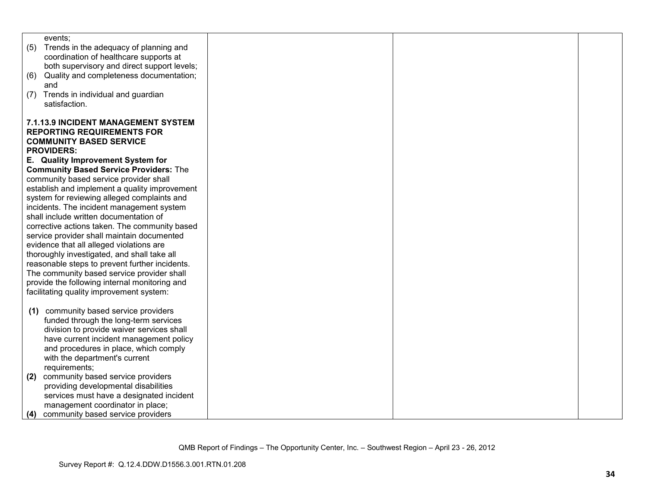| events;                                                                             |  |  |
|-------------------------------------------------------------------------------------|--|--|
| (5)<br>Trends in the adequacy of planning and                                       |  |  |
| coordination of healthcare supports at                                              |  |  |
| both supervisory and direct support levels;                                         |  |  |
| Quality and completeness documentation;<br>(6)                                      |  |  |
| and                                                                                 |  |  |
| Trends in individual and guardian<br>(7)                                            |  |  |
| satisfaction.                                                                       |  |  |
|                                                                                     |  |  |
| 7.1.13.9 INCIDENT MANAGEMENT SYSTEM                                                 |  |  |
| <b>REPORTING REQUIREMENTS FOR</b>                                                   |  |  |
| <b>COMMUNITY BASED SERVICE</b>                                                      |  |  |
| <b>PROVIDERS:</b>                                                                   |  |  |
| E. Quality Improvement System for                                                   |  |  |
| <b>Community Based Service Providers: The</b>                                       |  |  |
| community based service provider shall                                              |  |  |
| establish and implement a quality improvement                                       |  |  |
| system for reviewing alleged complaints and                                         |  |  |
|                                                                                     |  |  |
| incidents. The incident management system<br>shall include written documentation of |  |  |
|                                                                                     |  |  |
| corrective actions taken. The community based                                       |  |  |
| service provider shall maintain documented                                          |  |  |
| evidence that all alleged violations are                                            |  |  |
| thoroughly investigated, and shall take all                                         |  |  |
| reasonable steps to prevent further incidents.                                      |  |  |
| The community based service provider shall                                          |  |  |
| provide the following internal monitoring and                                       |  |  |
| facilitating quality improvement system:                                            |  |  |
|                                                                                     |  |  |
| community based service providers<br>(1)                                            |  |  |
| funded through the long-term services                                               |  |  |
| division to provide waiver services shall                                           |  |  |
| have current incident management policy                                             |  |  |
| and procedures in place, which comply                                               |  |  |
| with the department's current                                                       |  |  |
| requirements;                                                                       |  |  |
| community based service providers<br>(2)                                            |  |  |
| providing developmental disabilities                                                |  |  |
| services must have a designated incident                                            |  |  |
| management coordinator in place;                                                    |  |  |
| community based service providers<br>(4)                                            |  |  |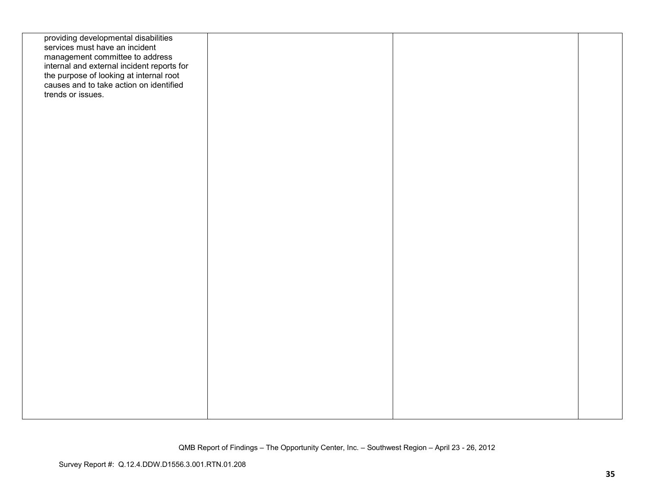| providing developmental disabilities<br>services must have an incident<br>management committee to address<br>internal and external incident reports for<br>the purpose of looking at internal root<br>causes and to take action on identified<br>trends or issues. |  |  |
|--------------------------------------------------------------------------------------------------------------------------------------------------------------------------------------------------------------------------------------------------------------------|--|--|
|                                                                                                                                                                                                                                                                    |  |  |
|                                                                                                                                                                                                                                                                    |  |  |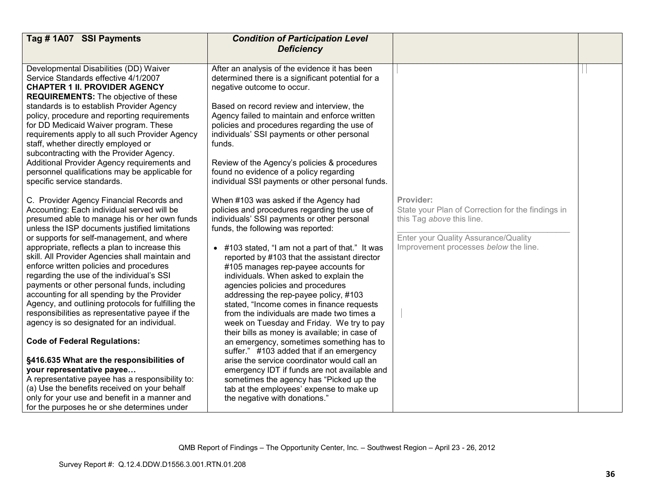| Tag # 1A07 SSI Payments                                                                                                                                                                                                                                                                                                                                                                                                                                                                                                                                                                                                                                                                                                                                                                                                                                                                                                                                                                                     | <b>Condition of Participation Level</b><br><b>Deficiency</b>                                                                                                                                                                                                                                                                                                                                                                                                                                                                                                                                                                                                                                                                                                                                                                                                                                                                                        |                                                                                                                                                                              |  |
|-------------------------------------------------------------------------------------------------------------------------------------------------------------------------------------------------------------------------------------------------------------------------------------------------------------------------------------------------------------------------------------------------------------------------------------------------------------------------------------------------------------------------------------------------------------------------------------------------------------------------------------------------------------------------------------------------------------------------------------------------------------------------------------------------------------------------------------------------------------------------------------------------------------------------------------------------------------------------------------------------------------|-----------------------------------------------------------------------------------------------------------------------------------------------------------------------------------------------------------------------------------------------------------------------------------------------------------------------------------------------------------------------------------------------------------------------------------------------------------------------------------------------------------------------------------------------------------------------------------------------------------------------------------------------------------------------------------------------------------------------------------------------------------------------------------------------------------------------------------------------------------------------------------------------------------------------------------------------------|------------------------------------------------------------------------------------------------------------------------------------------------------------------------------|--|
|                                                                                                                                                                                                                                                                                                                                                                                                                                                                                                                                                                                                                                                                                                                                                                                                                                                                                                                                                                                                             |                                                                                                                                                                                                                                                                                                                                                                                                                                                                                                                                                                                                                                                                                                                                                                                                                                                                                                                                                     |                                                                                                                                                                              |  |
| Developmental Disabilities (DD) Waiver<br>Service Standards effective 4/1/2007<br><b>CHAPTER 1 II. PROVIDER AGENCY</b><br><b>REQUIREMENTS:</b> The objective of these<br>standards is to establish Provider Agency<br>policy, procedure and reporting requirements<br>for DD Medicaid Waiver program. These<br>requirements apply to all such Provider Agency<br>staff, whether directly employed or<br>subcontracting with the Provider Agency.<br>Additional Provider Agency requirements and<br>personnel qualifications may be applicable for<br>specific service standards.                                                                                                                                                                                                                                                                                                                                                                                                                            | After an analysis of the evidence it has been<br>determined there is a significant potential for a<br>negative outcome to occur.<br>Based on record review and interview, the<br>Agency failed to maintain and enforce written<br>policies and procedures regarding the use of<br>individuals' SSI payments or other personal<br>funds.<br>Review of the Agency's policies & procedures<br>found no evidence of a policy regarding<br>individual SSI payments or other personal funds.                                                                                                                                                                                                                                                                                                                                                                                                                                                              |                                                                                                                                                                              |  |
| C. Provider Agency Financial Records and<br>Accounting: Each individual served will be<br>presumed able to manage his or her own funds<br>unless the ISP documents justified limitations<br>or supports for self-management, and where<br>appropriate, reflects a plan to increase this<br>skill. All Provider Agencies shall maintain and<br>enforce written policies and procedures<br>regarding the use of the individual's SSI<br>payments or other personal funds, including<br>accounting for all spending by the Provider<br>Agency, and outlining protocols for fulfilling the<br>responsibilities as representative payee if the<br>agency is so designated for an individual.<br><b>Code of Federal Regulations:</b><br>§416.635 What are the responsibilities of<br>your representative payee<br>A representative payee has a responsibility to:<br>(a) Use the benefits received on your behalf<br>only for your use and benefit in a manner and<br>for the purposes he or she determines under | When #103 was asked if the Agency had<br>policies and procedures regarding the use of<br>individuals' SSI payments or other personal<br>funds, the following was reported:<br>• #103 stated, "I am not a part of that." It was<br>reported by #103 that the assistant director<br>#105 manages rep-payee accounts for<br>individuals. When asked to explain the<br>agencies policies and procedures<br>addressing the rep-payee policy, #103<br>stated, "Income comes in finance requests<br>from the individuals are made two times a<br>week on Tuesday and Friday. We try to pay<br>their bills as money is available; in case of<br>an emergency, sometimes something has to<br>suffer." #103 added that if an emergency<br>arise the service coordinator would call an<br>emergency IDT if funds are not available and<br>sometimes the agency has "Picked up the<br>tab at the employees' expense to make up<br>the negative with donations." | Provider:<br>State your Plan of Correction for the findings in<br>this Tag above this line.<br>Enter your Quality Assurance/Quality<br>Improvement processes below the line. |  |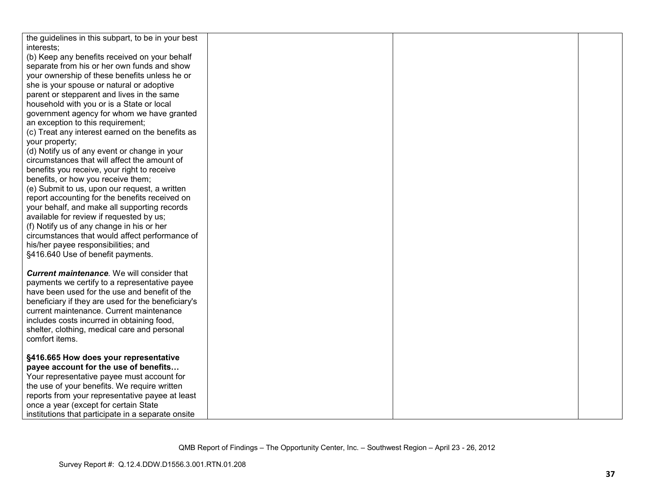| the guidelines in this subpart, to be in your best |  |  |
|----------------------------------------------------|--|--|
| interests;                                         |  |  |
| (b) Keep any benefits received on your behalf      |  |  |
| separate from his or her own funds and show        |  |  |
| your ownership of these benefits unless he or      |  |  |
| she is your spouse or natural or adoptive          |  |  |
| parent or stepparent and lives in the same         |  |  |
| household with you or is a State or local          |  |  |
| government agency for whom we have granted         |  |  |
| an exception to this requirement;                  |  |  |
| (c) Treat any interest earned on the benefits as   |  |  |
| your property;                                     |  |  |
| (d) Notify us of any event or change in your       |  |  |
| circumstances that will affect the amount of       |  |  |
| benefits you receive, your right to receive        |  |  |
| benefits, or how you receive them;                 |  |  |
| (e) Submit to us, upon our request, a written      |  |  |
| report accounting for the benefits received on     |  |  |
| your behalf, and make all supporting records       |  |  |
| available for review if requested by us;           |  |  |
| (f) Notify us of any change in his or her          |  |  |
| circumstances that would affect performance of     |  |  |
| his/her payee responsibilities; and                |  |  |
| §416.640 Use of benefit payments.                  |  |  |
|                                                    |  |  |
| <b>Current maintenance</b> . We will consider that |  |  |
| payments we certify to a representative payee      |  |  |
| have been used for the use and benefit of the      |  |  |
| beneficiary if they are used for the beneficiary's |  |  |
| current maintenance. Current maintenance           |  |  |
| includes costs incurred in obtaining food,         |  |  |
| shelter, clothing, medical care and personal       |  |  |
| comfort items.                                     |  |  |
|                                                    |  |  |
| §416.665 How does your representative              |  |  |
| payee account for the use of benefits              |  |  |
| Your representative payee must account for         |  |  |
| the use of your benefits. We require written       |  |  |
| reports from your representative payee at least    |  |  |
| once a year (except for certain State              |  |  |
| institutions that participate in a separate onsite |  |  |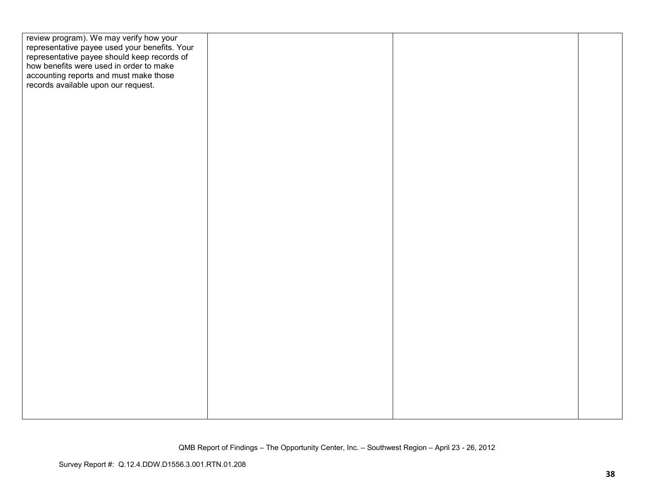| review program). We may verify how your<br>representative payee used your benefits. Your<br>representative payee should keep records of<br>how benefits were used in order to make<br>accounting reports and must make those<br>records available upon our request. |  |  |
|---------------------------------------------------------------------------------------------------------------------------------------------------------------------------------------------------------------------------------------------------------------------|--|--|
|                                                                                                                                                                                                                                                                     |  |  |
|                                                                                                                                                                                                                                                                     |  |  |
|                                                                                                                                                                                                                                                                     |  |  |
|                                                                                                                                                                                                                                                                     |  |  |
|                                                                                                                                                                                                                                                                     |  |  |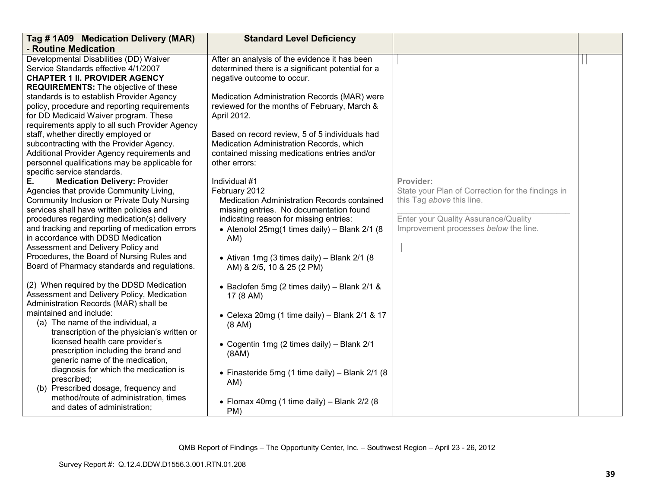| Tag # 1A09 Medication Delivery (MAR)                                                                                                                                                                                                                                                                                                                                                                                                                         | <b>Standard Level Deficiency</b>                                                                                                                                                                                                                                                                            |                                                                                                                                                                              |  |
|--------------------------------------------------------------------------------------------------------------------------------------------------------------------------------------------------------------------------------------------------------------------------------------------------------------------------------------------------------------------------------------------------------------------------------------------------------------|-------------------------------------------------------------------------------------------------------------------------------------------------------------------------------------------------------------------------------------------------------------------------------------------------------------|------------------------------------------------------------------------------------------------------------------------------------------------------------------------------|--|
| - Routine Medication                                                                                                                                                                                                                                                                                                                                                                                                                                         |                                                                                                                                                                                                                                                                                                             |                                                                                                                                                                              |  |
| Developmental Disabilities (DD) Waiver<br>Service Standards effective 4/1/2007<br><b>CHAPTER 1 II. PROVIDER AGENCY</b><br><b>REQUIREMENTS:</b> The objective of these                                                                                                                                                                                                                                                                                        | After an analysis of the evidence it has been<br>determined there is a significant potential for a<br>negative outcome to occur.                                                                                                                                                                            |                                                                                                                                                                              |  |
| standards is to establish Provider Agency<br>policy, procedure and reporting requirements<br>for DD Medicaid Waiver program. These<br>requirements apply to all such Provider Agency                                                                                                                                                                                                                                                                         | Medication Administration Records (MAR) were<br>reviewed for the months of February, March &<br>April 2012.                                                                                                                                                                                                 |                                                                                                                                                                              |  |
| staff, whether directly employed or<br>subcontracting with the Provider Agency.<br>Additional Provider Agency requirements and<br>personnel qualifications may be applicable for<br>specific service standards.                                                                                                                                                                                                                                              | Based on record review, 5 of 5 individuals had<br>Medication Administration Records, which<br>contained missing medications entries and/or<br>other errors:                                                                                                                                                 |                                                                                                                                                                              |  |
| Ε.<br><b>Medication Delivery: Provider</b><br>Agencies that provide Community Living,<br>Community Inclusion or Private Duty Nursing<br>services shall have written policies and<br>procedures regarding medication(s) delivery<br>and tracking and reporting of medication errors<br>in accordance with DDSD Medication<br>Assessment and Delivery Policy and<br>Procedures, the Board of Nursing Rules and<br>Board of Pharmacy standards and regulations. | Individual #1<br>February 2012<br>Medication Administration Records contained<br>missing entries. No documentation found<br>indicating reason for missing entries:<br>• Atenolol 25mg(1 times daily) - Blank $2/1$ (8)<br>AM)<br>• Ativan 1mg (3 times daily) – Blank $2/1$ (8<br>AM) & 2/5, 10 & 25 (2 PM) | Provider:<br>State your Plan of Correction for the findings in<br>this Tag above this line.<br>Enter your Quality Assurance/Quality<br>Improvement processes below the line. |  |
| (2) When required by the DDSD Medication<br>Assessment and Delivery Policy, Medication<br>Administration Records (MAR) shall be                                                                                                                                                                                                                                                                                                                              | • Baclofen 5mg (2 times daily) – Blank 2/1 &<br>17 (8 AM)                                                                                                                                                                                                                                                   |                                                                                                                                                                              |  |
| maintained and include:<br>(a) The name of the individual, a<br>transcription of the physician's written or                                                                                                                                                                                                                                                                                                                                                  | • Celexa 20mg (1 time daily) - Blank 2/1 & 17<br>(8 AM)                                                                                                                                                                                                                                                     |                                                                                                                                                                              |  |
| licensed health care provider's<br>prescription including the brand and<br>generic name of the medication,                                                                                                                                                                                                                                                                                                                                                   | • Cogentin 1mg (2 times daily) - Blank 2/1<br>(8AM)                                                                                                                                                                                                                                                         |                                                                                                                                                                              |  |
| diagnosis for which the medication is<br>prescribed;<br>(b) Prescribed dosage, frequency and                                                                                                                                                                                                                                                                                                                                                                 | • Finasteride 5mg (1 time daily) - Blank 2/1 (8<br>AM)                                                                                                                                                                                                                                                      |                                                                                                                                                                              |  |
| method/route of administration, times<br>and dates of administration;                                                                                                                                                                                                                                                                                                                                                                                        | • Flomax 40mg (1 time daily) - Blank 2/2 (8<br>PM)                                                                                                                                                                                                                                                          |                                                                                                                                                                              |  |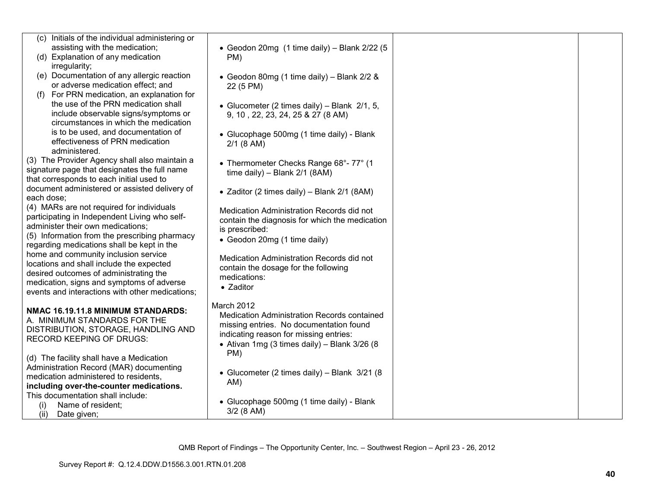| (c) Initials of the individual administering or |                                                    |  |
|-------------------------------------------------|----------------------------------------------------|--|
| assisting with the medication;                  | • Geodon 20mg (1 time daily) - Blank 2/22 (5       |  |
| (d) Explanation of any medication               | PM)                                                |  |
| irregularity;                                   |                                                    |  |
| (e) Documentation of any allergic reaction      | • Geodon 80mg (1 time daily) - Blank 2/2 &         |  |
| or adverse medication effect; and               | 22 (5 PM)                                          |  |
| For PRN medication, an explanation for<br>(1)   |                                                    |  |
| the use of the PRN medication shall             | • Glucometer (2 times daily) – Blank $2/1$ , 5,    |  |
| include observable signs/symptoms or            | 9, 10, 22, 23, 24, 25 & 27 (8 AM)                  |  |
| circumstances in which the medication           |                                                    |  |
| is to be used, and documentation of             | • Glucophage 500mg (1 time daily) - Blank          |  |
| effectiveness of PRN medication                 | $2/1$ (8 AM)                                       |  |
| administered.                                   |                                                    |  |
| (3) The Provider Agency shall also maintain a   |                                                    |  |
| signature page that designates the full name    | • Thermometer Checks Range 68°-77° (1              |  |
| that corresponds to each initial used to        | time daily) - Blank 2/1 (8AM)                      |  |
| document administered or assisted delivery of   |                                                    |  |
| each dose;                                      | • Zaditor (2 times daily) - Blank 2/1 (8AM)        |  |
| (4) MARs are not required for individuals       |                                                    |  |
| participating in Independent Living who self-   | Medication Administration Records did not          |  |
| administer their own medications;               | contain the diagnosis for which the medication     |  |
| (5) Information from the prescribing pharmacy   | is prescribed:                                     |  |
| regarding medications shall be kept in the      | • Geodon 20mg (1 time daily)                       |  |
| home and community inclusion service            |                                                    |  |
| locations and shall include the expected        | Medication Administration Records did not          |  |
| desired outcomes of administrating the          | contain the dosage for the following               |  |
|                                                 | medications:                                       |  |
| medication, signs and symptoms of adverse       | • Zaditor                                          |  |
| events and interactions with other medications; |                                                    |  |
|                                                 | March 2012                                         |  |
| NMAC 16.19.11.8 MINIMUM STANDARDS:              | <b>Medication Administration Records contained</b> |  |
| A. MINIMUM STANDARDS FOR THE                    | missing entries. No documentation found            |  |
| DISTRIBUTION, STORAGE, HANDLING AND             | indicating reason for missing entries:             |  |
| <b>RECORD KEEPING OF DRUGS:</b>                 | • Ativan 1mg (3 times daily) – Blank $3/26$ (8     |  |
|                                                 | PM)                                                |  |
| (d) The facility shall have a Medication        |                                                    |  |
| Administration Record (MAR) documenting         | • Glucometer (2 times daily) - Blank 3/21 (8       |  |
| medication administered to residents,           | AM)                                                |  |
| including over-the-counter medications.         |                                                    |  |
| This documentation shall include:               | • Glucophage 500mg (1 time daily) - Blank          |  |
| Name of resident;<br>(i)                        | $3/2$ (8 AM)                                       |  |
| (ii)<br>Date given;                             |                                                    |  |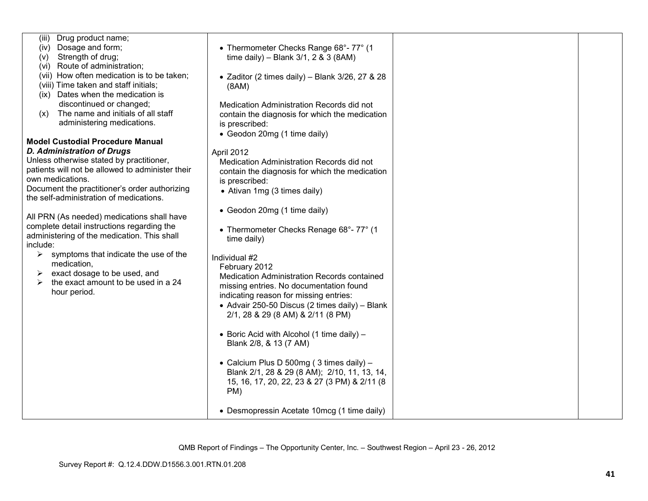| Drug product name;<br>(iii)                      |                                                     |  |
|--------------------------------------------------|-----------------------------------------------------|--|
| Dosage and form;<br>(iv)                         | • Thermometer Checks Range 68°-77° (1               |  |
| Strength of drug;<br>(v)                         | time daily) - Blank 3/1, 2 & 3 (8AM)                |  |
| Route of administration;<br>(VI)                 |                                                     |  |
| (vii) How often medication is to be taken;       | • Zaditor (2 times daily) - Blank $3/26$ , 27 & 28  |  |
| (viii) Time taken and staff initials;            | (8AM)                                               |  |
| (ix) Dates when the medication is                |                                                     |  |
| discontinued or changed;                         | Medication Administration Records did not           |  |
| The name and initials of all staff<br>(x)        | contain the diagnosis for which the medication      |  |
| administering medications.                       | is prescribed:                                      |  |
|                                                  |                                                     |  |
| <b>Model Custodial Procedure Manual</b>          | • Geodon 20mg (1 time daily)                        |  |
| <b>D. Administration of Drugs</b>                |                                                     |  |
| Unless otherwise stated by practitioner,         | April 2012                                          |  |
| patients will not be allowed to administer their | Medication Administration Records did not           |  |
|                                                  | contain the diagnosis for which the medication      |  |
| own medications.                                 | is prescribed:                                      |  |
| Document the practitioner's order authorizing    | • Ativan 1mg (3 times daily)                        |  |
| the self-administration of medications.          |                                                     |  |
|                                                  | • Geodon 20mg (1 time daily)                        |  |
| All PRN (As needed) medications shall have       |                                                     |  |
| complete detail instructions regarding the       | • Thermometer Checks Renage 68°-77° (1              |  |
| administering of the medication. This shall      | time daily)                                         |  |
| include:                                         |                                                     |  |
| symptoms that indicate the use of the<br>➤       | Individual #2                                       |  |
| medication,                                      | February 2012                                       |  |
| exact dosage to be used, and<br>➤                | Medication Administration Records contained         |  |
| the exact amount to be used in a 24<br>➤         | missing entries. No documentation found             |  |
| hour period.                                     | indicating reason for missing entries:              |  |
|                                                  | • Advair 250-50 Discus (2 times daily) - Blank      |  |
|                                                  | 2/1, 28 & 29 (8 AM) & 2/11 (8 PM)                   |  |
|                                                  |                                                     |  |
|                                                  | • Boric Acid with Alcohol (1 time daily) $-$        |  |
|                                                  | Blank 2/8, & 13 (7 AM)                              |  |
|                                                  |                                                     |  |
|                                                  | • Calcium Plus D 500mg (3 times daily) -            |  |
|                                                  | Blank 2/1, 28 & 29 (8 AM); 2/10, 11, 13, 14,        |  |
|                                                  |                                                     |  |
|                                                  | 15, 16, 17, 20, 22, 23 & 27 (3 PM) & 2/11 (8<br>PM) |  |
|                                                  |                                                     |  |
|                                                  |                                                     |  |
|                                                  | • Desmopressin Acetate 10mcg (1 time daily)         |  |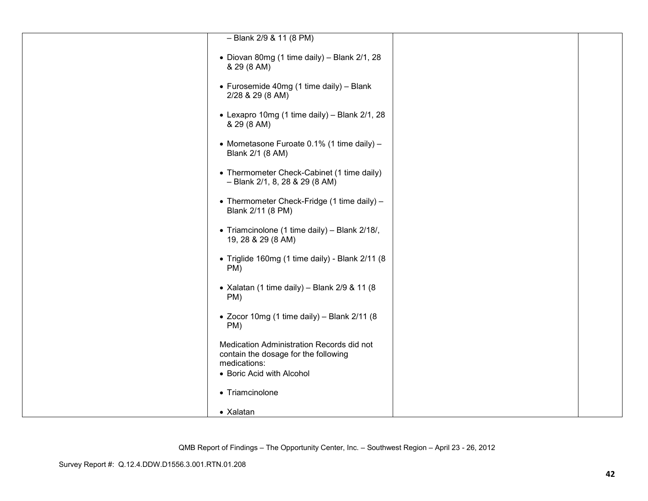| $-$ Blank 2/9 & 11 (8 PM)                                                                         |  |
|---------------------------------------------------------------------------------------------------|--|
|                                                                                                   |  |
| • Diovan 80mg (1 time daily) - Blank 2/1, 28<br>& 29 (8 AM)                                       |  |
| • Furosemide 40mg (1 time daily) - Blank<br>2/28 & 29 (8 AM)                                      |  |
| • Lexapro 10mg (1 time daily) - Blank 2/1, 28<br>& 29 (8 AM)                                      |  |
| • Mometasone Furoate 0.1% (1 time daily) -<br>Blank 2/1 (8 AM)                                    |  |
| • Thermometer Check-Cabinet (1 time daily)<br>$-$ Blank 2/1, 8, 28 & 29 (8 AM)                    |  |
| • Thermometer Check-Fridge (1 time daily) -<br>Blank 2/11 (8 PM)                                  |  |
| • Triamcinolone (1 time daily) - Blank 2/18/,<br>19, 28 & 29 (8 AM)                               |  |
| · Triglide 160mg (1 time daily) - Blank 2/11 (8<br>PM)                                            |  |
| • Xalatan (1 time daily) - Blank $2/9$ & 11 (8)<br>PM)                                            |  |
| • Zocor 10mg (1 time daily) - Blank 2/11 (8<br>PM)                                                |  |
| Medication Administration Records did not<br>contain the dosage for the following<br>medications: |  |
| • Boric Acid with Alcohol                                                                         |  |
|                                                                                                   |  |
| • Triamcinolone                                                                                   |  |
| • Xalatan                                                                                         |  |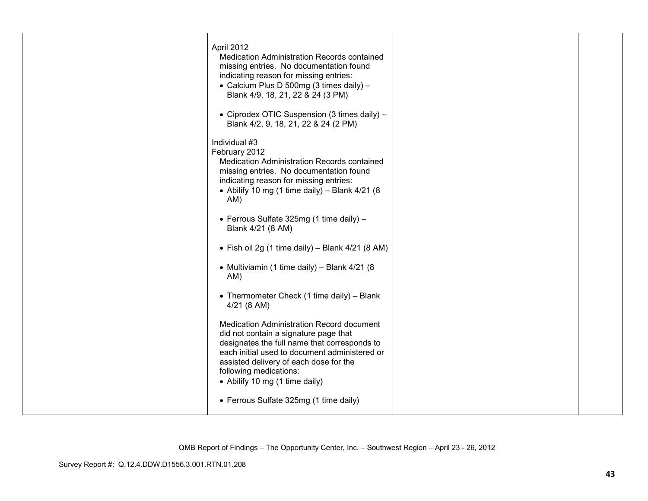| April 2012<br>Medication Administration Records contained<br>missing entries. No documentation found<br>indicating reason for missing entries:<br>• Calcium Plus D 500mg (3 times daily) -<br>Blank 4/9, 18, 21, 22 & 24 (3 PM)<br>• Ciprodex OTIC Suspension (3 times daily) -<br>Blank 4/2, 9, 18, 21, 22 & 24 (2 PM)<br>Individual #3<br>February 2012<br>Medication Administration Records contained<br>missing entries. No documentation found<br>indicating reason for missing entries:<br>• Abilify 10 mg (1 time daily) - Blank $4/21$ (8<br>AM) |  |
|----------------------------------------------------------------------------------------------------------------------------------------------------------------------------------------------------------------------------------------------------------------------------------------------------------------------------------------------------------------------------------------------------------------------------------------------------------------------------------------------------------------------------------------------------------|--|
| • Ferrous Sulfate 325mg (1 time daily) $-$<br>Blank 4/21 (8 AM)                                                                                                                                                                                                                                                                                                                                                                                                                                                                                          |  |
| • Fish oil 2g (1 time daily) – Blank $4/21$ (8 AM)                                                                                                                                                                                                                                                                                                                                                                                                                                                                                                       |  |
| • Multiviamin (1 time daily) - Blank 4/21 (8<br>AM)                                                                                                                                                                                                                                                                                                                                                                                                                                                                                                      |  |
| • Thermometer Check (1 time daily) - Blank<br>$4/21$ (8 AM)                                                                                                                                                                                                                                                                                                                                                                                                                                                                                              |  |
| Medication Administration Record document<br>did not contain a signature page that<br>designates the full name that corresponds to<br>each initial used to document administered or<br>assisted delivery of each dose for the<br>following medications:<br>• Abilify 10 mg (1 time daily)                                                                                                                                                                                                                                                                |  |
| • Ferrous Sulfate 325mg (1 time daily)                                                                                                                                                                                                                                                                                                                                                                                                                                                                                                                   |  |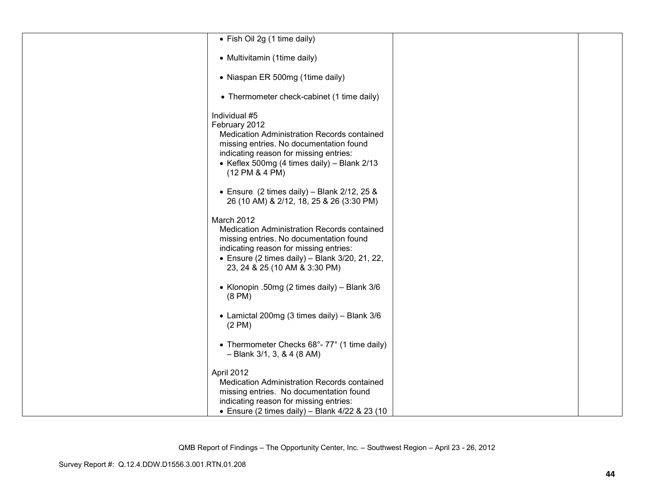| • Fish Oil 2g (1 time daily)                                                                                                                                                                                                              |  |
|-------------------------------------------------------------------------------------------------------------------------------------------------------------------------------------------------------------------------------------------|--|
| • Multivitamin (1time daily)                                                                                                                                                                                                              |  |
| • Niaspan ER 500mg (1time daily)                                                                                                                                                                                                          |  |
| • Thermometer check-cabinet (1 time daily)                                                                                                                                                                                                |  |
| Individual #5<br>February 2012<br>Medication Administration Records contained<br>missing entries. No documentation found<br>indicating reason for missing entries:<br>• Keflex 500mg (4 times daily) - Blank 2/13<br>(12 PM & 4 PM)       |  |
| • Ensure $(2 \text{ times daily}) - \text{Blank } 2/12, 25 \&$<br>26 (10 AM) & 2/12, 18, 25 & 26 (3:30 PM)                                                                                                                                |  |
| March 2012<br>Medication Administration Records contained<br>missing entries. No documentation found<br>indicating reason for missing entries:<br>$\bullet$ Ensure (2 times daily) - Blank 3/20, 21, 22,<br>23, 24 & 25 (10 AM & 3:30 PM) |  |
| • Klonopin .50mg (2 times daily) - Blank 3/6<br>$(8 \text{ PM})$                                                                                                                                                                          |  |
| • Lamictal 200mg (3 times daily) - Blank 3/6<br>$(2 \text{ PM})$                                                                                                                                                                          |  |
| • Thermometer Checks 68°-77° (1 time daily)<br>$-$ Blank 3/1, 3, & 4 (8 AM)                                                                                                                                                               |  |
| April 2012<br>Medication Administration Records contained<br>missing entries. No documentation found<br>indicating reason for missing entries:<br>• Ensure (2 times daily) – Blank $4/22$ & 23 (10                                        |  |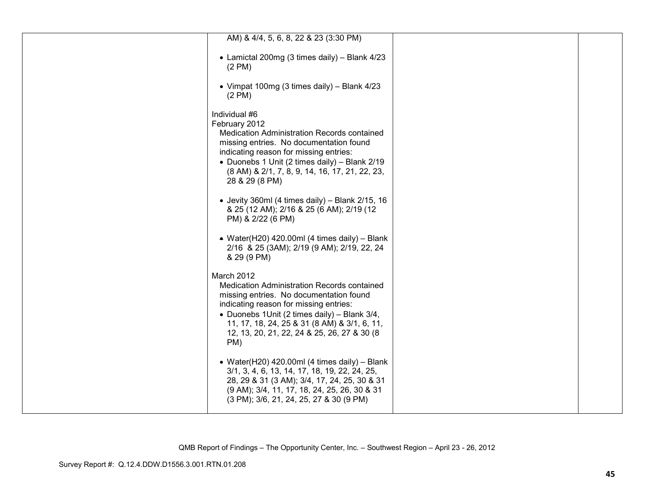| AM) & 4/4, 5, 6, 8, 22 & 23 (3:30 PM)                                                                                                                                                                                                                                                                |  |
|------------------------------------------------------------------------------------------------------------------------------------------------------------------------------------------------------------------------------------------------------------------------------------------------------|--|
| • Lamictal 200mg (3 times daily) - Blank 4/23<br>$(2 \text{ PM})$                                                                                                                                                                                                                                    |  |
| • Vimpat 100mg (3 times daily) - Blank 4/23<br>$(2 \text{ PM})$                                                                                                                                                                                                                                      |  |
| Individual #6<br>February 2012<br>Medication Administration Records contained<br>missing entries. No documentation found<br>indicating reason for missing entries:<br>• Duonebs 1 Unit (2 times daily) - Blank 2/19<br>(8 AM) & 2/1, 7, 8, 9, 14, 16, 17, 21, 22, 23,<br>28 & 29 (8 PM)              |  |
| • Jevity 360ml (4 times daily) - Blank $2/15$ , 16<br>& 25 (12 AM); 2/16 & 25 (6 AM); 2/19 (12<br>PM) & 2/22 (6 PM)                                                                                                                                                                                  |  |
| • Water(H20) 420.00ml (4 times daily) – Blank<br>2/16 & 25 (3AM); 2/19 (9 AM); 2/19, 22, 24<br>& 29 (9 PM)                                                                                                                                                                                           |  |
| March 2012<br>Medication Administration Records contained<br>missing entries. No documentation found<br>indicating reason for missing entries:<br>• Duonebs 1Unit (2 times daily) - Blank 3/4,<br>11, 17, 18, 24, 25 & 31 (8 AM) & 3/1, 6, 11,<br>12, 13, 20, 21, 22, 24 & 25, 26, 27 & 30 (8<br>PM) |  |
| • Water(H20) 420.00ml (4 times daily) - Blank<br>3/1, 3, 4, 6, 13, 14, 17, 18, 19, 22, 24, 25,<br>28, 29 & 31 (3 AM); 3/4, 17, 24, 25, 30 & 31<br>(9 AM); 3/4, 11, 17, 18, 24, 25, 26, 30 & 31<br>(3 PM); 3/6, 21, 24, 25, 27 & 30 (9 PM)                                                            |  |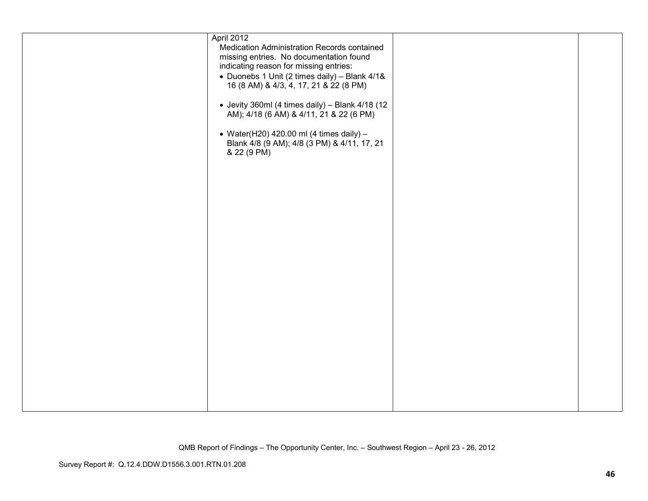| April 2012<br>Medication Administration Records contained                                                |  |
|----------------------------------------------------------------------------------------------------------|--|
| missing entries. No documentation found<br>indicating reason for missing entries:                        |  |
| • Duonebs 1 Unit (2 times daily) - Blank 4/1&                                                            |  |
| 16 (8 AM) & 4/3, 4, 17, 21 & 22 (8 PM)                                                                   |  |
| • Jevity 360ml (4 times daily) - Blank 4/18 (12<br>AM); 4/18 (6 AM) & 4/11, 21 & 22 (6 PM)               |  |
| • Water(H20) 420.00 ml (4 times daily) $-$<br>Blank 4/8 (9 AM); 4/8 (3 PM) & 4/11, 17, 21<br>& 22 (9 PM) |  |
|                                                                                                          |  |
|                                                                                                          |  |
|                                                                                                          |  |
|                                                                                                          |  |
|                                                                                                          |  |
|                                                                                                          |  |
|                                                                                                          |  |
|                                                                                                          |  |
|                                                                                                          |  |
|                                                                                                          |  |
|                                                                                                          |  |
|                                                                                                          |  |
|                                                                                                          |  |
|                                                                                                          |  |
|                                                                                                          |  |
|                                                                                                          |  |
|                                                                                                          |  |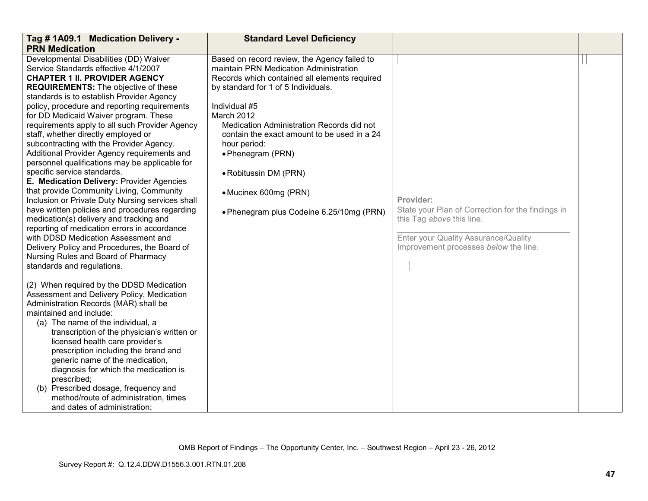| Tag # 1A09.1 Medication Delivery -<br><b>PRN Medication</b>                                                                                                                                                                                                                                                                                                                                                                                                                                                                                                                                                                                                                                                                                                                                                                                                                                                                                                                                                                                                                                                                                                                                                                                                                                                                                                                                                                                                                                                                                                                     | <b>Standard Level Deficiency</b>                                                                                                                                                                                                                                                                                                                                                                                                             |                                                                                                                                                                              |  |
|---------------------------------------------------------------------------------------------------------------------------------------------------------------------------------------------------------------------------------------------------------------------------------------------------------------------------------------------------------------------------------------------------------------------------------------------------------------------------------------------------------------------------------------------------------------------------------------------------------------------------------------------------------------------------------------------------------------------------------------------------------------------------------------------------------------------------------------------------------------------------------------------------------------------------------------------------------------------------------------------------------------------------------------------------------------------------------------------------------------------------------------------------------------------------------------------------------------------------------------------------------------------------------------------------------------------------------------------------------------------------------------------------------------------------------------------------------------------------------------------------------------------------------------------------------------------------------|----------------------------------------------------------------------------------------------------------------------------------------------------------------------------------------------------------------------------------------------------------------------------------------------------------------------------------------------------------------------------------------------------------------------------------------------|------------------------------------------------------------------------------------------------------------------------------------------------------------------------------|--|
| Developmental Disabilities (DD) Waiver<br>Service Standards effective 4/1/2007<br><b>CHAPTER 1 II. PROVIDER AGENCY</b><br><b>REQUIREMENTS:</b> The objective of these<br>standards is to establish Provider Agency<br>policy, procedure and reporting requirements<br>for DD Medicaid Waiver program. These<br>requirements apply to all such Provider Agency<br>staff, whether directly employed or<br>subcontracting with the Provider Agency.<br>Additional Provider Agency requirements and<br>personnel qualifications may be applicable for<br>specific service standards.<br>E. Medication Delivery: Provider Agencies<br>that provide Community Living, Community<br>Inclusion or Private Duty Nursing services shall<br>have written policies and procedures regarding<br>medication(s) delivery and tracking and<br>reporting of medication errors in accordance<br>with DDSD Medication Assessment and<br>Delivery Policy and Procedures, the Board of<br>Nursing Rules and Board of Pharmacy<br>standards and regulations.<br>(2) When required by the DDSD Medication<br>Assessment and Delivery Policy, Medication<br>Administration Records (MAR) shall be<br>maintained and include:<br>(a) The name of the individual, a<br>transcription of the physician's written or<br>licensed health care provider's<br>prescription including the brand and<br>generic name of the medication,<br>diagnosis for which the medication is<br>prescribed;<br>(b) Prescribed dosage, frequency and<br>method/route of administration, times<br>and dates of administration; | Based on record review, the Agency failed to<br>maintain PRN Medication Administration<br>Records which contained all elements required<br>by standard for 1 of 5 Individuals.<br>Individual #5<br>March 2012<br>Medication Administration Records did not<br>contain the exact amount to be used in a 24<br>hour period:<br>• Phenegram (PRN)<br>• Robitussin DM (PRN)<br>• Mucinex 600mg (PRN)<br>. Phenegram plus Codeine 6.25/10mg (PRN) | Provider:<br>State your Plan of Correction for the findings in<br>this Tag above this line.<br>Enter your Quality Assurance/Quality<br>Improvement processes below the line. |  |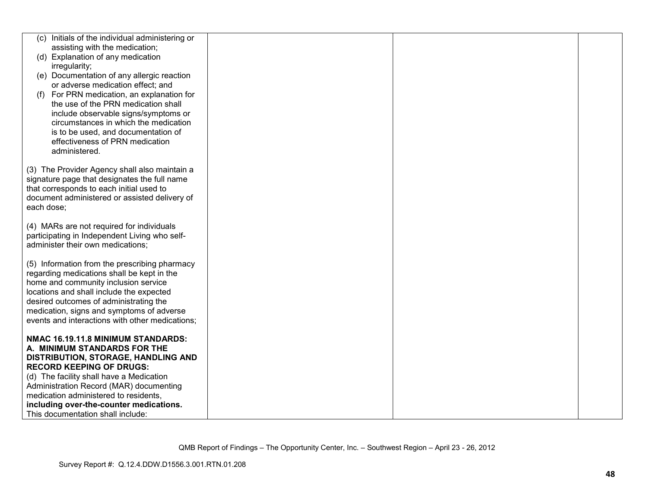|            | (c) Initials of the individual administering or |  |  |
|------------|-------------------------------------------------|--|--|
|            | assisting with the medication;                  |  |  |
|            | (d) Explanation of any medication               |  |  |
|            | irregularity;                                   |  |  |
|            | (e) Documentation of any allergic reaction      |  |  |
|            | or adverse medication effect; and               |  |  |
| (f)        | For PRN medication, an explanation for          |  |  |
|            | the use of the PRN medication shall             |  |  |
|            | include observable signs/symptoms or            |  |  |
|            | circumstances in which the medication           |  |  |
|            | is to be used, and documentation of             |  |  |
|            |                                                 |  |  |
|            | effectiveness of PRN medication                 |  |  |
|            | administered.                                   |  |  |
|            | (3) The Provider Agency shall also maintain a   |  |  |
|            | signature page that designates the full name    |  |  |
|            | that corresponds to each initial used to        |  |  |
|            | document administered or assisted delivery of   |  |  |
| each dose; |                                                 |  |  |
|            |                                                 |  |  |
|            | (4) MARs are not required for individuals       |  |  |
|            | participating in Independent Living who self-   |  |  |
|            | administer their own medications;               |  |  |
|            |                                                 |  |  |
|            | (5) Information from the prescribing pharmacy   |  |  |
|            | regarding medications shall be kept in the      |  |  |
|            | home and community inclusion service            |  |  |
|            | locations and shall include the expected        |  |  |
|            | desired outcomes of administrating the          |  |  |
|            | medication, signs and symptoms of adverse       |  |  |
|            | events and interactions with other medications; |  |  |
|            |                                                 |  |  |
|            | NMAC 16.19.11.8 MINIMUM STANDARDS:              |  |  |
|            | A. MINIMUM STANDARDS FOR THE                    |  |  |
|            | <b>DISTRIBUTION, STORAGE, HANDLING AND</b>      |  |  |
|            | <b>RECORD KEEPING OF DRUGS:</b>                 |  |  |
|            | (d) The facility shall have a Medication        |  |  |
|            | Administration Record (MAR) documenting         |  |  |
|            | medication administered to residents,           |  |  |
|            | including over-the-counter medications.         |  |  |
|            | This documentation shall include:               |  |  |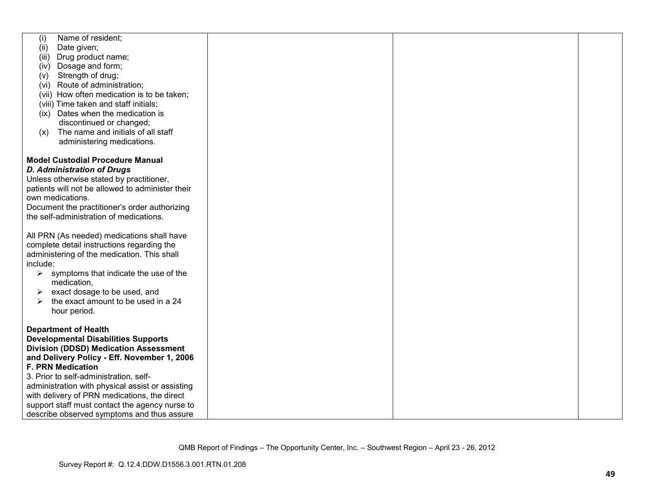| Name of resident;<br>(i)                                                |  |  |
|-------------------------------------------------------------------------|--|--|
| Date given;<br>(ii)                                                     |  |  |
| Drug product name;<br>(iii)                                             |  |  |
| (iv) Dosage and form;                                                   |  |  |
| Strength of drug;<br>(v)                                                |  |  |
| (vi) Route of administration;                                           |  |  |
| (vii) How often medication is to be taken;                              |  |  |
| (viii) Time taken and staff initials;                                   |  |  |
| (ix) Dates when the medication is                                       |  |  |
| discontinued or changed;                                                |  |  |
| The name and initials of all staff<br>(x)                               |  |  |
|                                                                         |  |  |
| administering medications.                                              |  |  |
|                                                                         |  |  |
| <b>Model Custodial Procedure Manual</b>                                 |  |  |
| <b>D. Administration of Drugs</b>                                       |  |  |
| Unless otherwise stated by practitioner,                                |  |  |
| patients will not be allowed to administer their                        |  |  |
| own medications.                                                        |  |  |
| Document the practitioner's order authorizing                           |  |  |
| the self-administration of medications.                                 |  |  |
|                                                                         |  |  |
| All PRN (As needed) medications shall have                              |  |  |
| complete detail instructions regarding the                              |  |  |
| administering of the medication. This shall                             |  |  |
| include:                                                                |  |  |
| symptoms that indicate the use of the<br>$\blacktriangleright$          |  |  |
| medication,                                                             |  |  |
| exact dosage to be used, and<br>➤                                       |  |  |
| the exact amount to be used in a 24<br>➤                                |  |  |
| hour period.                                                            |  |  |
|                                                                         |  |  |
| <b>Department of Health</b>                                             |  |  |
| <b>Developmental Disabilities Supports</b>                              |  |  |
| <b>Division (DDSD) Medication Assessment</b>                            |  |  |
|                                                                         |  |  |
| and Delivery Policy - Eff. November 1, 2006<br><b>F. PRN Medication</b> |  |  |
|                                                                         |  |  |
| 3. Prior to self-administration, self-                                  |  |  |
| administration with physical assist or assisting                        |  |  |
| with delivery of PRN medications, the direct                            |  |  |
| support staff must contact the agency nurse to                          |  |  |
| describe observed symptoms and thus assure                              |  |  |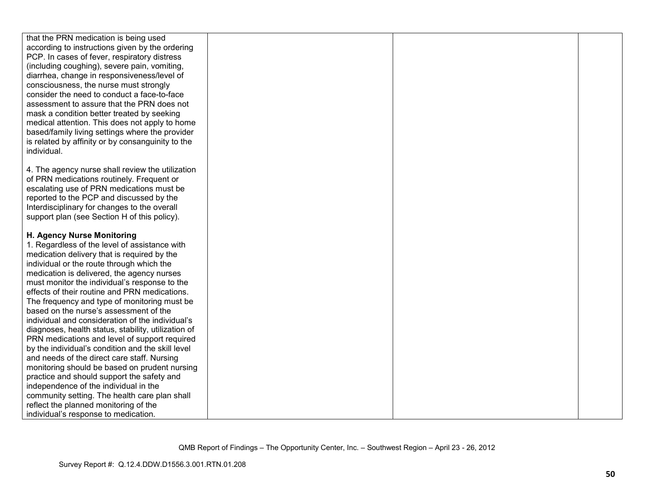| that the PRN medication is being used               |  |  |
|-----------------------------------------------------|--|--|
| according to instructions given by the ordering     |  |  |
| PCP. In cases of fever, respiratory distress        |  |  |
| (including coughing), severe pain, vomiting,        |  |  |
| diarrhea, change in responsiveness/level of         |  |  |
| consciousness, the nurse must strongly              |  |  |
| consider the need to conduct a face-to-face         |  |  |
| assessment to assure that the PRN does not          |  |  |
| mask a condition better treated by seeking          |  |  |
| medical attention. This does not apply to home      |  |  |
| based/family living settings where the provider     |  |  |
| is related by affinity or by consanguinity to the   |  |  |
| individual.                                         |  |  |
|                                                     |  |  |
|                                                     |  |  |
| 4. The agency nurse shall review the utilization    |  |  |
| of PRN medications routinely. Frequent or           |  |  |
| escalating use of PRN medications must be           |  |  |
| reported to the PCP and discussed by the            |  |  |
| Interdisciplinary for changes to the overall        |  |  |
| support plan (see Section H of this policy).        |  |  |
|                                                     |  |  |
| H. Agency Nurse Monitoring                          |  |  |
| 1. Regardless of the level of assistance with       |  |  |
| medication delivery that is required by the         |  |  |
| individual or the route through which the           |  |  |
| medication is delivered, the agency nurses          |  |  |
| must monitor the individual's response to the       |  |  |
| effects of their routine and PRN medications.       |  |  |
| The frequency and type of monitoring must be        |  |  |
| based on the nurse's assessment of the              |  |  |
| individual and consideration of the individual's    |  |  |
| diagnoses, health status, stability, utilization of |  |  |
| PRN medications and level of support required       |  |  |
| by the individual's condition and the skill level   |  |  |
| and needs of the direct care staff. Nursing         |  |  |
| monitoring should be based on prudent nursing       |  |  |
| practice and should support the safety and          |  |  |
| independence of the individual in the               |  |  |
| community setting. The health care plan shall       |  |  |
| reflect the planned monitoring of the               |  |  |
| individual's response to medication.                |  |  |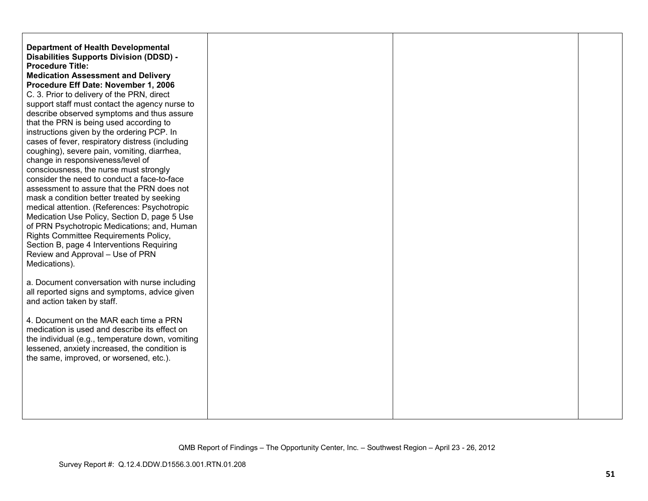| <b>Department of Health Developmental</b><br><b>Disabilities Supports Division (DDSD) -</b><br><b>Procedure Title:</b><br><b>Medication Assessment and Delivery</b><br>Procedure Eff Date: November 1, 2006<br>C. 3. Prior to delivery of the PRN, direct<br>support staff must contact the agency nurse to<br>describe observed symptoms and thus assure<br>that the PRN is being used according to<br>instructions given by the ordering PCP. In<br>cases of fever, respiratory distress (including<br>coughing), severe pain, vomiting, diarrhea,<br>change in responsiveness/level of<br>consciousness, the nurse must strongly<br>consider the need to conduct a face-to-face<br>assessment to assure that the PRN does not<br>mask a condition better treated by seeking<br>medical attention. (References: Psychotropic<br>Medication Use Policy, Section D, page 5 Use<br>of PRN Psychotropic Medications; and, Human<br>Rights Committee Requirements Policy,<br>Section B, page 4 Interventions Requiring<br>Review and Approval - Use of PRN<br>Medications).<br>a. Document conversation with nurse including<br>all reported signs and symptoms, advice given |  |  |
|----------------------------------------------------------------------------------------------------------------------------------------------------------------------------------------------------------------------------------------------------------------------------------------------------------------------------------------------------------------------------------------------------------------------------------------------------------------------------------------------------------------------------------------------------------------------------------------------------------------------------------------------------------------------------------------------------------------------------------------------------------------------------------------------------------------------------------------------------------------------------------------------------------------------------------------------------------------------------------------------------------------------------------------------------------------------------------------------------------------------------------------------------------------------------|--|--|
| and action taken by staff.<br>4. Document on the MAR each time a PRN<br>medication is used and describe its effect on<br>the individual (e.g., temperature down, vomiting<br>lessened, anxiety increased, the condition is<br>the same, improved, or worsened, etc.).                                                                                                                                                                                                                                                                                                                                                                                                                                                                                                                                                                                                                                                                                                                                                                                                                                                                                                      |  |  |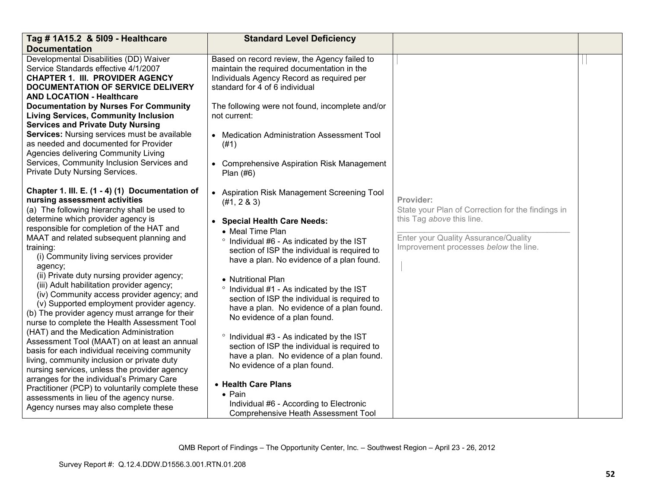| Tag # 1A15.2 & 5109 - Healthcare                                                                                                                                                                                                                                                                                                                                                                                                                                                                                                                                                                                                                                                                                                                                                                                                                                                                                                                                                                                                                            | <b>Standard Level Deficiency</b>                                                                                                                                                                                                                                                                                                                                                                                                                                                                                                                                                                                                                                                                                                                                     |                                                                                                                                                                              |  |
|-------------------------------------------------------------------------------------------------------------------------------------------------------------------------------------------------------------------------------------------------------------------------------------------------------------------------------------------------------------------------------------------------------------------------------------------------------------------------------------------------------------------------------------------------------------------------------------------------------------------------------------------------------------------------------------------------------------------------------------------------------------------------------------------------------------------------------------------------------------------------------------------------------------------------------------------------------------------------------------------------------------------------------------------------------------|----------------------------------------------------------------------------------------------------------------------------------------------------------------------------------------------------------------------------------------------------------------------------------------------------------------------------------------------------------------------------------------------------------------------------------------------------------------------------------------------------------------------------------------------------------------------------------------------------------------------------------------------------------------------------------------------------------------------------------------------------------------------|------------------------------------------------------------------------------------------------------------------------------------------------------------------------------|--|
| <b>Documentation</b>                                                                                                                                                                                                                                                                                                                                                                                                                                                                                                                                                                                                                                                                                                                                                                                                                                                                                                                                                                                                                                        |                                                                                                                                                                                                                                                                                                                                                                                                                                                                                                                                                                                                                                                                                                                                                                      |                                                                                                                                                                              |  |
| Developmental Disabilities (DD) Waiver<br>Service Standards effective 4/1/2007<br><b>CHAPTER 1. III. PROVIDER AGENCY</b><br><b>DOCUMENTATION OF SERVICE DELIVERY</b><br><b>AND LOCATION - Healthcare</b><br><b>Documentation by Nurses For Community</b><br><b>Living Services, Community Inclusion</b><br><b>Services and Private Duty Nursing</b><br>Services: Nursing services must be available<br>as needed and documented for Provider<br>Agencies delivering Community Living<br>Services, Community Inclusion Services and<br>Private Duty Nursing Services.                                                                                                                                                                                                                                                                                                                                                                                                                                                                                        | Based on record review, the Agency failed to<br>maintain the required documentation in the<br>Individuals Agency Record as required per<br>standard for 4 of 6 individual<br>The following were not found, incomplete and/or<br>not current:<br>• Medication Administration Assessment Tool<br>(#1)<br>• Comprehensive Aspiration Risk Management<br>Plan (#6)                                                                                                                                                                                                                                                                                                                                                                                                       |                                                                                                                                                                              |  |
| Chapter 1. III. E. (1 - 4) (1) Documentation of<br>nursing assessment activities<br>(a) The following hierarchy shall be used to<br>determine which provider agency is<br>responsible for completion of the HAT and<br>MAAT and related subsequent planning and<br>training:<br>(i) Community living services provider<br>agency;<br>(ii) Private duty nursing provider agency;<br>(iii) Adult habilitation provider agency;<br>(iv) Community access provider agency; and<br>(v) Supported employment provider agency.<br>(b) The provider agency must arrange for their<br>nurse to complete the Health Assessment Tool<br>(HAT) and the Medication Administration<br>Assessment Tool (MAAT) on at least an annual<br>basis for each individual receiving community<br>living, community inclusion or private duty<br>nursing services, unless the provider agency<br>arranges for the individual's Primary Care<br>Practitioner (PCP) to voluntarily complete these<br>assessments in lieu of the agency nurse.<br>Agency nurses may also complete these | • Aspiration Risk Management Screening Tool<br>(#1, 2 & 3)<br>• Special Health Care Needs:<br>• Meal Time Plan<br>° Individual #6 - As indicated by the IST<br>section of ISP the individual is required to<br>have a plan. No evidence of a plan found.<br>• Nutritional Plan<br>° Individual #1 - As indicated by the IST<br>section of ISP the individual is required to<br>have a plan. No evidence of a plan found.<br>No evidence of a plan found.<br>° Individual #3 - As indicated by the IST<br>section of ISP the individual is required to<br>have a plan. No evidence of a plan found.<br>No evidence of a plan found.<br>• Health Care Plans<br>$\bullet$ Pain<br>Individual #6 - According to Electronic<br><b>Comprehensive Heath Assessment Tool</b> | Provider:<br>State your Plan of Correction for the findings in<br>this Tag above this line.<br>Enter your Quality Assurance/Quality<br>Improvement processes below the line. |  |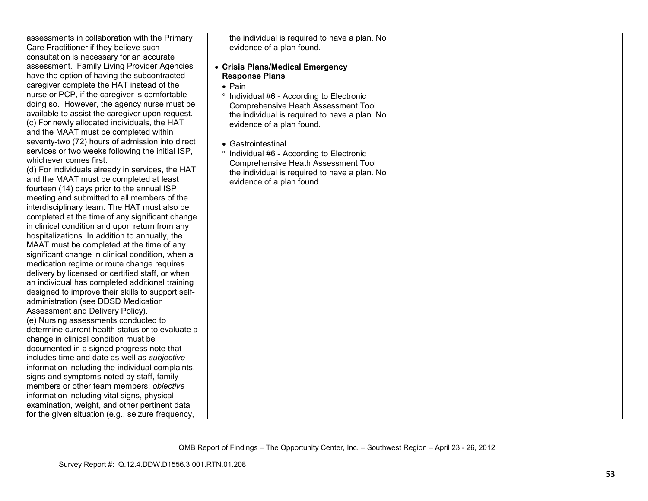| assessments in collaboration with the Primary<br>Care Practitioner if they believe such<br>consultation is necessary for an accurate<br>assessment. Family Living Provider Agencies<br>have the option of having the subcontracted<br>caregiver complete the HAT instead of the<br>nurse or PCP, if the caregiver is comfortable<br>doing so. However, the agency nurse must be<br>available to assist the caregiver upon request.<br>(c) For newly allocated individuals, the HAT<br>and the MAAT must be completed within<br>seventy-two (72) hours of admission into direct<br>services or two weeks following the initial ISP,<br>whichever comes first.<br>(d) For individuals already in services, the HAT<br>and the MAAT must be completed at least<br>fourteen (14) days prior to the annual ISP<br>meeting and submitted to all members of the<br>interdisciplinary team. The HAT must also be<br>completed at the time of any significant change<br>in clinical condition and upon return from any<br>hospitalizations. In addition to annually, the<br>MAAT must be completed at the time of any<br>significant change in clinical condition, when a<br>medication regime or route change requires<br>delivery by licensed or certified staff, or when<br>an individual has completed additional training<br>designed to improve their skills to support self-<br>administration (see DDSD Medication<br>Assessment and Delivery Policy).<br>(e) Nursing assessments conducted to<br>determine current health status or to evaluate a<br>change in clinical condition must be<br>documented in a signed progress note that<br>includes time and date as well as subjective<br>information including the individual complaints,<br>signs and symptoms noted by staff, family<br>members or other team members; objective<br>information including vital signs, physical<br>examination, weight, and other pertinent data<br>for the given situation (e.g., seizure frequency, | the individual is required to have a plan. No<br>evidence of a plan found.<br>• Crisis Plans/Medical Emergency<br><b>Response Plans</b><br>$\bullet$ Pain<br><sup>o</sup> Individual #6 - According to Electronic<br><b>Comprehensive Heath Assessment Tool</b><br>the individual is required to have a plan. No<br>evidence of a plan found.<br>• Gastrointestinal<br>° Individual #6 - According to Electronic<br><b>Comprehensive Heath Assessment Tool</b><br>the individual is required to have a plan. No<br>evidence of a plan found. |  |  |
|------------------------------------------------------------------------------------------------------------------------------------------------------------------------------------------------------------------------------------------------------------------------------------------------------------------------------------------------------------------------------------------------------------------------------------------------------------------------------------------------------------------------------------------------------------------------------------------------------------------------------------------------------------------------------------------------------------------------------------------------------------------------------------------------------------------------------------------------------------------------------------------------------------------------------------------------------------------------------------------------------------------------------------------------------------------------------------------------------------------------------------------------------------------------------------------------------------------------------------------------------------------------------------------------------------------------------------------------------------------------------------------------------------------------------------------------------------------------------------------------------------------------------------------------------------------------------------------------------------------------------------------------------------------------------------------------------------------------------------------------------------------------------------------------------------------------------------------------------------------------------------------------------------------------------------------------------------------------------------------|----------------------------------------------------------------------------------------------------------------------------------------------------------------------------------------------------------------------------------------------------------------------------------------------------------------------------------------------------------------------------------------------------------------------------------------------------------------------------------------------------------------------------------------------|--|--|
|------------------------------------------------------------------------------------------------------------------------------------------------------------------------------------------------------------------------------------------------------------------------------------------------------------------------------------------------------------------------------------------------------------------------------------------------------------------------------------------------------------------------------------------------------------------------------------------------------------------------------------------------------------------------------------------------------------------------------------------------------------------------------------------------------------------------------------------------------------------------------------------------------------------------------------------------------------------------------------------------------------------------------------------------------------------------------------------------------------------------------------------------------------------------------------------------------------------------------------------------------------------------------------------------------------------------------------------------------------------------------------------------------------------------------------------------------------------------------------------------------------------------------------------------------------------------------------------------------------------------------------------------------------------------------------------------------------------------------------------------------------------------------------------------------------------------------------------------------------------------------------------------------------------------------------------------------------------------------------------|----------------------------------------------------------------------------------------------------------------------------------------------------------------------------------------------------------------------------------------------------------------------------------------------------------------------------------------------------------------------------------------------------------------------------------------------------------------------------------------------------------------------------------------------|--|--|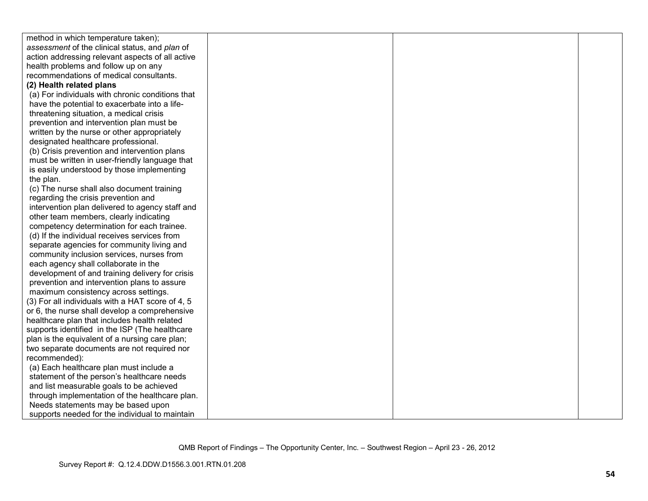| method in which temperature taken);              |  |  |
|--------------------------------------------------|--|--|
| assessment of the clinical status, and plan of   |  |  |
| action addressing relevant aspects of all active |  |  |
| health problems and follow up on any             |  |  |
| recommendations of medical consultants.          |  |  |
| (2) Health related plans                         |  |  |
| (a) For individuals with chronic conditions that |  |  |
| have the potential to exacerbate into a life-    |  |  |
| threatening situation, a medical crisis          |  |  |
| prevention and intervention plan must be         |  |  |
| written by the nurse or other appropriately      |  |  |
| designated healthcare professional.              |  |  |
| (b) Crisis prevention and intervention plans     |  |  |
| must be written in user-friendly language that   |  |  |
| is easily understood by those implementing       |  |  |
| the plan.                                        |  |  |
| (c) The nurse shall also document training       |  |  |
| regarding the crisis prevention and              |  |  |
| intervention plan delivered to agency staff and  |  |  |
| other team members, clearly indicating           |  |  |
| competency determination for each trainee.       |  |  |
| (d) If the individual receives services from     |  |  |
| separate agencies for community living and       |  |  |
| community inclusion services, nurses from        |  |  |
| each agency shall collaborate in the             |  |  |
| development of and training delivery for crisis  |  |  |
| prevention and intervention plans to assure      |  |  |
| maximum consistency across settings.             |  |  |
| (3) For all individuals with a HAT score of 4, 5 |  |  |
| or 6, the nurse shall develop a comprehensive    |  |  |
| healthcare plan that includes health related     |  |  |
| supports identified in the ISP (The healthcare   |  |  |
| plan is the equivalent of a nursing care plan;   |  |  |
| two separate documents are not required nor      |  |  |
| recommended):                                    |  |  |
| (a) Each healthcare plan must include a          |  |  |
| statement of the person's healthcare needs       |  |  |
| and list measurable goals to be achieved         |  |  |
| through implementation of the healthcare plan.   |  |  |
| Needs statements may be based upon               |  |  |
| supports needed for the individual to maintain   |  |  |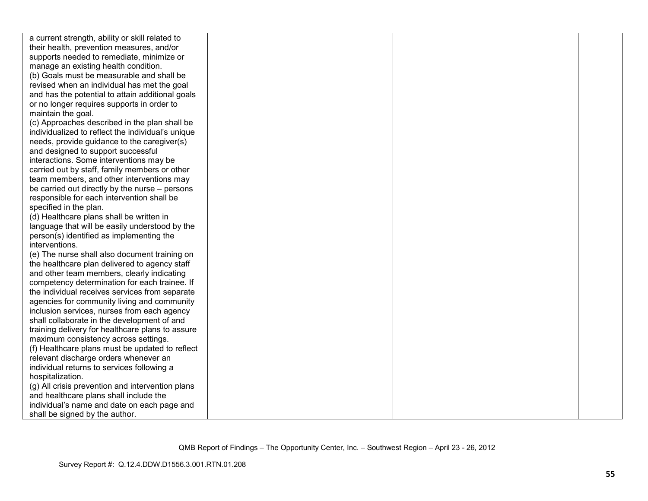| a current strength, ability or skill related to   |  |  |
|---------------------------------------------------|--|--|
| their health, prevention measures, and/or         |  |  |
| supports needed to remediate, minimize or         |  |  |
| manage an existing health condition.              |  |  |
| (b) Goals must be measurable and shall be         |  |  |
| revised when an individual has met the goal       |  |  |
| and has the potential to attain additional goals  |  |  |
| or no longer requires supports in order to        |  |  |
| maintain the goal.                                |  |  |
| (c) Approaches described in the plan shall be     |  |  |
| individualized to reflect the individual's unique |  |  |
| needs, provide guidance to the caregiver(s)       |  |  |
| and designed to support successful                |  |  |
| interactions. Some interventions may be           |  |  |
| carried out by staff, family members or other     |  |  |
| team members, and other interventions may         |  |  |
| be carried out directly by the nurse – persons    |  |  |
| responsible for each intervention shall be        |  |  |
| specified in the plan.                            |  |  |
| (d) Healthcare plans shall be written in          |  |  |
| language that will be easily understood by the    |  |  |
| person(s) identified as implementing the          |  |  |
| interventions.                                    |  |  |
| (e) The nurse shall also document training on     |  |  |
| the healthcare plan delivered to agency staff     |  |  |
| and other team members, clearly indicating        |  |  |
| competency determination for each trainee. If     |  |  |
| the individual receives services from separate    |  |  |
| agencies for community living and community       |  |  |
| inclusion services, nurses from each agency       |  |  |
| shall collaborate in the development of and       |  |  |
| training delivery for healthcare plans to assure  |  |  |
| maximum consistency across settings.              |  |  |
| (f) Healthcare plans must be updated to reflect   |  |  |
| relevant discharge orders whenever an             |  |  |
| individual returns to services following a        |  |  |
| hospitalization.                                  |  |  |
| (g) All crisis prevention and intervention plans  |  |  |
| and healthcare plans shall include the            |  |  |
| individual's name and date on each page and       |  |  |
| shall be signed by the author.                    |  |  |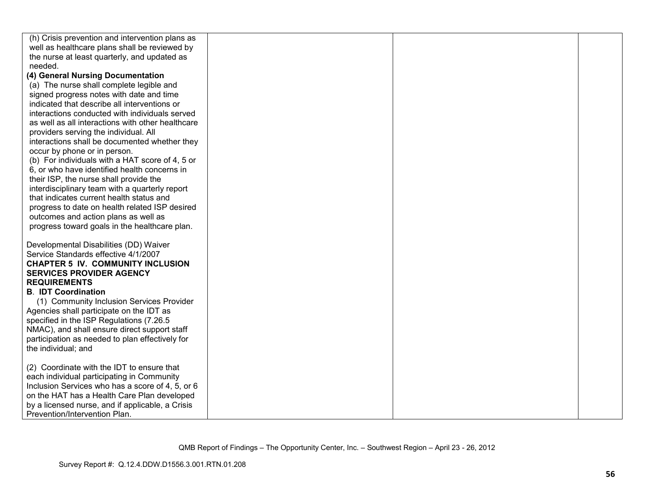| (h) Crisis prevention and intervention plans as   |  |  |
|---------------------------------------------------|--|--|
| well as healthcare plans shall be reviewed by     |  |  |
| the nurse at least quarterly, and updated as      |  |  |
| needed.                                           |  |  |
| (4) General Nursing Documentation                 |  |  |
| (a) The nurse shall complete legible and          |  |  |
| signed progress notes with date and time          |  |  |
| indicated that describe all interventions or      |  |  |
| interactions conducted with individuals served    |  |  |
| as well as all interactions with other healthcare |  |  |
| providers serving the individual. All             |  |  |
| interactions shall be documented whether they     |  |  |
| occur by phone or in person.                      |  |  |
| (b) For individuals with a HAT score of 4, 5 or   |  |  |
| 6, or who have identified health concerns in      |  |  |
| their ISP, the nurse shall provide the            |  |  |
| interdisciplinary team with a quarterly report    |  |  |
| that indicates current health status and          |  |  |
| progress to date on health related ISP desired    |  |  |
| outcomes and action plans as well as              |  |  |
| progress toward goals in the healthcare plan.     |  |  |
|                                                   |  |  |
| Developmental Disabilities (DD) Waiver            |  |  |
| Service Standards effective 4/1/2007              |  |  |
| <b>CHAPTER 5 IV. COMMUNITY INCLUSION</b>          |  |  |
| <b>SERVICES PROVIDER AGENCY</b>                   |  |  |
| <b>REQUIREMENTS</b>                               |  |  |
| <b>B. IDT Coordination</b>                        |  |  |
| (1) Community Inclusion Services Provider         |  |  |
| Agencies shall participate on the IDT as          |  |  |
| specified in the ISP Regulations (7.26.5          |  |  |
| NMAC), and shall ensure direct support staff      |  |  |
| participation as needed to plan effectively for   |  |  |
| the individual; and                               |  |  |
| (2) Coordinate with the IDT to ensure that        |  |  |
| each individual participating in Community        |  |  |
| Inclusion Services who has a score of 4, 5, or 6  |  |  |
| on the HAT has a Health Care Plan developed       |  |  |
| by a licensed nurse, and if applicable, a Crisis  |  |  |
| Prevention/Intervention Plan.                     |  |  |
|                                                   |  |  |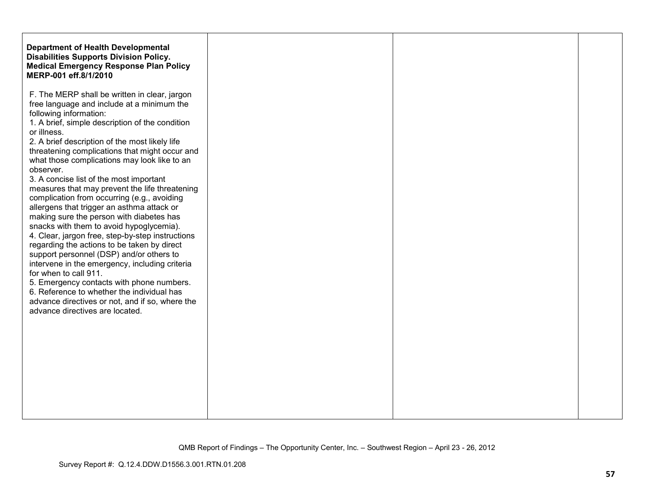| <b>Department of Health Developmental</b><br><b>Disabilities Supports Division Policy.</b><br><b>Medical Emergency Response Plan Policy</b><br>MERP-001 eff.8/1/2010 |
|----------------------------------------------------------------------------------------------------------------------------------------------------------------------|
|                                                                                                                                                                      |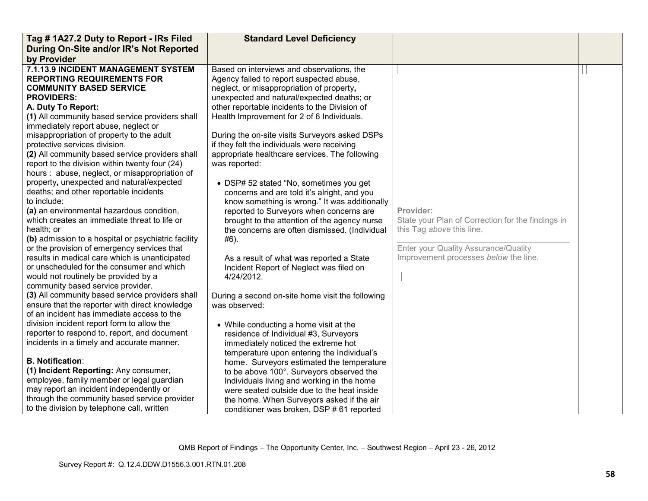| Tag #1A27.2 Duty to Report - IRs Filed                                                                                                                                                                                                                                                                                                                                                                                                                                                                                                                                                                                                                                                                                                                                                                                                                                                                                                                                                                                                                                                                                                                                                    | <b>Standard Level Deficiency</b>                                                                                                                                                                                                                                                                                                                                                                                                                                                                                                                                                                                                                                                                                                                                                                                                                                                                                                                                       |                                                                                                                                                                              |  |
|-------------------------------------------------------------------------------------------------------------------------------------------------------------------------------------------------------------------------------------------------------------------------------------------------------------------------------------------------------------------------------------------------------------------------------------------------------------------------------------------------------------------------------------------------------------------------------------------------------------------------------------------------------------------------------------------------------------------------------------------------------------------------------------------------------------------------------------------------------------------------------------------------------------------------------------------------------------------------------------------------------------------------------------------------------------------------------------------------------------------------------------------------------------------------------------------|------------------------------------------------------------------------------------------------------------------------------------------------------------------------------------------------------------------------------------------------------------------------------------------------------------------------------------------------------------------------------------------------------------------------------------------------------------------------------------------------------------------------------------------------------------------------------------------------------------------------------------------------------------------------------------------------------------------------------------------------------------------------------------------------------------------------------------------------------------------------------------------------------------------------------------------------------------------------|------------------------------------------------------------------------------------------------------------------------------------------------------------------------------|--|
| During On-Site and/or IR's Not Reported                                                                                                                                                                                                                                                                                                                                                                                                                                                                                                                                                                                                                                                                                                                                                                                                                                                                                                                                                                                                                                                                                                                                                   |                                                                                                                                                                                                                                                                                                                                                                                                                                                                                                                                                                                                                                                                                                                                                                                                                                                                                                                                                                        |                                                                                                                                                                              |  |
| by Provider                                                                                                                                                                                                                                                                                                                                                                                                                                                                                                                                                                                                                                                                                                                                                                                                                                                                                                                                                                                                                                                                                                                                                                               |                                                                                                                                                                                                                                                                                                                                                                                                                                                                                                                                                                                                                                                                                                                                                                                                                                                                                                                                                                        |                                                                                                                                                                              |  |
| 7.1.13.9 INCIDENT MANAGEMENT SYSTEM<br><b>REPORTING REQUIREMENTS FOR</b><br><b>COMMUNITY BASED SERVICE</b><br><b>PROVIDERS:</b><br>A. Duty To Report:<br>(1) All community based service providers shall<br>immediately report abuse, neglect or<br>misappropriation of property to the adult<br>protective services division.<br>(2) All community based service providers shall<br>report to the division within twenty four (24)<br>hours : abuse, neglect, or misappropriation of<br>property, unexpected and natural/expected<br>deaths; and other reportable incidents<br>to include:<br>(a) an environmental hazardous condition,<br>which creates an immediate threat to life or<br>health; or<br>(b) admission to a hospital or psychiatric facility<br>or the provision of emergency services that<br>results in medical care which is unanticipated<br>or unscheduled for the consumer and which<br>would not routinely be provided by a<br>community based service provider.<br>(3) All community based service providers shall<br>ensure that the reporter with direct knowledge<br>of an incident has immediate access to the<br>division incident report form to allow the | Based on interviews and observations, the<br>Agency failed to report suspected abuse,<br>neglect, or misappropriation of property,<br>unexpected and natural/expected deaths; or<br>other reportable incidents to the Division of<br>Health Improvement for 2 of 6 Individuals.<br>During the on-site visits Surveyors asked DSPs<br>if they felt the individuals were receiving<br>appropriate healthcare services. The following<br>was reported:<br>• DSP# 52 stated "No, sometimes you get<br>concerns and are told it's alright, and you<br>know something is wrong." It was additionally<br>reported to Surveyors when concerns are<br>brought to the attention of the agency nurse<br>the concerns are often dismissed. (Individual<br>#6).<br>As a result of what was reported a State<br>Incident Report of Neglect was filed on<br>4/24/2012.<br>During a second on-site home visit the following<br>was observed:<br>• While conducting a home visit at the | Provider:<br>State your Plan of Correction for the findings in<br>this Tag above this line.<br>Enter your Quality Assurance/Quality<br>Improvement processes below the line. |  |
| reporter to respond to, report, and document<br>incidents in a timely and accurate manner.                                                                                                                                                                                                                                                                                                                                                                                                                                                                                                                                                                                                                                                                                                                                                                                                                                                                                                                                                                                                                                                                                                | residence of Individual #3, Surveyors<br>immediately noticed the extreme hot<br>temperature upon entering the Individual's                                                                                                                                                                                                                                                                                                                                                                                                                                                                                                                                                                                                                                                                                                                                                                                                                                             |                                                                                                                                                                              |  |
| <b>B. Notification:</b>                                                                                                                                                                                                                                                                                                                                                                                                                                                                                                                                                                                                                                                                                                                                                                                                                                                                                                                                                                                                                                                                                                                                                                   | home. Surveyors estimated the temperature                                                                                                                                                                                                                                                                                                                                                                                                                                                                                                                                                                                                                                                                                                                                                                                                                                                                                                                              |                                                                                                                                                                              |  |
| (1) Incident Reporting: Any consumer,                                                                                                                                                                                                                                                                                                                                                                                                                                                                                                                                                                                                                                                                                                                                                                                                                                                                                                                                                                                                                                                                                                                                                     | to be above 100°. Surveyors observed the                                                                                                                                                                                                                                                                                                                                                                                                                                                                                                                                                                                                                                                                                                                                                                                                                                                                                                                               |                                                                                                                                                                              |  |
| employee, family member or legal guardian                                                                                                                                                                                                                                                                                                                                                                                                                                                                                                                                                                                                                                                                                                                                                                                                                                                                                                                                                                                                                                                                                                                                                 | Individuals living and working in the home                                                                                                                                                                                                                                                                                                                                                                                                                                                                                                                                                                                                                                                                                                                                                                                                                                                                                                                             |                                                                                                                                                                              |  |
| may report an incident independently or                                                                                                                                                                                                                                                                                                                                                                                                                                                                                                                                                                                                                                                                                                                                                                                                                                                                                                                                                                                                                                                                                                                                                   | were seated outside due to the heat inside                                                                                                                                                                                                                                                                                                                                                                                                                                                                                                                                                                                                                                                                                                                                                                                                                                                                                                                             |                                                                                                                                                                              |  |
| through the community based service provider                                                                                                                                                                                                                                                                                                                                                                                                                                                                                                                                                                                                                                                                                                                                                                                                                                                                                                                                                                                                                                                                                                                                              | the home. When Surveyors asked if the air                                                                                                                                                                                                                                                                                                                                                                                                                                                                                                                                                                                                                                                                                                                                                                                                                                                                                                                              |                                                                                                                                                                              |  |
| to the division by telephone call, written                                                                                                                                                                                                                                                                                                                                                                                                                                                                                                                                                                                                                                                                                                                                                                                                                                                                                                                                                                                                                                                                                                                                                | conditioner was broken, DSP # 61 reported                                                                                                                                                                                                                                                                                                                                                                                                                                                                                                                                                                                                                                                                                                                                                                                                                                                                                                                              |                                                                                                                                                                              |  |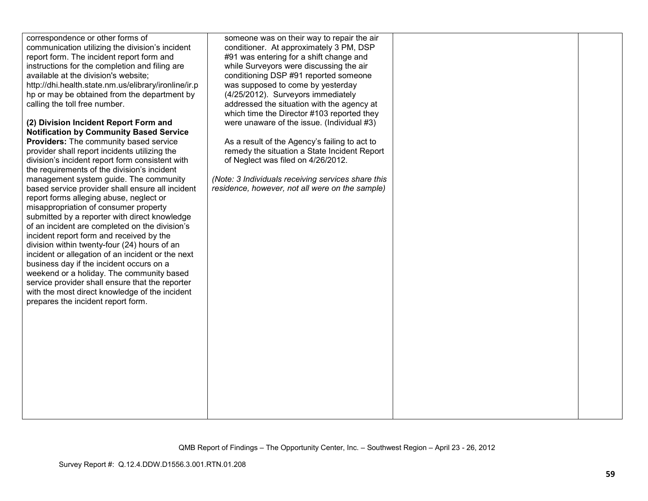| correspondence or other forms of<br>communication utilizing the division's incident<br>report form. The incident report form and<br>instructions for the completion and filing are<br>available at the division's website;<br>http://dhi.health.state.nm.us/elibrary/ironline/ir.p<br>hp or may be obtained from the department by<br>calling the toll free number.                                                                                                                                                                                                                                                                                                    | someone was on their way to repair the air<br>conditioner. At approximately 3 PM, DSP<br>#91 was entering for a shift change and<br>while Surveyors were discussing the air<br>conditioning DSP #91 reported someone<br>was supposed to come by yesterday<br>(4/25/2012). Surveyors immediately<br>addressed the situation with the agency at |  |
|------------------------------------------------------------------------------------------------------------------------------------------------------------------------------------------------------------------------------------------------------------------------------------------------------------------------------------------------------------------------------------------------------------------------------------------------------------------------------------------------------------------------------------------------------------------------------------------------------------------------------------------------------------------------|-----------------------------------------------------------------------------------------------------------------------------------------------------------------------------------------------------------------------------------------------------------------------------------------------------------------------------------------------|--|
| (2) Division Incident Report Form and<br><b>Notification by Community Based Service</b><br>Providers: The community based service<br>provider shall report incidents utilizing the<br>division's incident report form consistent with<br>the requirements of the division's incident                                                                                                                                                                                                                                                                                                                                                                                   | which time the Director #103 reported they<br>were unaware of the issue. (Individual #3)<br>As a result of the Agency's failing to act to<br>remedy the situation a State Incident Report<br>of Neglect was filed on 4/26/2012.                                                                                                               |  |
| management system guide. The community<br>based service provider shall ensure all incident<br>report forms alleging abuse, neglect or<br>misappropriation of consumer property<br>submitted by a reporter with direct knowledge<br>of an incident are completed on the division's<br>incident report form and received by the<br>division within twenty-four (24) hours of an<br>incident or allegation of an incident or the next<br>business day if the incident occurs on a<br>weekend or a holiday. The community based<br>service provider shall ensure that the reporter<br>with the most direct knowledge of the incident<br>prepares the incident report form. | (Note: 3 Individuals receiving services share this<br>residence, however, not all were on the sample)                                                                                                                                                                                                                                         |  |
|                                                                                                                                                                                                                                                                                                                                                                                                                                                                                                                                                                                                                                                                        |                                                                                                                                                                                                                                                                                                                                               |  |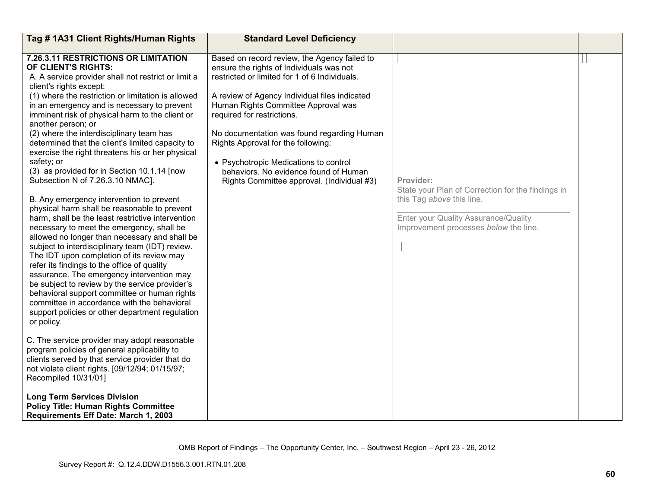| Tag # 1A31 Client Rights/Human Rights                                                                                                                                                                                                                                                                                                                                                                                                                                                                                                                                                                                                                                                                                                                                                                                                                                                                                                                                                                                                                                                                                                                                                                                                                                                                                                                                                                                                                                                                                                                                                                    | <b>Standard Level Deficiency</b>                                                                                                                                                                                                                                                                                                                                                                                                                                                    |                                                                                                                                                                              |  |
|----------------------------------------------------------------------------------------------------------------------------------------------------------------------------------------------------------------------------------------------------------------------------------------------------------------------------------------------------------------------------------------------------------------------------------------------------------------------------------------------------------------------------------------------------------------------------------------------------------------------------------------------------------------------------------------------------------------------------------------------------------------------------------------------------------------------------------------------------------------------------------------------------------------------------------------------------------------------------------------------------------------------------------------------------------------------------------------------------------------------------------------------------------------------------------------------------------------------------------------------------------------------------------------------------------------------------------------------------------------------------------------------------------------------------------------------------------------------------------------------------------------------------------------------------------------------------------------------------------|-------------------------------------------------------------------------------------------------------------------------------------------------------------------------------------------------------------------------------------------------------------------------------------------------------------------------------------------------------------------------------------------------------------------------------------------------------------------------------------|------------------------------------------------------------------------------------------------------------------------------------------------------------------------------|--|
| 7.26.3.11 RESTRICTIONS OR LIMITATION<br>OF CLIENT'S RIGHTS:<br>A. A service provider shall not restrict or limit a<br>client's rights except:<br>(1) where the restriction or limitation is allowed<br>in an emergency and is necessary to prevent<br>imminent risk of physical harm to the client or<br>another person; or<br>(2) where the interdisciplinary team has<br>determined that the client's limited capacity to<br>exercise the right threatens his or her physical<br>safety; or<br>(3) as provided for in Section 10.1.14 [now<br>Subsection N of 7.26.3.10 NMAC].<br>B. Any emergency intervention to prevent<br>physical harm shall be reasonable to prevent<br>harm, shall be the least restrictive intervention<br>necessary to meet the emergency, shall be<br>allowed no longer than necessary and shall be<br>subject to interdisciplinary team (IDT) review.<br>The IDT upon completion of its review may<br>refer its findings to the office of quality<br>assurance. The emergency intervention may<br>be subject to review by the service provider's<br>behavioral support committee or human rights<br>committee in accordance with the behavioral<br>support policies or other department regulation<br>or policy.<br>C. The service provider may adopt reasonable<br>program policies of general applicability to<br>clients served by that service provider that do<br>not violate client rights. [09/12/94; 01/15/97;<br>Recompiled 10/31/01]<br><b>Long Term Services Division</b><br><b>Policy Title: Human Rights Committee</b><br>Requirements Eff Date: March 1, 2003 | Based on record review, the Agency failed to<br>ensure the rights of Individuals was not<br>restricted or limited for 1 of 6 Individuals.<br>A review of Agency Individual files indicated<br>Human Rights Committee Approval was<br>required for restrictions.<br>No documentation was found regarding Human<br>Rights Approval for the following:<br>• Psychotropic Medications to control<br>behaviors. No evidence found of Human<br>Rights Committee approval. (Individual #3) | Provider:<br>State your Plan of Correction for the findings in<br>this Tag above this line.<br>Enter your Quality Assurance/Quality<br>Improvement processes below the line. |  |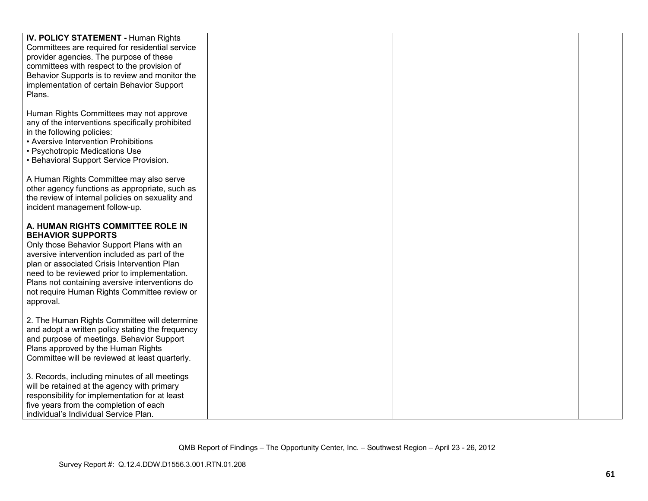| <b>IV. POLICY STATEMENT - Human Rights</b>       |  |  |
|--------------------------------------------------|--|--|
| Committees are required for residential service  |  |  |
| provider agencies. The purpose of these          |  |  |
| committees with respect to the provision of      |  |  |
| Behavior Supports is to review and monitor the   |  |  |
| implementation of certain Behavior Support       |  |  |
| Plans.                                           |  |  |
|                                                  |  |  |
| Human Rights Committees may not approve          |  |  |
| any of the interventions specifically prohibited |  |  |
| in the following policies:                       |  |  |
| • Aversive Intervention Prohibitions             |  |  |
| • Psychotropic Medications Use                   |  |  |
| • Behavioral Support Service Provision.          |  |  |
|                                                  |  |  |
| A Human Rights Committee may also serve          |  |  |
| other agency functions as appropriate, such as   |  |  |
| the review of internal policies on sexuality and |  |  |
| incident management follow-up.                   |  |  |
|                                                  |  |  |
| A. HUMAN RIGHTS COMMITTEE ROLE IN                |  |  |
| <b>BEHAVIOR SUPPORTS</b>                         |  |  |
| Only those Behavior Support Plans with an        |  |  |
| aversive intervention included as part of the    |  |  |
| plan or associated Crisis Intervention Plan      |  |  |
| need to be reviewed prior to implementation.     |  |  |
|                                                  |  |  |
| Plans not containing aversive interventions do   |  |  |
| not require Human Rights Committee review or     |  |  |
| approval.                                        |  |  |
| 2. The Human Rights Committee will determine     |  |  |
| and adopt a written policy stating the frequency |  |  |
| and purpose of meetings. Behavior Support        |  |  |
| Plans approved by the Human Rights               |  |  |
|                                                  |  |  |
| Committee will be reviewed at least quarterly.   |  |  |
| 3. Records, including minutes of all meetings    |  |  |
| will be retained at the agency with primary      |  |  |
|                                                  |  |  |
| responsibility for implementation for at least   |  |  |
| five years from the completion of each           |  |  |
| individual's Individual Service Plan.            |  |  |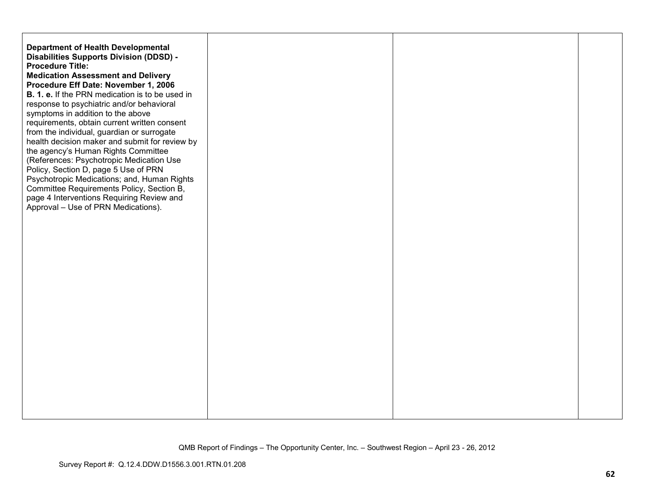| <b>Department of Health Developmental</b><br><b>Disabilities Supports Division (DDSD) -</b><br><b>Procedure Title:</b><br><b>Medication Assessment and Delivery</b><br>Procedure Eff Date: November 1, 2006<br><b>B. 1. e.</b> If the PRN medication is to be used in<br>response to psychiatric and/or behavioral<br>symptoms in addition to the above<br>requirements, obtain current written consent<br>from the individual, guardian or surrogate<br>health decision maker and submit for review by<br>the agency's Human Rights Committee<br>(References: Psychotropic Medication Use<br>Policy, Section D, page 5 Use of PRN<br>Psychotropic Medications; and, Human Rights<br>Committee Requirements Policy, Section B,<br>page 4 Interventions Requiring Review and<br>Approval - Use of PRN Medications). |  |  |
|--------------------------------------------------------------------------------------------------------------------------------------------------------------------------------------------------------------------------------------------------------------------------------------------------------------------------------------------------------------------------------------------------------------------------------------------------------------------------------------------------------------------------------------------------------------------------------------------------------------------------------------------------------------------------------------------------------------------------------------------------------------------------------------------------------------------|--|--|
|                                                                                                                                                                                                                                                                                                                                                                                                                                                                                                                                                                                                                                                                                                                                                                                                                    |  |  |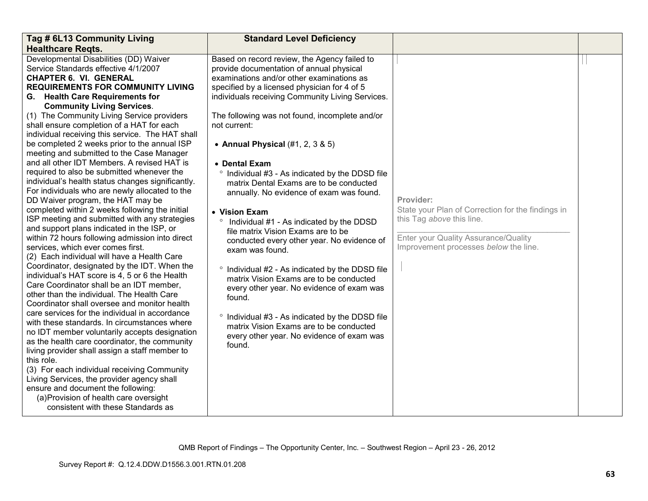| Tag # 6L13 Community Living<br><b>Healthcare Regts.</b>                                                                                                                                                                                                                                                                                                                                                                                                                                                                                                                                                                                                                                                                                                                                                                                                                                                                                                                                                                                                                                                                                                                                                                                                                                                                                                                                                                                                                                                                                                                                                                                                                                                                                             | <b>Standard Level Deficiency</b>                                                                                                                                                                                                                                                                                                                                                                                                                                                                                                                                                                                                                                                                                                                                                                                                                                                                                                                                                                        |                                                                                                                                                                              |  |
|-----------------------------------------------------------------------------------------------------------------------------------------------------------------------------------------------------------------------------------------------------------------------------------------------------------------------------------------------------------------------------------------------------------------------------------------------------------------------------------------------------------------------------------------------------------------------------------------------------------------------------------------------------------------------------------------------------------------------------------------------------------------------------------------------------------------------------------------------------------------------------------------------------------------------------------------------------------------------------------------------------------------------------------------------------------------------------------------------------------------------------------------------------------------------------------------------------------------------------------------------------------------------------------------------------------------------------------------------------------------------------------------------------------------------------------------------------------------------------------------------------------------------------------------------------------------------------------------------------------------------------------------------------------------------------------------------------------------------------------------------------|---------------------------------------------------------------------------------------------------------------------------------------------------------------------------------------------------------------------------------------------------------------------------------------------------------------------------------------------------------------------------------------------------------------------------------------------------------------------------------------------------------------------------------------------------------------------------------------------------------------------------------------------------------------------------------------------------------------------------------------------------------------------------------------------------------------------------------------------------------------------------------------------------------------------------------------------------------------------------------------------------------|------------------------------------------------------------------------------------------------------------------------------------------------------------------------------|--|
| Developmental Disabilities (DD) Waiver<br>Service Standards effective 4/1/2007<br><b>CHAPTER 6. VI. GENERAL</b><br><b>REQUIREMENTS FOR COMMUNITY LIVING</b><br>G. Health Care Requirements for<br><b>Community Living Services.</b><br>(1) The Community Living Service providers<br>shall ensure completion of a HAT for each<br>individual receiving this service. The HAT shall<br>be completed 2 weeks prior to the annual ISP<br>meeting and submitted to the Case Manager<br>and all other IDT Members. A revised HAT is<br>required to also be submitted whenever the<br>individual's health status changes significantly.<br>For individuals who are newly allocated to the<br>DD Waiver program, the HAT may be<br>completed within 2 weeks following the initial<br>ISP meeting and submitted with any strategies<br>and support plans indicated in the ISP, or<br>within 72 hours following admission into direct<br>services, which ever comes first.<br>(2) Each individual will have a Health Care<br>Coordinator, designated by the IDT. When the<br>individual's HAT score is 4, 5 or 6 the Health<br>Care Coordinator shall be an IDT member,<br>other than the individual. The Health Care<br>Coordinator shall oversee and monitor health<br>care services for the individual in accordance<br>with these standards. In circumstances where<br>no IDT member voluntarily accepts designation<br>as the health care coordinator, the community<br>living provider shall assign a staff member to<br>this role.<br>(3) For each individual receiving Community<br>Living Services, the provider agency shall<br>ensure and document the following:<br>(a) Provision of health care oversight<br>consistent with these Standards as | Based on record review, the Agency failed to<br>provide documentation of annual physical<br>examinations and/or other examinations as<br>specified by a licensed physician for 4 of 5<br>individuals receiving Community Living Services.<br>The following was not found, incomplete and/or<br>not current:<br>• Annual Physical $(\#1, 2, 3 \& 5)$<br>• Dental Exam<br>Individual #3 - As indicated by the DDSD file<br>matrix Dental Exams are to be conducted<br>annually. No evidence of exam was found.<br>• Vision Exam<br><sup>o</sup> Individual #1 - As indicated by the DDSD<br>file matrix Vision Exams are to be<br>conducted every other year. No evidence of<br>exam was found.<br>° Individual #2 - As indicated by the DDSD file<br>matrix Vision Exams are to be conducted<br>every other year. No evidence of exam was<br>found.<br>° Individual #3 - As indicated by the DDSD file<br>matrix Vision Exams are to be conducted<br>every other year. No evidence of exam was<br>found. | Provider:<br>State your Plan of Correction for the findings in<br>this Tag above this line.<br>Enter your Quality Assurance/Quality<br>Improvement processes below the line. |  |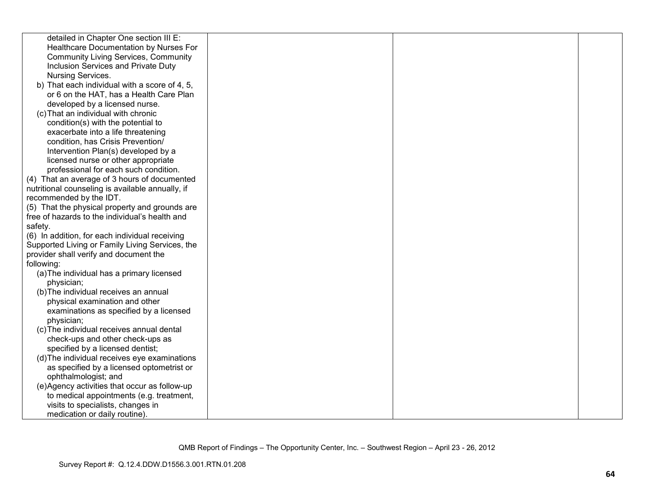| detailed in Chapter One section III E:           |  |  |
|--------------------------------------------------|--|--|
| Healthcare Documentation by Nurses For           |  |  |
| <b>Community Living Services, Community</b>      |  |  |
| Inclusion Services and Private Duty              |  |  |
| Nursing Services.                                |  |  |
| b) That each individual with a score of 4, 5,    |  |  |
| or 6 on the HAT, has a Health Care Plan          |  |  |
| developed by a licensed nurse.                   |  |  |
| (c) That an individual with chronic              |  |  |
| condition(s) with the potential to               |  |  |
| exacerbate into a life threatening               |  |  |
| condition, has Crisis Prevention/                |  |  |
| Intervention Plan(s) developed by a              |  |  |
| licensed nurse or other appropriate              |  |  |
| professional for each such condition.            |  |  |
| (4) That an average of 3 hours of documented     |  |  |
| nutritional counseling is available annually, if |  |  |
| recommended by the IDT.                          |  |  |
| (5) That the physical property and grounds are   |  |  |
| free of hazards to the individual's health and   |  |  |
| safety.                                          |  |  |
| (6) In addition, for each individual receiving   |  |  |
| Supported Living or Family Living Services, the  |  |  |
| provider shall verify and document the           |  |  |
| following:                                       |  |  |
| (a) The individual has a primary licensed        |  |  |
| physician;                                       |  |  |
| (b) The individual receives an annual            |  |  |
| physical examination and other                   |  |  |
| examinations as specified by a licensed          |  |  |
| physician;                                       |  |  |
| (c) The individual receives annual dental        |  |  |
| check-ups and other check-ups as                 |  |  |
| specified by a licensed dentist;                 |  |  |
| (d) The individual receives eye examinations     |  |  |
| as specified by a licensed optometrist or        |  |  |
| ophthalmologist; and                             |  |  |
| (e)Agency activities that occur as follow-up     |  |  |
| to medical appointments (e.g. treatment,         |  |  |
| visits to specialists, changes in                |  |  |
| medication or daily routine).                    |  |  |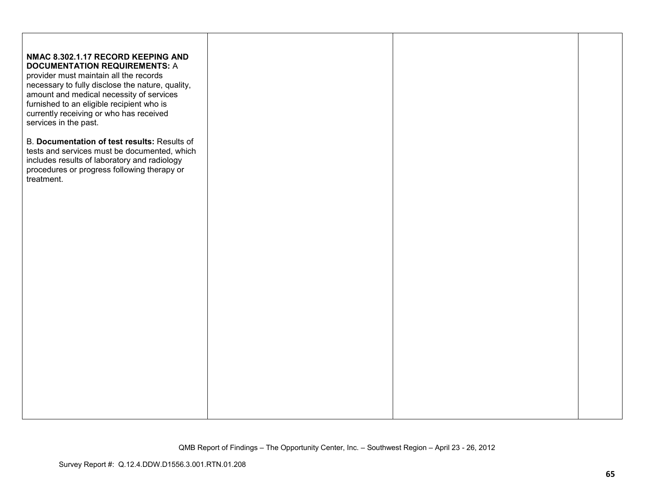| NMAC 8.302.1.17 RECORD KEEPING AND<br><b>DOCUMENTATION REQUIREMENTS: A</b><br>provider must maintain all the records<br>necessary to fully disclose the nature, quality,<br>amount and medical necessity of services<br>furnished to an eligible recipient who is<br>currently receiving or who has received<br>services in the past. |  |  |
|---------------------------------------------------------------------------------------------------------------------------------------------------------------------------------------------------------------------------------------------------------------------------------------------------------------------------------------|--|--|
| B. Documentation of test results: Results of<br>tests and services must be documented, which<br>includes results of laboratory and radiology<br>procedures or progress following therapy or<br>treatment.                                                                                                                             |  |  |
|                                                                                                                                                                                                                                                                                                                                       |  |  |
|                                                                                                                                                                                                                                                                                                                                       |  |  |
|                                                                                                                                                                                                                                                                                                                                       |  |  |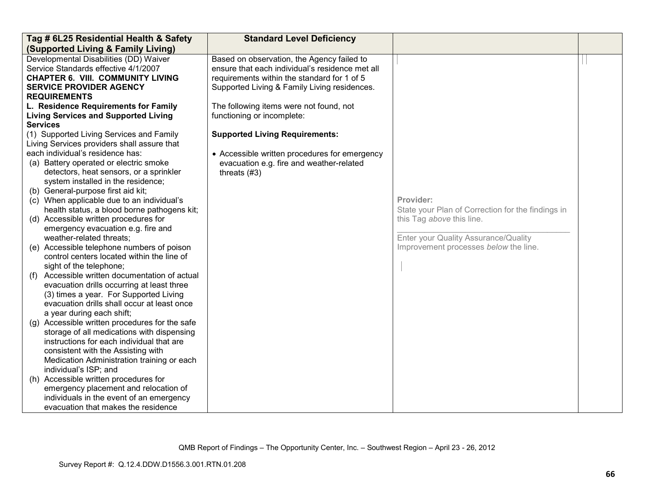| Tag # 6L25 Residential Health & Safety            | <b>Standard Level Deficiency</b>                |                                                   |  |
|---------------------------------------------------|-------------------------------------------------|---------------------------------------------------|--|
| (Supported Living & Family Living)                |                                                 |                                                   |  |
| Developmental Disabilities (DD) Waiver            | Based on observation, the Agency failed to      |                                                   |  |
| Service Standards effective 4/1/2007              | ensure that each individual's residence met all |                                                   |  |
| <b>CHAPTER 6. VIII. COMMUNITY LIVING</b>          | requirements within the standard for 1 of 5     |                                                   |  |
| <b>SERVICE PROVIDER AGENCY</b>                    | Supported Living & Family Living residences.    |                                                   |  |
| <b>REQUIREMENTS</b>                               |                                                 |                                                   |  |
| L. Residence Requirements for Family              | The following items were not found, not         |                                                   |  |
| <b>Living Services and Supported Living</b>       | functioning or incomplete:                      |                                                   |  |
| <b>Services</b>                                   |                                                 |                                                   |  |
| (1) Supported Living Services and Family          | <b>Supported Living Requirements:</b>           |                                                   |  |
| Living Services providers shall assure that       |                                                 |                                                   |  |
| each individual's residence has:                  | • Accessible written procedures for emergency   |                                                   |  |
| (a) Battery operated or electric smoke            | evacuation e.g. fire and weather-related        |                                                   |  |
| detectors, heat sensors, or a sprinkler           | threats $(#3)$                                  |                                                   |  |
| system installed in the residence;                |                                                 |                                                   |  |
| (b) General-purpose first aid kit;                |                                                 |                                                   |  |
| (c) When applicable due to an individual's        |                                                 | Provider:                                         |  |
| health status, a blood borne pathogens kit;       |                                                 | State your Plan of Correction for the findings in |  |
| (d) Accessible written procedures for             |                                                 | this Tag above this line.                         |  |
| emergency evacuation e.g. fire and                |                                                 |                                                   |  |
| weather-related threats;                          |                                                 | Enter your Quality Assurance/Quality              |  |
| (e) Accessible telephone numbers of poison        |                                                 | Improvement processes below the line.             |  |
| control centers located within the line of        |                                                 |                                                   |  |
| sight of the telephone;                           |                                                 |                                                   |  |
| Accessible written documentation of actual<br>(f) |                                                 |                                                   |  |
| evacuation drills occurring at least three        |                                                 |                                                   |  |
| (3) times a year. For Supported Living            |                                                 |                                                   |  |
| evacuation drills shall occur at least once       |                                                 |                                                   |  |
| a year during each shift;                         |                                                 |                                                   |  |
| (g) Accessible written procedures for the safe    |                                                 |                                                   |  |
| storage of all medications with dispensing        |                                                 |                                                   |  |
| instructions for each individual that are         |                                                 |                                                   |  |
| consistent with the Assisting with                |                                                 |                                                   |  |
| Medication Administration training or each        |                                                 |                                                   |  |
| individual's ISP; and                             |                                                 |                                                   |  |
| (h) Accessible written procedures for             |                                                 |                                                   |  |
| emergency placement and relocation of             |                                                 |                                                   |  |
| individuals in the event of an emergency          |                                                 |                                                   |  |
| evacuation that makes the residence               |                                                 |                                                   |  |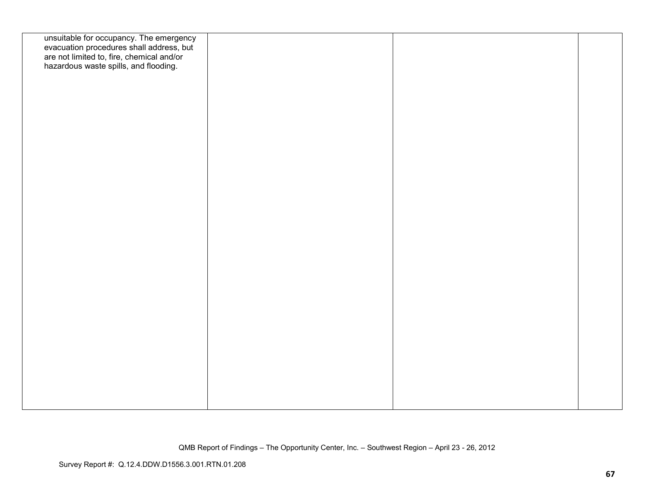| unsuitable for occupancy. The emergency<br>evacuation procedures shall address, but<br>are not limited to, fire, chemical and/or<br>hazardous waste spills, and flooding. |  |  |
|---------------------------------------------------------------------------------------------------------------------------------------------------------------------------|--|--|
|                                                                                                                                                                           |  |  |
|                                                                                                                                                                           |  |  |
|                                                                                                                                                                           |  |  |
|                                                                                                                                                                           |  |  |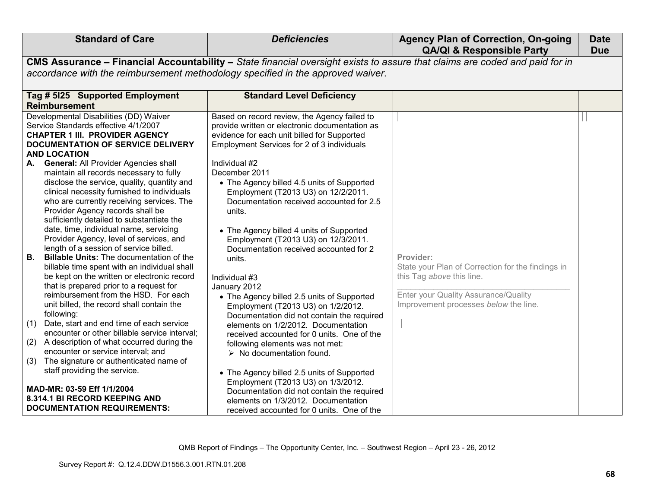| <b>Standard of Care</b>                                                                                                                                                                                                                                                                                                                                                                                                                                                                                                                                                                                                                                                                                                                                                                                                                                                                                                                                                                                                                                                                                                                           | <b>Deficiencies</b>                                                                                                                                                                                                                                                                                                                                                                                                                                                                                                                                                                                                                                                                                                                                                                                                                                                            | <b>Agency Plan of Correction, On-going</b><br><b>QA/QI &amp; Responsible Party</b>                                                                                           | <b>Date</b><br><b>Due</b> |
|---------------------------------------------------------------------------------------------------------------------------------------------------------------------------------------------------------------------------------------------------------------------------------------------------------------------------------------------------------------------------------------------------------------------------------------------------------------------------------------------------------------------------------------------------------------------------------------------------------------------------------------------------------------------------------------------------------------------------------------------------------------------------------------------------------------------------------------------------------------------------------------------------------------------------------------------------------------------------------------------------------------------------------------------------------------------------------------------------------------------------------------------------|--------------------------------------------------------------------------------------------------------------------------------------------------------------------------------------------------------------------------------------------------------------------------------------------------------------------------------------------------------------------------------------------------------------------------------------------------------------------------------------------------------------------------------------------------------------------------------------------------------------------------------------------------------------------------------------------------------------------------------------------------------------------------------------------------------------------------------------------------------------------------------|------------------------------------------------------------------------------------------------------------------------------------------------------------------------------|---------------------------|
|                                                                                                                                                                                                                                                                                                                                                                                                                                                                                                                                                                                                                                                                                                                                                                                                                                                                                                                                                                                                                                                                                                                                                   | CMS Assurance - Financial Accountability - State financial oversight exists to assure that claims are coded and paid for in                                                                                                                                                                                                                                                                                                                                                                                                                                                                                                                                                                                                                                                                                                                                                    |                                                                                                                                                                              |                           |
| accordance with the reimbursement methodology specified in the approved waiver.                                                                                                                                                                                                                                                                                                                                                                                                                                                                                                                                                                                                                                                                                                                                                                                                                                                                                                                                                                                                                                                                   |                                                                                                                                                                                                                                                                                                                                                                                                                                                                                                                                                                                                                                                                                                                                                                                                                                                                                |                                                                                                                                                                              |                           |
| Tag # 5125 Supported Employment                                                                                                                                                                                                                                                                                                                                                                                                                                                                                                                                                                                                                                                                                                                                                                                                                                                                                                                                                                                                                                                                                                                   | <b>Standard Level Deficiency</b>                                                                                                                                                                                                                                                                                                                                                                                                                                                                                                                                                                                                                                                                                                                                                                                                                                               |                                                                                                                                                                              |                           |
| <b>Reimbursement</b>                                                                                                                                                                                                                                                                                                                                                                                                                                                                                                                                                                                                                                                                                                                                                                                                                                                                                                                                                                                                                                                                                                                              |                                                                                                                                                                                                                                                                                                                                                                                                                                                                                                                                                                                                                                                                                                                                                                                                                                                                                |                                                                                                                                                                              |                           |
| Developmental Disabilities (DD) Waiver<br>Service Standards effective 4/1/2007<br><b>CHAPTER 1 III. PROVIDER AGENCY</b><br>DOCUMENTATION OF SERVICE DELIVERY<br><b>AND LOCATION</b>                                                                                                                                                                                                                                                                                                                                                                                                                                                                                                                                                                                                                                                                                                                                                                                                                                                                                                                                                               | Based on record review, the Agency failed to<br>provide written or electronic documentation as<br>evidence for each unit billed for Supported<br>Employment Services for 2 of 3 individuals                                                                                                                                                                                                                                                                                                                                                                                                                                                                                                                                                                                                                                                                                    |                                                                                                                                                                              |                           |
| General: All Provider Agencies shall<br>A.<br>maintain all records necessary to fully<br>disclose the service, quality, quantity and<br>clinical necessity furnished to individuals<br>who are currently receiving services. The<br>Provider Agency records shall be<br>sufficiently detailed to substantiate the<br>date, time, individual name, servicing<br>Provider Agency, level of services, and<br>length of a session of service billed.<br><b>B.</b><br><b>Billable Units:</b> The documentation of the<br>billable time spent with an individual shall<br>be kept on the written or electronic record<br>that is prepared prior to a request for<br>reimbursement from the HSD. For each<br>unit billed, the record shall contain the<br>following:<br>Date, start and end time of each service<br>(1)<br>encounter or other billable service interval;<br>A description of what occurred during the<br>(2)<br>encounter or service interval; and<br>The signature or authenticated name of<br>(3)<br>staff providing the service.<br>MAD-MR: 03-59 Eff 1/1/2004<br>8.314.1 BI RECORD KEEPING AND<br><b>DOCUMENTATION REQUIREMENTS:</b> | Individual #2<br>December 2011<br>• The Agency billed 4.5 units of Supported<br>Employment (T2013 U3) on 12/2/2011.<br>Documentation received accounted for 2.5<br>units.<br>• The Agency billed 4 units of Supported<br>Employment (T2013 U3) on 12/3/2011.<br>Documentation received accounted for 2<br>units.<br>Individual #3<br>January 2012<br>• The Agency billed 2.5 units of Supported<br>Employment (T2013 U3) on 1/2/2012.<br>Documentation did not contain the required<br>elements on 1/2/2012. Documentation<br>received accounted for 0 units. One of the<br>following elements was not met:<br>$\triangleright$ No documentation found.<br>• The Agency billed 2.5 units of Supported<br>Employment (T2013 U3) on 1/3/2012.<br>Documentation did not contain the required<br>elements on 1/3/2012. Documentation<br>received accounted for 0 units. One of the | Provider:<br>State your Plan of Correction for the findings in<br>this Tag above this line.<br>Enter your Quality Assurance/Quality<br>Improvement processes below the line. |                           |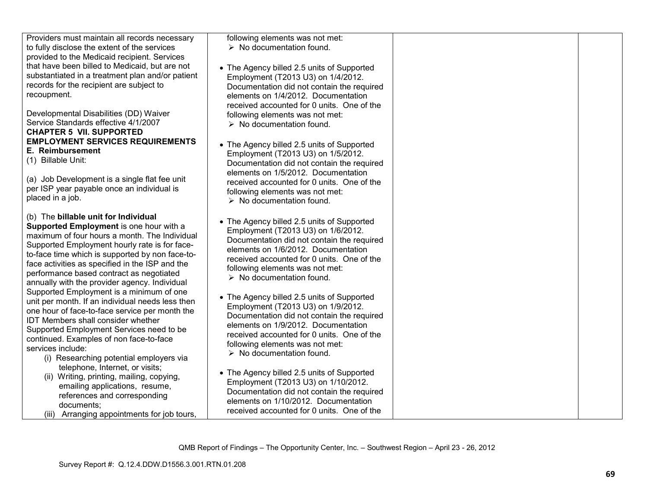| Providers must maintain all records necessary<br>to fully disclose the extent of the services<br>provided to the Medicaid recipient. Services | following elements was not met:<br>$\triangleright$ No documentation found. |  |
|-----------------------------------------------------------------------------------------------------------------------------------------------|-----------------------------------------------------------------------------|--|
| that have been billed to Medicaid, but are not                                                                                                | • The Agency billed 2.5 units of Supported                                  |  |
| substantiated in a treatment plan and/or patient                                                                                              | Employment (T2013 U3) on 1/4/2012.                                          |  |
| records for the recipient are subject to                                                                                                      | Documentation did not contain the required                                  |  |
| recoupment.                                                                                                                                   | elements on 1/4/2012. Documentation                                         |  |
|                                                                                                                                               | received accounted for 0 units. One of the                                  |  |
| Developmental Disabilities (DD) Waiver                                                                                                        | following elements was not met:                                             |  |
| Service Standards effective 4/1/2007                                                                                                          | $\triangleright$ No documentation found.                                    |  |
| <b>CHAPTER 5 VII. SUPPORTED</b>                                                                                                               |                                                                             |  |
| <b>EMPLOYMENT SERVICES REQUIREMENTS</b>                                                                                                       | • The Agency billed 2.5 units of Supported                                  |  |
| E. Reimbursement                                                                                                                              | Employment (T2013 U3) on 1/5/2012.                                          |  |
| (1) Billable Unit:                                                                                                                            | Documentation did not contain the required                                  |  |
|                                                                                                                                               | elements on 1/5/2012. Documentation                                         |  |
| (a) Job Development is a single flat fee unit                                                                                                 | received accounted for 0 units. One of the                                  |  |
| per ISP year payable once an individual is                                                                                                    | following elements was not met:                                             |  |
| placed in a job.                                                                                                                              | $\triangleright$ No documentation found.                                    |  |
|                                                                                                                                               |                                                                             |  |
| (b) The billable unit for Individual                                                                                                          | • The Agency billed 2.5 units of Supported                                  |  |
| Supported Employment is one hour with a<br>maximum of four hours a month. The Individual                                                      | Employment (T2013 U3) on 1/6/2012.                                          |  |
| Supported Employment hourly rate is for face-                                                                                                 | Documentation did not contain the required                                  |  |
| to-face time which is supported by non face-to-                                                                                               | elements on 1/6/2012. Documentation                                         |  |
| face activities as specified in the ISP and the                                                                                               | received accounted for 0 units. One of the                                  |  |
| performance based contract as negotiated                                                                                                      | following elements was not met:                                             |  |
| annually with the provider agency. Individual                                                                                                 | $\triangleright$ No documentation found.                                    |  |
| Supported Employment is a minimum of one                                                                                                      |                                                                             |  |
| unit per month. If an individual needs less then                                                                                              | • The Agency billed 2.5 units of Supported                                  |  |
| one hour of face-to-face service per month the                                                                                                | Employment (T2013 U3) on 1/9/2012.                                          |  |
| <b>IDT Members shall consider whether</b>                                                                                                     | Documentation did not contain the required                                  |  |
| Supported Employment Services need to be                                                                                                      | elements on 1/9/2012. Documentation                                         |  |
| continued. Examples of non face-to-face                                                                                                       | received accounted for 0 units. One of the                                  |  |
| services include:                                                                                                                             | following elements was not met:                                             |  |
| (i) Researching potential employers via                                                                                                       | $\triangleright$ No documentation found.                                    |  |
| telephone, Internet, or visits;                                                                                                               |                                                                             |  |
| (ii) Writing, printing, mailing, copying,                                                                                                     | • The Agency billed 2.5 units of Supported                                  |  |
| emailing applications, resume,                                                                                                                | Employment (T2013 U3) on 1/10/2012.                                         |  |
| references and corresponding                                                                                                                  | Documentation did not contain the required                                  |  |
| documents;                                                                                                                                    | elements on 1/10/2012. Documentation                                        |  |
| (iii) Arranging appointments for job tours,                                                                                                   | received accounted for 0 units. One of the                                  |  |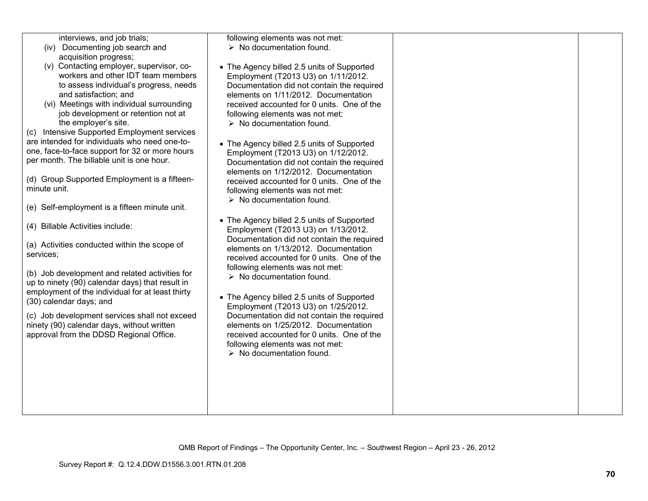| interviews, and job trials;<br>(iv) Documenting job search and<br>acquisition progress;<br>(v) Contacting employer, supervisor, co-<br>workers and other IDT team members<br>to assess individual's progress, needs<br>and satisfaction; and<br>(vi) Meetings with individual surrounding<br>job development or retention not at<br>the employer's site.<br>(c) Intensive Supported Employment services<br>are intended for individuals who need one-to-<br>one, face-to-face support for 32 or more hours<br>per month. The billable unit is one hour.<br>(d) Group Supported Employment is a fifteen-<br>minute unit.<br>(e) Self-employment is a fifteen minute unit.<br>(4) Billable Activities include:<br>(a) Activities conducted within the scope of<br>services;<br>(b) Job development and related activities for<br>up to ninety (90) calendar days) that result in<br>employment of the individual for at least thirty<br>(30) calendar days; and<br>(c) Job development services shall not exceed<br>ninety (90) calendar days, without written<br>approval from the DDSD Regional Office. | following elements was not met:<br>$\triangleright$ No documentation found.<br>• The Agency billed 2.5 units of Supported<br>Employment (T2013 U3) on 1/11/2012.<br>Documentation did not contain the required<br>elements on 1/11/2012. Documentation<br>received accounted for 0 units. One of the<br>following elements was not met:<br>$\triangleright$ No documentation found.<br>• The Agency billed 2.5 units of Supported<br>Employment (T2013 U3) on 1/12/2012.<br>Documentation did not contain the required<br>elements on 1/12/2012. Documentation<br>received accounted for 0 units. One of the<br>following elements was not met:<br>$\triangleright$ No documentation found.<br>• The Agency billed 2.5 units of Supported<br>Employment (T2013 U3) on 1/13/2012.<br>Documentation did not contain the required<br>elements on 1/13/2012. Documentation<br>received accounted for 0 units. One of the<br>following elements was not met:<br>$\triangleright$ No documentation found.<br>• The Agency billed 2.5 units of Supported<br>Employment (T2013 U3) on 1/25/2012.<br>Documentation did not contain the required<br>elements on 1/25/2012. Documentation<br>received accounted for 0 units. One of the<br>following elements was not met:<br>$\triangleright$ No documentation found. |  |
|---------------------------------------------------------------------------------------------------------------------------------------------------------------------------------------------------------------------------------------------------------------------------------------------------------------------------------------------------------------------------------------------------------------------------------------------------------------------------------------------------------------------------------------------------------------------------------------------------------------------------------------------------------------------------------------------------------------------------------------------------------------------------------------------------------------------------------------------------------------------------------------------------------------------------------------------------------------------------------------------------------------------------------------------------------------------------------------------------------|-------------------------------------------------------------------------------------------------------------------------------------------------------------------------------------------------------------------------------------------------------------------------------------------------------------------------------------------------------------------------------------------------------------------------------------------------------------------------------------------------------------------------------------------------------------------------------------------------------------------------------------------------------------------------------------------------------------------------------------------------------------------------------------------------------------------------------------------------------------------------------------------------------------------------------------------------------------------------------------------------------------------------------------------------------------------------------------------------------------------------------------------------------------------------------------------------------------------------------------------------------------------------------------------------------------|--|
|                                                                                                                                                                                                                                                                                                                                                                                                                                                                                                                                                                                                                                                                                                                                                                                                                                                                                                                                                                                                                                                                                                         |                                                                                                                                                                                                                                                                                                                                                                                                                                                                                                                                                                                                                                                                                                                                                                                                                                                                                                                                                                                                                                                                                                                                                                                                                                                                                                             |  |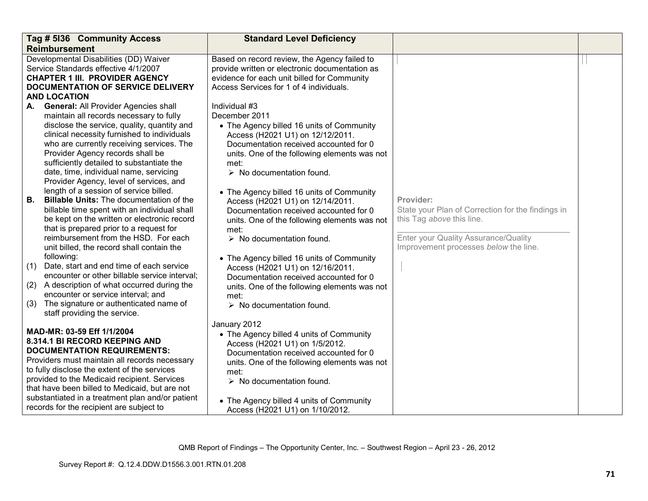|                   | Tag # 5136 Community Access                                                                                                                                                                                                                                                                                                                                                                             | <b>Standard Level Deficiency</b>                                                                                                                                                                                                                                                                                        |                                                                                                                                                                              |  |
|-------------------|---------------------------------------------------------------------------------------------------------------------------------------------------------------------------------------------------------------------------------------------------------------------------------------------------------------------------------------------------------------------------------------------------------|-------------------------------------------------------------------------------------------------------------------------------------------------------------------------------------------------------------------------------------------------------------------------------------------------------------------------|------------------------------------------------------------------------------------------------------------------------------------------------------------------------------|--|
|                   | <b>Reimbursement</b>                                                                                                                                                                                                                                                                                                                                                                                    |                                                                                                                                                                                                                                                                                                                         |                                                                                                                                                                              |  |
|                   | Developmental Disabilities (DD) Waiver<br>Service Standards effective 4/1/2007<br><b>CHAPTER 1 III. PROVIDER AGENCY</b><br><b>DOCUMENTATION OF SERVICE DELIVERY</b><br><b>AND LOCATION</b>                                                                                                                                                                                                              | Based on record review, the Agency failed to<br>provide written or electronic documentation as<br>evidence for each unit billed for Community<br>Access Services for 1 of 4 individuals.                                                                                                                                |                                                                                                                                                                              |  |
|                   |                                                                                                                                                                                                                                                                                                                                                                                                         |                                                                                                                                                                                                                                                                                                                         |                                                                                                                                                                              |  |
| A.                | <b>General: All Provider Agencies shall</b><br>maintain all records necessary to fully<br>disclose the service, quality, quantity and<br>clinical necessity furnished to individuals<br>who are currently receiving services. The<br>Provider Agency records shall be<br>sufficiently detailed to substantiate the<br>date, time, individual name, servicing<br>Provider Agency, level of services, and | Individual #3<br>December 2011<br>• The Agency billed 16 units of Community<br>Access (H2021 U1) on 12/12/2011.<br>Documentation received accounted for 0<br>units. One of the following elements was not<br>met:<br>$\triangleright$ No documentation found.                                                           |                                                                                                                                                                              |  |
| В.                | length of a session of service billed.<br><b>Billable Units:</b> The documentation of the<br>billable time spent with an individual shall<br>be kept on the written or electronic record<br>that is prepared prior to a request for<br>reimbursement from the HSD. For each<br>unit billed, the record shall contain the                                                                                | • The Agency billed 16 units of Community<br>Access (H2021 U1) on 12/14/2011.<br>Documentation received accounted for 0<br>units. One of the following elements was not<br>met:<br>$\triangleright$ No documentation found.                                                                                             | Provider:<br>State your Plan of Correction for the findings in<br>this Tag above this line.<br>Enter your Quality Assurance/Quality<br>Improvement processes below the line. |  |
| (1)<br>(2)<br>(3) | following:<br>Date, start and end time of each service<br>encounter or other billable service interval;<br>A description of what occurred during the<br>encounter or service interval; and<br>The signature or authenticated name of<br>staff providing the service.                                                                                                                                    | • The Agency billed 16 units of Community<br>Access (H2021 U1) on 12/16/2011.<br>Documentation received accounted for 0<br>units. One of the following elements was not<br>met:<br>$\triangleright$ No documentation found.                                                                                             |                                                                                                                                                                              |  |
|                   | MAD-MR: 03-59 Eff 1/1/2004<br>8.314.1 BI RECORD KEEPING AND<br><b>DOCUMENTATION REQUIREMENTS:</b><br>Providers must maintain all records necessary<br>to fully disclose the extent of the services<br>provided to the Medicaid recipient. Services<br>that have been billed to Medicaid, but are not<br>substantiated in a treatment plan and/or patient<br>records for the recipient are subject to    | January 2012<br>• The Agency billed 4 units of Community<br>Access (H2021 U1) on 1/5/2012.<br>Documentation received accounted for 0<br>units. One of the following elements was not<br>met:<br>$\triangleright$ No documentation found.<br>• The Agency billed 4 units of Community<br>Access (H2021 U1) on 1/10/2012. |                                                                                                                                                                              |  |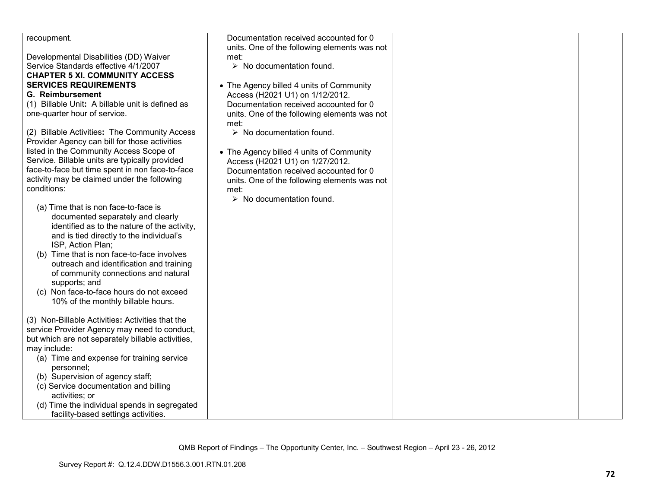| recoupment.                                                                              | Documentation received accounted for 0       |  |
|------------------------------------------------------------------------------------------|----------------------------------------------|--|
|                                                                                          | units. One of the following elements was not |  |
| Developmental Disabilities (DD) Waiver                                                   | met:                                         |  |
| Service Standards effective 4/1/2007                                                     | $\triangleright$ No documentation found.     |  |
| <b>CHAPTER 5 XI. COMMUNITY ACCESS</b>                                                    |                                              |  |
| <b>SERVICES REQUIREMENTS</b>                                                             | • The Agency billed 4 units of Community     |  |
| <b>G. Reimbursement</b>                                                                  | Access (H2021 U1) on 1/12/2012.              |  |
| (1) Billable Unit: A billable unit is defined as                                         | Documentation received accounted for 0       |  |
| one-quarter hour of service.                                                             | units. One of the following elements was not |  |
|                                                                                          | met:                                         |  |
| (2) Billable Activities: The Community Access                                            | $\triangleright$ No documentation found.     |  |
| Provider Agency can bill for those activities                                            |                                              |  |
| listed in the Community Access Scope of                                                  | • The Agency billed 4 units of Community     |  |
| Service. Billable units are typically provided                                           | Access (H2021 U1) on 1/27/2012.              |  |
| face-to-face but time spent in non face-to-face                                          | Documentation received accounted for 0       |  |
| activity may be claimed under the following                                              | units. One of the following elements was not |  |
| conditions:                                                                              | met:                                         |  |
|                                                                                          | $\triangleright$ No documentation found.     |  |
| (a) Time that is non face-to-face is                                                     |                                              |  |
| documented separately and clearly                                                        |                                              |  |
| identified as to the nature of the activity,<br>and is tied directly to the individual's |                                              |  |
| ISP, Action Plan;                                                                        |                                              |  |
| Time that is non face-to-face involves<br>(b)                                            |                                              |  |
| outreach and identification and training                                                 |                                              |  |
| of community connections and natural                                                     |                                              |  |
| supports; and                                                                            |                                              |  |
| (c) Non face-to-face hours do not exceed                                                 |                                              |  |
| 10% of the monthly billable hours.                                                       |                                              |  |
|                                                                                          |                                              |  |
| (3) Non-Billable Activities: Activities that the                                         |                                              |  |
| service Provider Agency may need to conduct,                                             |                                              |  |
| but which are not separately billable activities,                                        |                                              |  |
| may include:                                                                             |                                              |  |
| (a) Time and expense for training service                                                |                                              |  |
| personnel;                                                                               |                                              |  |
| (b) Supervision of agency staff;                                                         |                                              |  |
| (c) Service documentation and billing                                                    |                                              |  |
| activities; or                                                                           |                                              |  |
| (d) Time the individual spends in segregated                                             |                                              |  |
| facility-based settings activities.                                                      |                                              |  |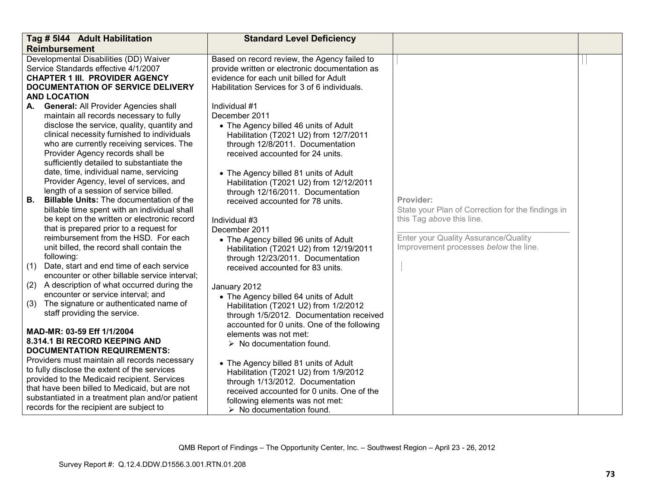|            | Tag # 5144 Adult Habilitation                                                                                                                                                                                                                                                                                      | <b>Standard Level Deficiency</b>                                                                                                                                                                                                                |                                                                                             |  |
|------------|--------------------------------------------------------------------------------------------------------------------------------------------------------------------------------------------------------------------------------------------------------------------------------------------------------------------|-------------------------------------------------------------------------------------------------------------------------------------------------------------------------------------------------------------------------------------------------|---------------------------------------------------------------------------------------------|--|
|            | <b>Reimbursement</b>                                                                                                                                                                                                                                                                                               |                                                                                                                                                                                                                                                 |                                                                                             |  |
|            | Developmental Disabilities (DD) Waiver<br>Service Standards effective 4/1/2007<br><b>CHAPTER 1 III. PROVIDER AGENCY</b><br><b>DOCUMENTATION OF SERVICE DELIVERY</b><br><b>AND LOCATION</b>                                                                                                                         | Based on record review, the Agency failed to<br>provide written or electronic documentation as<br>evidence for each unit billed for Adult<br>Habilitation Services for 3 of 6 individuals.                                                      |                                                                                             |  |
|            |                                                                                                                                                                                                                                                                                                                    |                                                                                                                                                                                                                                                 |                                                                                             |  |
| А.         | <b>General: All Provider Agencies shall</b><br>maintain all records necessary to fully<br>disclose the service, quality, quantity and<br>clinical necessity furnished to individuals<br>who are currently receiving services. The<br>Provider Agency records shall be<br>sufficiently detailed to substantiate the | Individual #1<br>December 2011<br>• The Agency billed 46 units of Adult<br>Habilitation (T2021 U2) from 12/7/2011<br>through 12/8/2011. Documentation<br>received accounted for 24 units.                                                       |                                                                                             |  |
| В.         | date, time, individual name, servicing<br>Provider Agency, level of services, and<br>length of a session of service billed.<br><b>Billable Units:</b> The documentation of the<br>billable time spent with an individual shall<br>be kept on the written or electronic record                                      | • The Agency billed 81 units of Adult<br>Habilitation (T2021 U2) from 12/12/2011<br>through 12/16/2011. Documentation<br>received accounted for 78 units.<br>Individual #3                                                                      | Provider:<br>State your Plan of Correction for the findings in<br>this Tag above this line. |  |
|            | that is prepared prior to a request for                                                                                                                                                                                                                                                                            | December 2011                                                                                                                                                                                                                                   |                                                                                             |  |
| (1)        | reimbursement from the HSD. For each<br>unit billed, the record shall contain the<br>following:<br>Date, start and end time of each service                                                                                                                                                                        | • The Agency billed 96 units of Adult<br>Habilitation (T2021 U2) from 12/19/2011<br>through 12/23/2011. Documentation<br>received accounted for 83 units.                                                                                       | Enter your Quality Assurance/Quality<br>Improvement processes below the line.               |  |
|            | encounter or other billable service interval;                                                                                                                                                                                                                                                                      |                                                                                                                                                                                                                                                 |                                                                                             |  |
| (2)<br>(3) | A description of what occurred during the<br>encounter or service interval; and<br>The signature or authenticated name of<br>staff providing the service.                                                                                                                                                          | January 2012<br>• The Agency billed 64 units of Adult<br>Habilitation (T2021 U2) from 1/2/2012<br>through 1/5/2012. Documentation received                                                                                                      |                                                                                             |  |
|            | MAD-MR: 03-59 Eff 1/1/2004<br>8.314.1 BI RECORD KEEPING AND<br><b>DOCUMENTATION REQUIREMENTS:</b>                                                                                                                                                                                                                  | accounted for 0 units. One of the following<br>elements was not met:<br>$\triangleright$ No documentation found.                                                                                                                                |                                                                                             |  |
|            | Providers must maintain all records necessary<br>to fully disclose the extent of the services<br>provided to the Medicaid recipient. Services<br>that have been billed to Medicaid, but are not<br>substantiated in a treatment plan and/or patient<br>records for the recipient are subject to                    | • The Agency billed 81 units of Adult<br>Habilitation (T2021 U2) from 1/9/2012<br>through 1/13/2012. Documentation<br>received accounted for 0 units. One of the<br>following elements was not met:<br>$\triangleright$ No documentation found. |                                                                                             |  |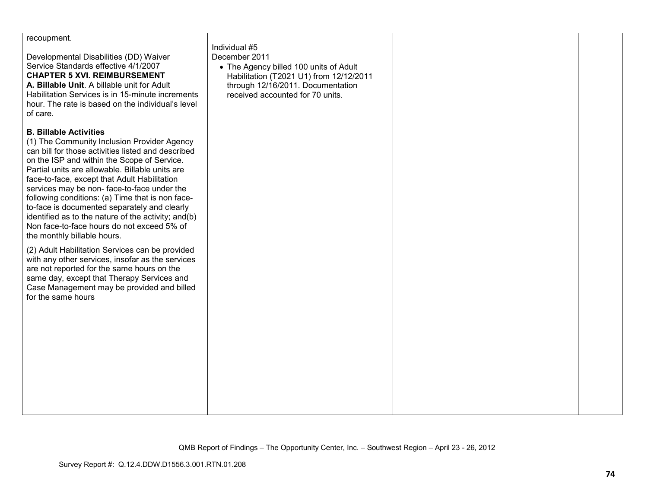| recoupment.<br>Developmental Disabilities (DD) Waiver<br>Service Standards effective 4/1/2007<br><b>CHAPTER 5 XVI. REIMBURSEMENT</b><br>A. Billable Unit. A billable unit for Adult<br>Habilitation Services is in 15-minute increments<br>hour. The rate is based on the individual's level<br>of care.                                                                                                                                                                                                                                                                                                                                                                                                                                                                                                                                          | Individual #5<br>December 2011<br>• The Agency billed 100 units of Adult<br>Habilitation (T2021 U1) from 12/12/2011<br>through 12/16/2011. Documentation<br>received accounted for 70 units. |  |
|---------------------------------------------------------------------------------------------------------------------------------------------------------------------------------------------------------------------------------------------------------------------------------------------------------------------------------------------------------------------------------------------------------------------------------------------------------------------------------------------------------------------------------------------------------------------------------------------------------------------------------------------------------------------------------------------------------------------------------------------------------------------------------------------------------------------------------------------------|----------------------------------------------------------------------------------------------------------------------------------------------------------------------------------------------|--|
| <b>B. Billable Activities</b><br>(1) The Community Inclusion Provider Agency<br>can bill for those activities listed and described<br>on the ISP and within the Scope of Service.<br>Partial units are allowable. Billable units are<br>face-to-face, except that Adult Habilitation<br>services may be non-face-to-face under the<br>following conditions: (a) Time that is non face-<br>to-face is documented separately and clearly<br>identified as to the nature of the activity; and(b)<br>Non face-to-face hours do not exceed 5% of<br>the monthly billable hours.<br>(2) Adult Habilitation Services can be provided<br>with any other services, insofar as the services<br>are not reported for the same hours on the<br>same day, except that Therapy Services and<br>Case Management may be provided and billed<br>for the same hours |                                                                                                                                                                                              |  |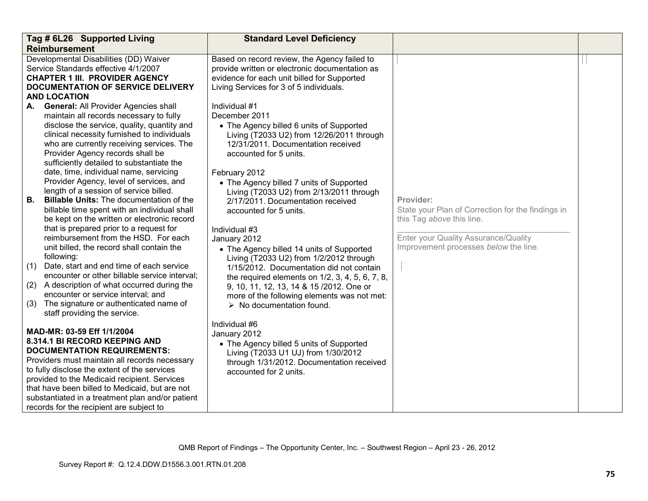|                  | Tag # 6L26 Supported Living                                                                                                                                                                                                                                                                                                                                                                                                                                                                                                                                                                                                                     | <b>Standard Level Deficiency</b>                                                                                                                                                                                                                                                                                                                                                                                                                                                                                                        |                                                                                                                                                                              |  |
|------------------|-------------------------------------------------------------------------------------------------------------------------------------------------------------------------------------------------------------------------------------------------------------------------------------------------------------------------------------------------------------------------------------------------------------------------------------------------------------------------------------------------------------------------------------------------------------------------------------------------------------------------------------------------|-----------------------------------------------------------------------------------------------------------------------------------------------------------------------------------------------------------------------------------------------------------------------------------------------------------------------------------------------------------------------------------------------------------------------------------------------------------------------------------------------------------------------------------------|------------------------------------------------------------------------------------------------------------------------------------------------------------------------------|--|
|                  | <b>Reimbursement</b>                                                                                                                                                                                                                                                                                                                                                                                                                                                                                                                                                                                                                            |                                                                                                                                                                                                                                                                                                                                                                                                                                                                                                                                         |                                                                                                                                                                              |  |
|                  | Developmental Disabilities (DD) Waiver<br>Service Standards effective 4/1/2007<br><b>CHAPTER 1 III. PROVIDER AGENCY</b><br>DOCUMENTATION OF SERVICE DELIVERY<br><b>AND LOCATION</b>                                                                                                                                                                                                                                                                                                                                                                                                                                                             | Based on record review, the Agency failed to<br>provide written or electronic documentation as<br>evidence for each unit billed for Supported<br>Living Services for 3 of 5 individuals.                                                                                                                                                                                                                                                                                                                                                |                                                                                                                                                                              |  |
| А.               | <b>General: All Provider Agencies shall</b>                                                                                                                                                                                                                                                                                                                                                                                                                                                                                                                                                                                                     | Individual #1                                                                                                                                                                                                                                                                                                                                                                                                                                                                                                                           |                                                                                                                                                                              |  |
|                  | maintain all records necessary to fully<br>disclose the service, quality, quantity and<br>clinical necessity furnished to individuals<br>who are currently receiving services. The<br>Provider Agency records shall be<br>sufficiently detailed to substantiate the<br>date, time, individual name, servicing                                                                                                                                                                                                                                                                                                                                   | December 2011<br>• The Agency billed 6 units of Supported<br>Living (T2033 U2) from 12/26/2011 through<br>12/31/2011. Documentation received<br>accounted for 5 units.<br>February 2012                                                                                                                                                                                                                                                                                                                                                 |                                                                                                                                                                              |  |
| В.<br>(1)<br>(3) | Provider Agency, level of services, and<br>length of a session of service billed.<br><b>Billable Units:</b> The documentation of the<br>billable time spent with an individual shall<br>be kept on the written or electronic record<br>that is prepared prior to a request for<br>reimbursement from the HSD. For each<br>unit billed, the record shall contain the<br>following:<br>Date, start and end time of each service<br>encounter or other billable service interval;<br>(2) A description of what occurred during the<br>encounter or service interval; and<br>The signature or authenticated name of<br>staff providing the service. | • The Agency billed 7 units of Supported<br>Living (T2033 U2) from 2/13/2011 through<br>2/17/2011. Documentation received<br>accounted for 5 units.<br>Individual #3<br>January 2012<br>• The Agency billed 14 units of Supported<br>Living (T2033 U2) from 1/2/2012 through<br>1/15/2012. Documentation did not contain<br>the required elements on $1/2$ , $3$ , $4$ , $5$ , $6$ , $7$ , $8$ ,<br>9, 10, 11, 12, 13, 14 & 15 /2012. One or<br>more of the following elements was not met:<br>$\triangleright$ No documentation found. | Provider:<br>State your Plan of Correction for the findings in<br>this Tag above this line.<br>Enter your Quality Assurance/Quality<br>Improvement processes below the line. |  |
|                  | MAD-MR: 03-59 Eff 1/1/2004<br>8.314.1 BI RECORD KEEPING AND<br><b>DOCUMENTATION REQUIREMENTS:</b><br>Providers must maintain all records necessary<br>to fully disclose the extent of the services<br>provided to the Medicaid recipient. Services<br>that have been billed to Medicaid, but are not<br>substantiated in a treatment plan and/or patient<br>records for the recipient are subject to                                                                                                                                                                                                                                            | Individual #6<br>January 2012<br>• The Agency billed 5 units of Supported<br>Living (T2033 U1 UJ) from 1/30/2012<br>through 1/31/2012. Documentation received<br>accounted for 2 units.                                                                                                                                                                                                                                                                                                                                                 |                                                                                                                                                                              |  |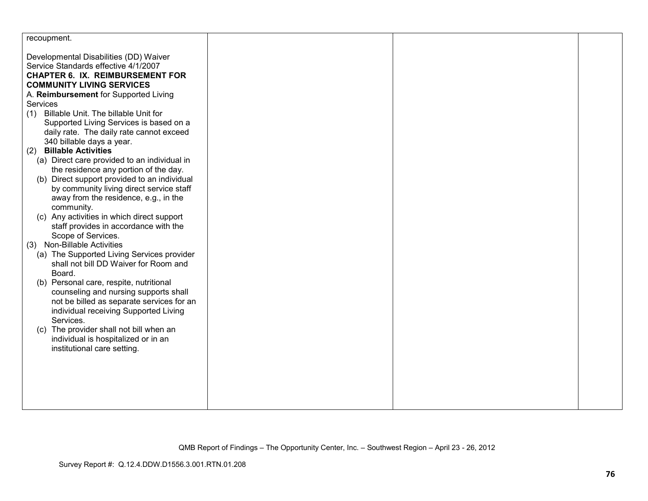| recoupment.                                                                         |  |  |
|-------------------------------------------------------------------------------------|--|--|
| Developmental Disabilities (DD) Waiver                                              |  |  |
| Service Standards effective 4/1/2007                                                |  |  |
| <b>CHAPTER 6. IX. REIMBURSEMENT FOR</b>                                             |  |  |
| <b>COMMUNITY LIVING SERVICES</b>                                                    |  |  |
| A. Reimbursement for Supported Living                                               |  |  |
| Services                                                                            |  |  |
| (1) Billable Unit. The billable Unit for                                            |  |  |
| Supported Living Services is based on a                                             |  |  |
| daily rate. The daily rate cannot exceed                                            |  |  |
| 340 billable days a year.                                                           |  |  |
| <b>Billable Activities</b><br>(2)                                                   |  |  |
| (a) Direct care provided to an individual in                                        |  |  |
| the residence any portion of the day.                                               |  |  |
| (b) Direct support provided to an individual                                        |  |  |
| by community living direct service staff                                            |  |  |
| away from the residence, e.g., in the                                               |  |  |
| community.                                                                          |  |  |
| (c) Any activities in which direct support<br>staff provides in accordance with the |  |  |
| Scope of Services.                                                                  |  |  |
| (3) Non-Billable Activities                                                         |  |  |
| (a) The Supported Living Services provider                                          |  |  |
| shall not bill DD Waiver for Room and                                               |  |  |
| Board.                                                                              |  |  |
| (b) Personal care, respite, nutritional                                             |  |  |
| counseling and nursing supports shall                                               |  |  |
| not be billed as separate services for an                                           |  |  |
| individual receiving Supported Living                                               |  |  |
| Services.                                                                           |  |  |
| (c) The provider shall not bill when an                                             |  |  |
| individual is hospitalized or in an                                                 |  |  |
| institutional care setting.                                                         |  |  |
|                                                                                     |  |  |
|                                                                                     |  |  |
|                                                                                     |  |  |
|                                                                                     |  |  |
|                                                                                     |  |  |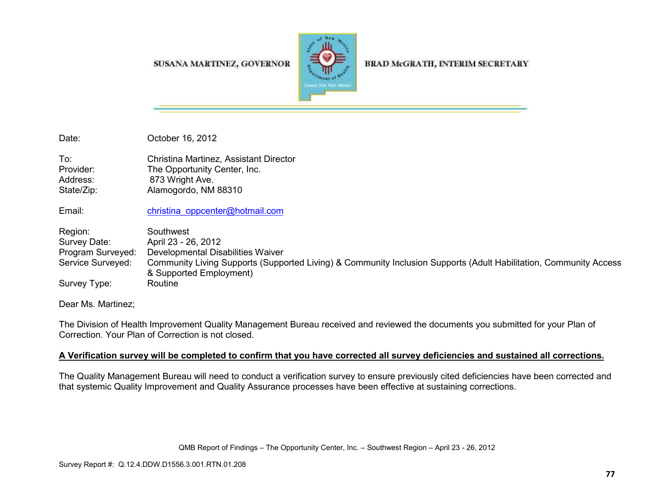SUSANA MARTINEZ, GOVERNOR



BRAD McGRATH, INTERIM SECRETARY

Date: **October 16, 2012** 

To: Christina Martinez, Assistant Director Provider: The Opportunity Center, Inc. Address: 873 Wright Ave. State/Zip: Alamogordo, NM 88310

Email: christina\_oppcenter@hotmail.com

Region: Southwest Survey Date: April 23 - 26, 2012 Program Surveyed: Developmental Disabilities Waiver Service Surveyed: Community Living Supports (Supported Living) & Community Inclusion Supports (Adult Habilitation, Community Access & Supported Employment) Survey Type: Routine

Dear Ms. Martinez;

The Division of Health Improvement Quality Management Bureau received and reviewed the documents you submitted for your Plan of Correction. Your Plan of Correction is not closed.

## **A Verification survey will be completed to confirm that you have corrected all survey deficiencies and sustained all corrections.**

The Quality Management Bureau will need to conduct a verification survey to ensure previously cited deficiencies have been corrected and that systemic Quality Improvement and Quality Assurance processes have been effective at sustaining corrections.